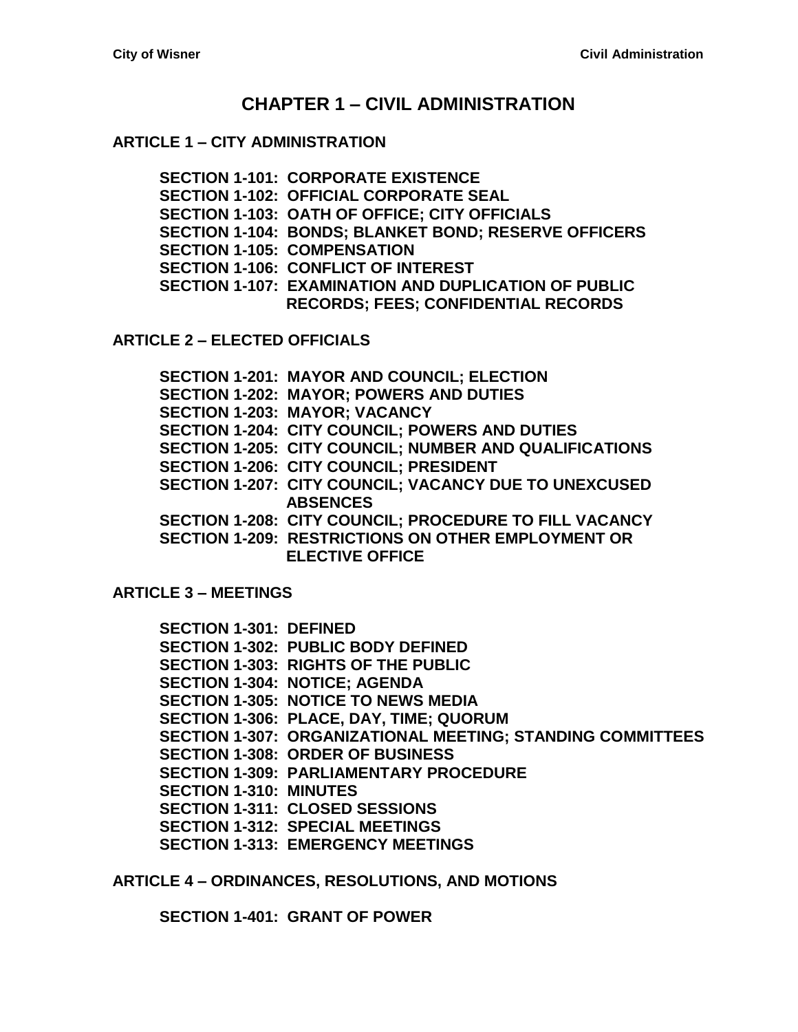# **CHAPTER 1 – [CIVIL ADMINISTRATION](#page-4-0)**

### **ARTICLE 1 – [CITY ADMINISTRATION](#page-4-1)**

**SECTION [1-101: CORPORATE EXISTENCE](#page-4-2) [SECTION 1-102: OFFICIAL CORPORATE SEAL](#page-4-3) [SECTION 1-103: OATH OF OFFICE; CITY OFFICIALS](#page-4-4) [SECTION 1-104: BONDS; BLANKET](#page-4-5) BOND; RESERVE OFFICERS [SECTION 1-105: COMPENSATION](#page-6-0) [SECTION 1-106: CONFLICT OF INTEREST](#page-7-0) [SECTION 1-107: EXAMINATION AND DUPLICATION OF PUBLIC](#page-9-0)  [RECORDS; FEES; CONFIDENTIAL RECORDS](#page-9-0)**

**ARTICLE 2 – [ELECTED OFFICIALS](#page-10-0)**

- **[SECTION 1-201: MAYOR AND COUNCIL; ELECTION](#page-10-1)**
- **[SECTION 1-202: MAYOR; POWERS AND DUTIES](#page-10-2)**
- **[SECTION 1-203: MAYOR; VACANCY](#page-11-0)**
- **[SECTION 1-204: CITY COUNCIL; POWERS AND DUTIES](#page-11-1)**
- **[SECTION 1-205: CITY COUNCIL; NUMBER AND QUALIFICATIONS](#page-11-2)**
- **[SECTION 1-206: CITY COUNCIL; PRESIDENT](#page-12-0)**
- **[SECTION 1-207: CITY COUNCIL; VACANCY DUE TO UNEXCUSED](#page-12-1)  [ABSENCES](#page-12-1)**
- **[SECTION 1-208: CITY COUNCIL; PROCEDURE TO FILL VACANCY](#page-12-2)**
- **[SECTION 1-209: RESTRICTIONS ON OTHER EMPLOYMENT OR](#page-14-0)  [ELECTIVE OFFICE](#page-14-0)**

**[ARTICLE 3 –](#page-16-0) MEETINGS**

| <b>SECTION 1-301: DEFINED</b> |                                                            |
|-------------------------------|------------------------------------------------------------|
|                               | <b>SECTION 1-302: PUBLIC BODY DEFINED</b>                  |
|                               | <b>SECTION 1-303: RIGHTS OF THE PUBLIC</b>                 |
|                               | <b>SECTION 1-304: NOTICE; AGENDA</b>                       |
|                               | <b>SECTION 1-305: NOTICE TO NEWS MEDIA</b>                 |
|                               | <b>SECTION 1-306: PLACE, DAY, TIME; QUORUM</b>             |
|                               | SECTION 1-307: ORGANIZATIONAL MEETING; STANDING COMMITTEES |
|                               | <b>SECTION 1-308: ORDER OF BUSINESS</b>                    |
|                               | <b>SECTION 1-309: PARLIAMENTARY PROCEDURE</b>              |
| <b>SECTION 1-310: MINUTES</b> |                                                            |
|                               | <b>SECTION 1-311: CLOSED SESSIONS</b>                      |
|                               | <b>SECTION 1-312: SPECIAL MEETINGS</b>                     |
|                               | <b>SECTION 1-313: EMERGENCY MEETINGS</b>                   |

**ARTICLE 4 – [ORDINANCES, RESOLUTIONS, AND MOTIONS](#page-24-0)**

**[SECTION 1-401: GRANT OF POWER](#page-24-1)**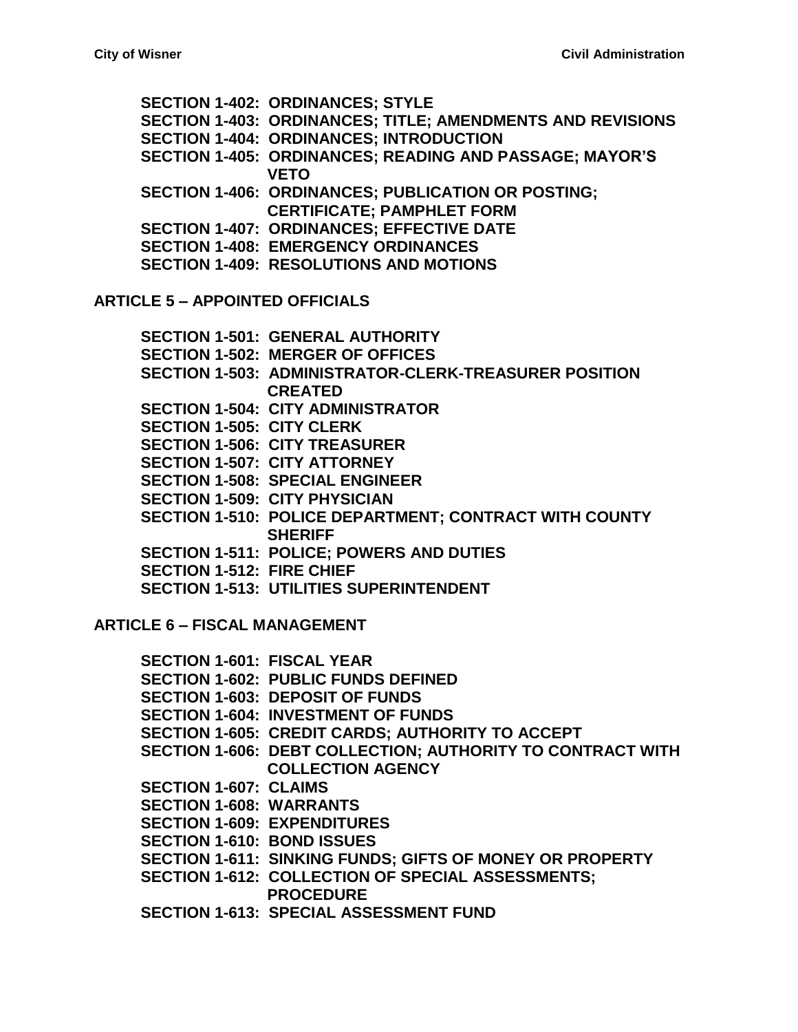**[SECTION 1-402: ORDINANCES; STYLE](#page-24-2) [SECTION 1-403: ORDINANCES; TITLE; AMENDMENTS AND REVISIONS](#page-24-3) [SECTION 1-404: ORDINANCES; INTRODUCTION](#page-24-4) [SECTION 1-405: ORDINANCES; READING AND PASSAGE; MAYOR'S](#page-24-5)  [VETO](#page-24-5) [SECTION 1-406: ORDINANCES; PUBLICATION OR POSTING;](#page-25-0)  [CERTIFICATE; PAMPHLET FORM](#page-25-0) [SECTION 1-407: ORDINANCES; EFFECTIVE DATE](#page-26-0) [SECTION 1-408: EMERGENCY ORDINANCES](#page-26-1) [SECTION 1-409: RESOLUTIONS AND MOTIONS](#page-26-2)**

**ARTICLE 5 – [APPOINTED OFFICIALS](#page-28-0)**

**[SECTION 1-501: GENERAL AUTHORITY](#page-28-1) [SECTION 1-502: MERGER OF OFFICES](#page-28-2) [SECTION 1-503: ADMINISTRATOR-CLERK-TREASURER POSITION](#page-29-0)  [CREATED](#page-29-0) [SECTION 1-504: CITY ADMINISTRATOR](#page-29-1) [SECTION 1-505: CITY CLERK](#page-30-0) [SECTION 1-506: CITY TREASURER](#page-31-0) [SECTION 1-507: CITY ATTORNEY](#page-33-0) [SECTION 1-508: SPECIAL ENGINEER](#page-33-1) [SECTION 1-509: CITY PHYSICIAN](#page-33-2) [SECTION 1-510: POLICE DEPARTMENT; CONTRACT WITH COUNTY](#page-34-0)  [SHERIFF](#page-34-0) [SECTION 1-511: POLICE; POWERS](#page-34-1) AND DUTIES [SECTION 1-512: FIRE CHIEF](#page-35-0) [SECTION 1-513: UTILITIES SUPERINTENDENT](#page-35-1)**

**ARTICLE 6 – [FISCAL MANAGEMENT](#page-40-0)**

**[SECTION 1-601: FISCAL YEAR](#page-40-1) [SECTION 1-602: PUBLIC FUNDS DEFINED](#page-40-2) [SECTION 1-603: DEPOSIT OF FUNDS](#page-40-3) [SECTION 1-604: INVESTMENT OF FUNDS](#page-41-0) [SECTION 1-605: CREDIT CARDS; AUTHORITY TO ACCEPT](#page-42-0) [SECTION 1-606: DEBT COLLECTION; AUTHORITY TO CONTRACT WITH](#page-43-0)  [COLLECTION AGENCY](#page-43-0) [SECTION 1-607: CLAIMS](#page-43-1) [SECTION 1-608: WARRANTS](#page-44-0) [SECTION 1-609: EXPENDITURES](#page-44-1) [SECTION 1-610: BOND ISSUES](#page-44-2) [SECTION 1-611: SINKING FUNDS;](#page-44-3) GIFTS OF MONEY OR PROPERTY [SECTION 1-612: COLLECTION OF SPECIAL ASSESSMENTS;](#page-46-0) [PROCEDURE](#page-46-0) [SECTION 1-613: SPECIAL ASSESSMENT FUND](#page-46-1)**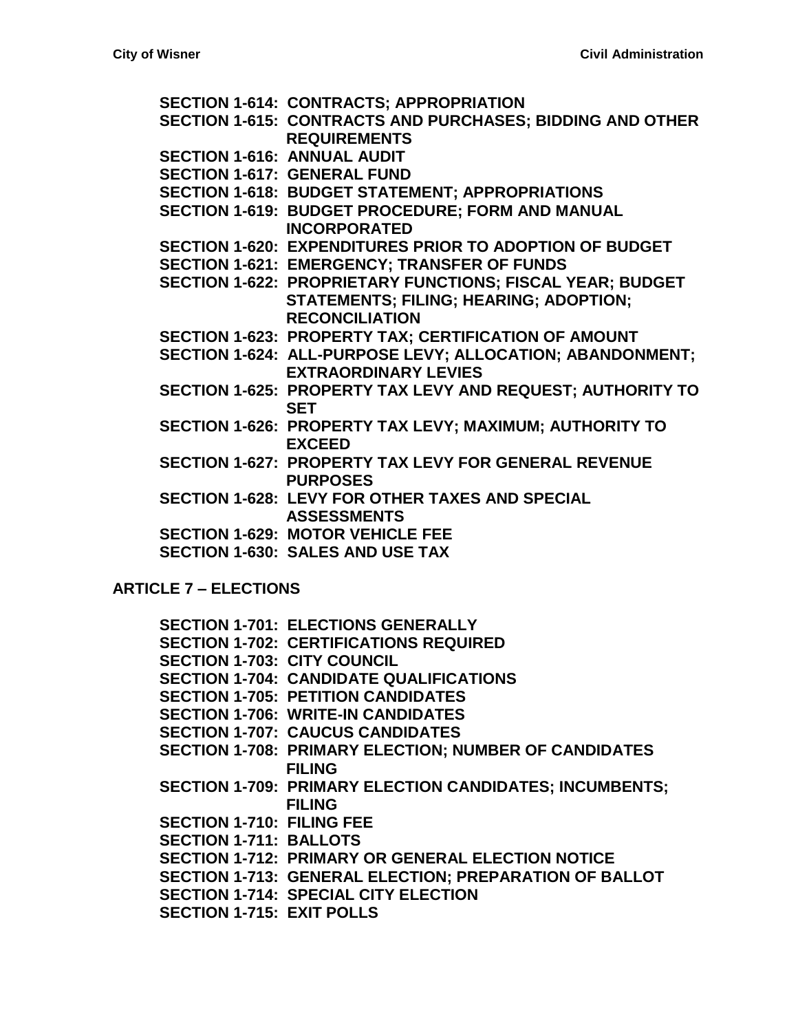**[SECTION 1-614: CONTRACTS; APPROPRIATION](#page-46-2) [SECTION 1-615: CONTRACTS AND PURCHASES; BIDDING AND OTHER](#page-47-0)  [REQUIREMENTS](#page-47-0) [SECTION 1-616: ANNUAL AUDIT](#page-48-0) [SECTION 1-617: GENERAL FUND](#page-49-0) [SECTION 1-618: BUDGET STATEMENT; APPROPRIATIONS](#page-49-1) [SECTION 1-619: BUDGET PROCEDURE; FORM AND MANUAL](#page-49-2)  [INCORPORATED](#page-49-2) [SECTION 1-620: EXPENDITURES PRIOR TO ADOPTION OF BUDGET](#page-49-3) [SECTION 1-621: EMERGENCY; TRANSFER OF FUNDS](#page-50-0) [SECTION 1-622: PROPRIETARY FUNCTIONS; FISCAL YEAR; BUDGET](#page-50-1)  [STATEMENTS; FILING; HEARING; ADOPTION;](#page-50-1)  [RECONCILIATION](#page-50-1) [SECTION 1-623: PROPERTY TAX; CERTIFICATION OF AMOUNT](#page-52-0) [SECTION 1-624: ALL-PURPOSE LEVY; ALLOCATION; ABANDONMENT;](#page-52-1)  [EXTRAORDINARY LEVIES](#page-52-1) [SECTION 1-625: PROPERTY TAX LEVY AND REQUEST; AUTHORITY TO](#page-52-2)  [SET](#page-52-2) [SECTION 1-626: PROPERTY TAX LEVY; MAXIMUM; AUTHORITY TO](#page-53-0)  [EXCEED](#page-53-0) [SECTION 1-627: PROPERTY](#page-53-1) TAX LEVY FOR GENERAL REVENUE [PURPOSES](#page-53-1) [SECTION 1-628: LEVY FOR OTHER](#page-53-2) TAXES AND SPECIAL [ASSESSMENTS](#page-53-2) [SECTION 1-629: MOTOR VEHICLE FEE](#page-53-3) [SECTION 1-630: SALES AND USE TAX](#page-54-0)**

**[ARTICLE 7 –](#page-56-0) ELECTIONS**

**[SECTION 1-701: ELECTIONS GENERALLY](#page-56-1) [SECTION 1-702: CERTIFICATIONS](#page-56-2) REQUIRED [SECTION 1-703: CITY COUNCIL](#page-56-3) [SECTION 1-704: CANDIDATE QUALIFICATIONS](#page-56-4) [SECTION 1-705: PETITION CANDIDATES](#page-57-0) [SECTION 1-706: WRITE-IN CANDIDATES](#page-57-1) [SECTION 1-707: CAUCUS CANDIDATES](#page-58-0) [SECTION 1-708: PRIMARY ELECTION; NUMBER OF CANDIDATES](#page-58-1)  [FILING](#page-58-1) [SECTION 1-709: PRIMARY ELECTION CANDIDATES; INCUMBENTS;](#page-58-2)  [FILING](#page-58-2) [SECTION 1-710: FILING FEE](#page-59-0) [SECTION 1-711: BALLOTS](#page-59-1) [SECTION 1-712: PRIMARY OR GENERAL ELECTION NOTICE](#page-59-2) [SECTION 1-713: GENERAL ELECTION; PREPARATION OF BALLOT](#page-60-0) [SECTION 1-714: SPECIAL CITY ELECTION](#page-60-1) [SECTION 1-715: EXIT POLLS](#page-61-0)**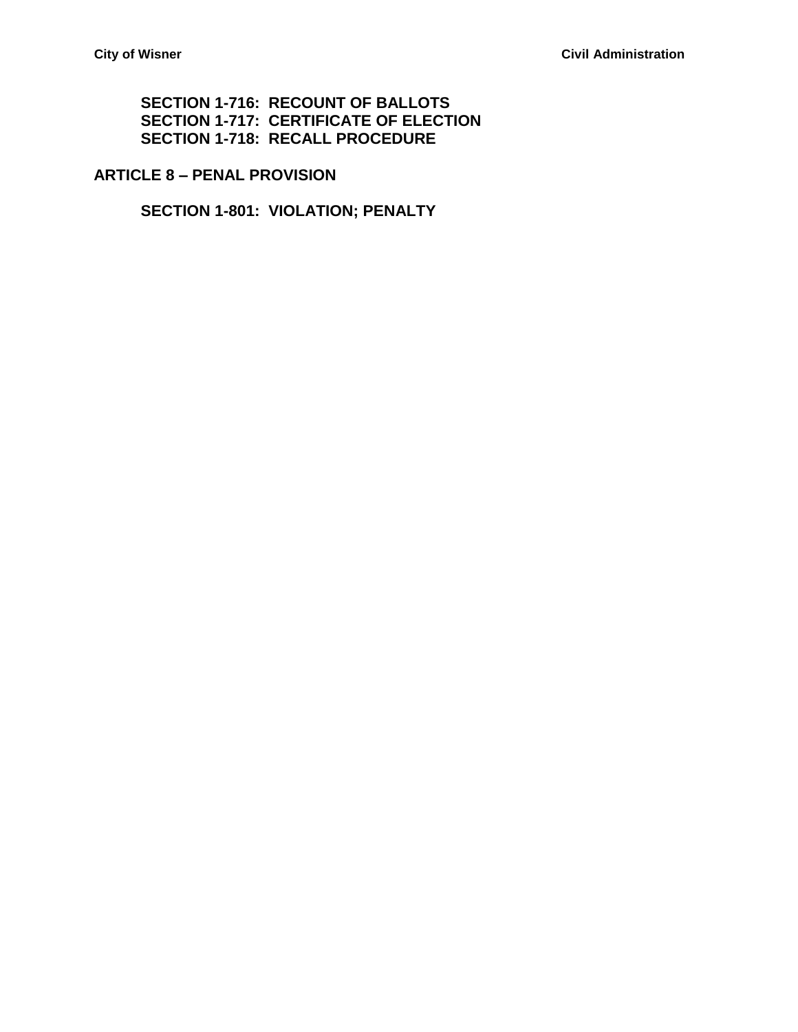**[SECTION 1-716: RECOUNT OF BALLOTS](#page-61-1) [SECTION 1-717: CERTIFICATE OF](#page-61-2) ELECTION [SECTION 1-718: RECALL PROCEDURE](#page-61-3)**

# **ARTICLE 8 – [PENAL PROVISION](#page-62-0)**

**[SECTION 1-801: VIOLATION; PENALTY](#page-62-1)**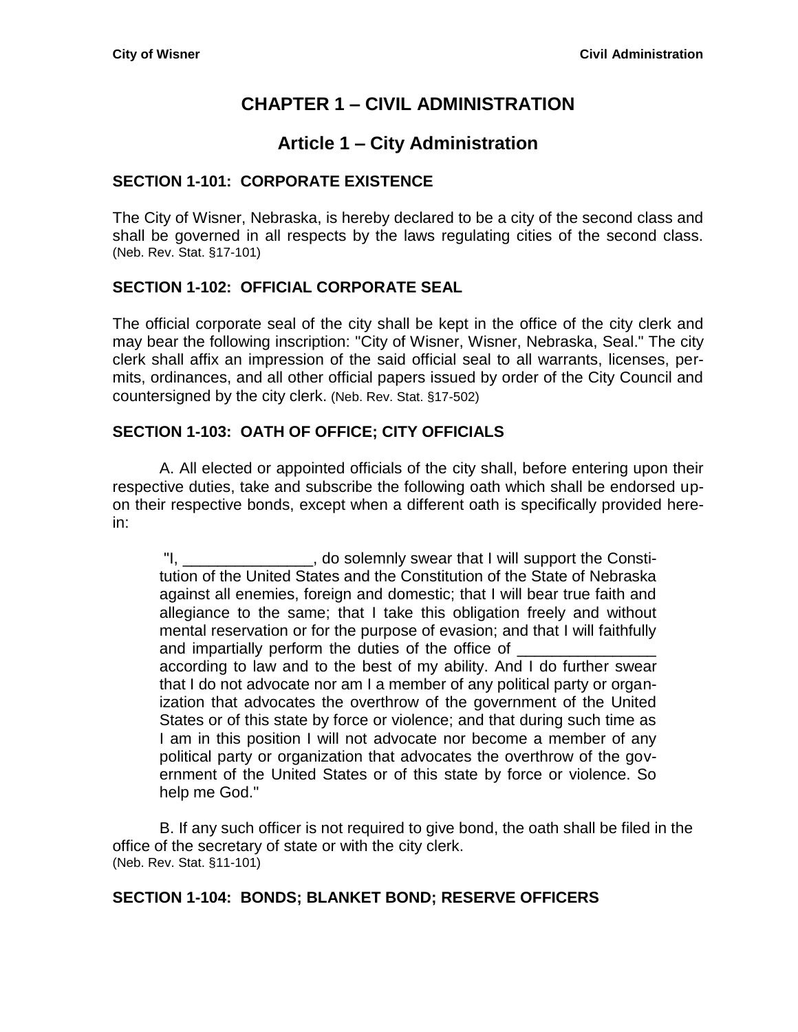# **CHAPTER 1 – CIVIL ADMINISTRATION**

# **Article 1 – City Administration**

### <span id="page-4-2"></span><span id="page-4-1"></span><span id="page-4-0"></span>**SECTION 1-101: CORPORATE EXISTENCE**

The City of Wisner, Nebraska, is hereby declared to be a city of the second class and shall be governed in all respects by the laws regulating cities of the second class. (Neb. Rev. Stat. §17-101)

### <span id="page-4-3"></span>**SECTION 1-102: OFFICIAL CORPORATE SEAL**

The official corporate seal of the city shall be kept in the office of the city clerk and may bear the following inscription: "City of Wisner, Wisner, Nebraska, Seal." The city clerk shall affix an impression of the said official seal to all warrants, licenses, permits, ordinances, and all other official papers issued by order of the City Council and countersigned by the city clerk. (Neb. Rev. Stat. §17-502)

#### <span id="page-4-4"></span>**SECTION 1-103: OATH OF OFFICE; CITY OFFICIALS**

A. All elected or appointed officials of the city shall, before entering upon their respective duties, take and subscribe the following oath which shall be endorsed upon their respective bonds, except when a different oath is specifically provided herein:

"I, \_\_\_\_\_\_\_\_\_\_\_\_\_\_\_, do solemnly swear that I will support the Constitution of the United States and the Constitution of the State of Nebraska against all enemies, foreign and domestic; that I will bear true faith and allegiance to the same; that I take this obligation freely and without mental reservation or for the purpose of evasion; and that I will faithfully and impartially perform the duties of the office of according to law and to the best of my ability. And I do further swear that I do not advocate nor am I a member of any political party or organization that advocates the overthrow of the government of the United States or of this state by force or violence; and that during such time as I am in this position I will not advocate nor become a member of any political party or organization that advocates the overthrow of the government of the United States or of this state by force or violence. So help me God."

B. If any such officer is not required to give bond, the oath shall be filed in the office of the secretary of state or with the city clerk. (Neb. Rev. Stat. §11-101)

# <span id="page-4-5"></span>**SECTION 1-104: BONDS; BLANKET BOND; RESERVE OFFICERS**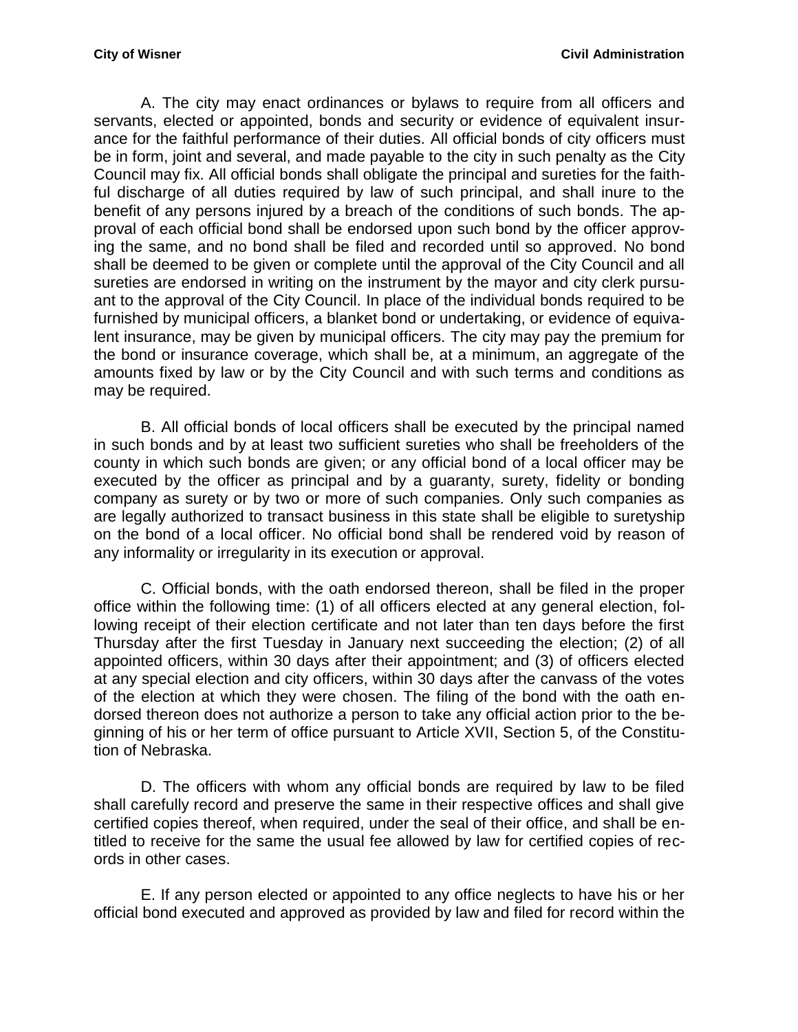A. The city may enact ordinances or bylaws to require from all officers and servants, elected or appointed, bonds and security or evidence of equivalent insurance for the faithful performance of their duties. All official bonds of city officers must be in form, joint and several, and made payable to the city in such penalty as the City Council may fix. All official bonds shall obligate the principal and sureties for the faithful discharge of all duties required by law of such principal, and shall inure to the benefit of any persons injured by a breach of the conditions of such bonds. The approval of each official bond shall be endorsed upon such bond by the officer approving the same, and no bond shall be filed and recorded until so approved. No bond shall be deemed to be given or complete until the approval of the City Council and all sureties are endorsed in writing on the instrument by the mayor and city clerk pursuant to the approval of the City Council. In place of the individual bonds required to be furnished by municipal officers, a blanket bond or undertaking, or evidence of equivalent insurance, may be given by municipal officers. The city may pay the premium for the bond or insurance coverage, which shall be, at a minimum, an aggregate of the amounts fixed by law or by the City Council and with such terms and conditions as may be required.

B. All official bonds of local officers shall be executed by the principal named in such bonds and by at least two sufficient sureties who shall be freeholders of the county in which such bonds are given; or any official bond of a local officer may be executed by the officer as principal and by a guaranty, surety, fidelity or bonding company as surety or by two or more of such companies. Only such companies as are legally authorized to transact business in this state shall be eligible to suretyship on the bond of a local officer. No official bond shall be rendered void by reason of any informality or irregularity in its execution or approval.

C. Official bonds, with the oath endorsed thereon, shall be filed in the proper office within the following time: (1) of all officers elected at any general election, following receipt of their election certificate and not later than ten days before the first Thursday after the first Tuesday in January next succeeding the election; (2) of all appointed officers, within 30 days after their appointment; and (3) of officers elected at any special election and city officers, within 30 days after the canvass of the votes of the election at which they were chosen. The filing of the bond with the oath endorsed thereon does not authorize a person to take any official action prior to the beginning of his or her term of office pursuant to Article XVII, Section 5, of the Constitution of Nebraska.

D. The officers with whom any official bonds are required by law to be filed shall carefully record and preserve the same in their respective offices and shall give certified copies thereof, when required, under the seal of their office, and shall be entitled to receive for the same the usual fee allowed by law for certified copies of records in other cases.

E. If any person elected or appointed to any office neglects to have his or her official bond executed and approved as provided by law and filed for record within the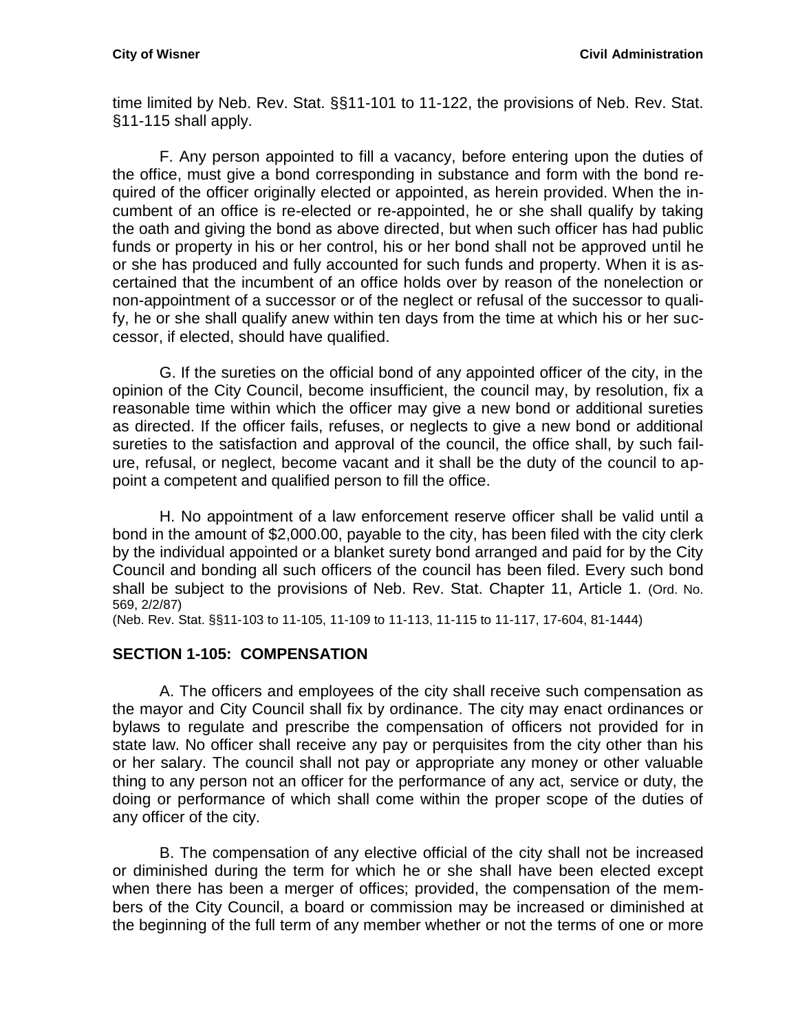time limited by Neb. Rev. Stat. §[§11-101](http://www.casemakerlegal.com/bDocView.aspx?catCalled=Statutes&categoryAlias=STATUTES&state=Nebraska&statecd=NE&codesec=11-101&sessionyr=2014&Title=11&datatype=S&noheader=0&nojumpmsg=0) to [11-122,](http://www.casemakerlegal.com/bDocView.aspx?catCalled=Statutes&categoryAlias=STATUTES&state=Nebraska&statecd=NE&codesec=11-122&sessionyr=2014&Title=11&datatype=S&noheader=0&nojumpmsg=0) the provisions of Neb. Rev. Stat. §11-115 shall apply.

F. Any person appointed to fill a vacancy, before entering upon the duties of the office, must give a bond corresponding in substance and form with the bond required of the officer originally elected or appointed, as herein provided. When the incumbent of an office is re-elected or re-appointed, he or she shall qualify by taking the oath and giving the bond as above directed, but when such officer has had public funds or property in his or her control, his or her bond shall not be approved until he or she has produced and fully accounted for such funds and property. When it is ascertained that the incumbent of an office holds over by reason of the nonelection or non-appointment of a successor or of the neglect or refusal of the successor to qualify, he or she shall qualify anew within ten days from the time at which his or her successor, if elected, should have qualified.

G. If the sureties on the official bond of any appointed officer of the city, in the opinion of the City Council, become insufficient, the council may, by resolution, fix a reasonable time within which the officer may give a new bond or additional sureties as directed. If the officer fails, refuses, or neglects to give a new bond or additional sureties to the satisfaction and approval of the council, the office shall, by such failure, refusal, or neglect, become vacant and it shall be the duty of the council to appoint a competent and qualified person to fill the office.

H. No appointment of a law enforcement reserve officer shall be valid until a bond in the amount of \$2,000.00, payable to the city, has been filed with the city clerk by the individual appointed or a blanket surety bond arranged and paid for by the City Council and bonding all such officers of the council has been filed. Every such bond shall be subject to the provisions of Neb. Rev. Stat. Chapter 11, Article 1. (Ord. No. 569, 2/2/87)

(Neb. Rev. Stat. §§11-103 to 11-105, 11-109 to 11-113, 11-115 to 11-117, 17-604, 81-1444)

#### <span id="page-6-0"></span>**SECTION 1-105: COMPENSATION**

A. The officers and employees of the city shall receive such compensation as the mayor and City Council shall fix by ordinance. The city may enact ordinances or bylaws to regulate and prescribe the compensation of officers not provided for in state law. No officer shall receive any pay or perquisites from the city other than his or her salary. The council shall not pay or appropriate any money or other valuable thing to any person not an officer for the performance of any act, service or duty, the doing or performance of which shall come within the proper scope of the duties of any officer of the city.

B. The compensation of any elective official of the city shall not be increased or diminished during the term for which he or she shall have been elected except when there has been a merger of offices; provided, the compensation of the members of the City Council, a board or commission may be increased or diminished at the beginning of the full term of any member whether or not the terms of one or more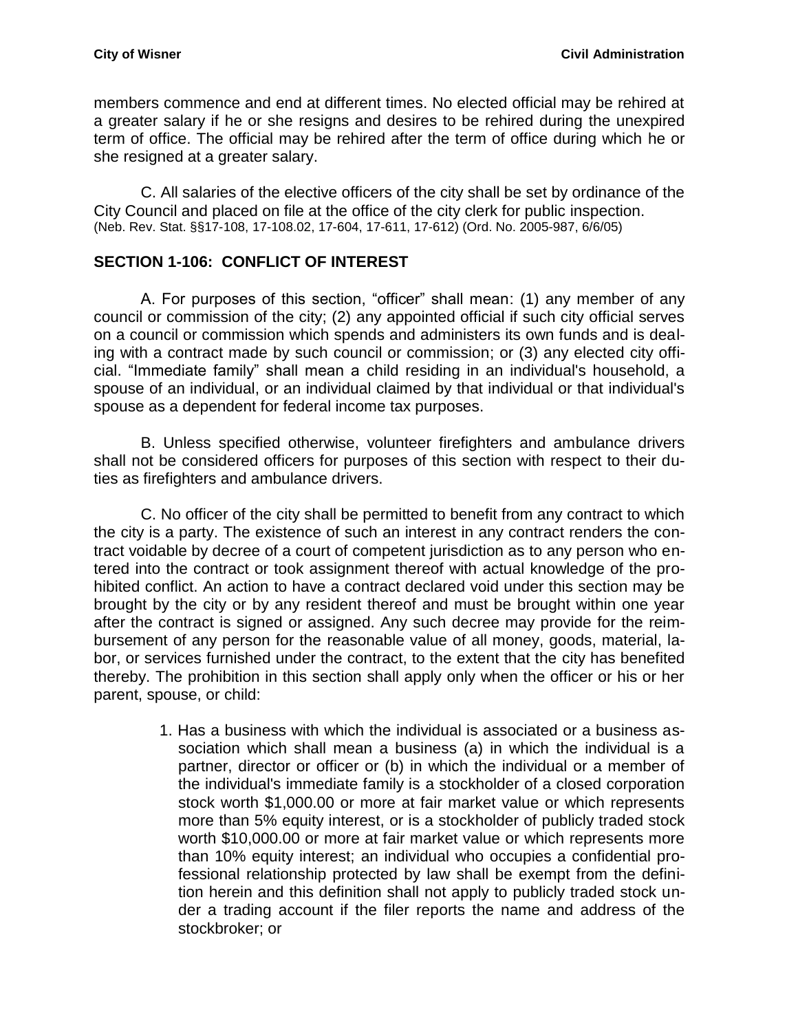members commence and end at different times. No elected official may be rehired at a greater salary if he or she resigns and desires to be rehired during the unexpired term of office. The official may be rehired after the term of office during which he or she resigned at a greater salary.

C. All salaries of the elective officers of the city shall be set by ordinance of the City Council and placed on file at the office of the city clerk for public inspection. (Neb. Rev. Stat. §§17-108, 17-108.02, 17-604, 17-611, 17-612) (Ord. No. 2005-987, 6/6/05)

#### <span id="page-7-0"></span>**SECTION 1-106: CONFLICT OF INTEREST**

A. For purposes of this section, "officer" shall mean: (1) any member of any council or commission of the city; (2) any appointed official if such city official serves on a council or commission which spends and administers its own funds and is dealing with a contract made by such council or commission; or (3) any elected city official. "Immediate family" shall mean a child residing in an individual's household, a spouse of an individual, or an individual claimed by that individual or that individual's spouse as a dependent for federal income tax purposes.

B. Unless specified otherwise, volunteer firefighters and ambulance drivers shall not be considered officers for purposes of this section with respect to their duties as firefighters and ambulance drivers.

C. No officer of the city shall be permitted to benefit from any contract to which the city is a party. The existence of such an interest in any contract renders the contract voidable by decree of a court of competent jurisdiction as to any person who entered into the contract or took assignment thereof with actual knowledge of the prohibited conflict. An action to have a contract declared void under this section may be brought by the city or by any resident thereof and must be brought within one year after the contract is signed or assigned. Any such decree may provide for the reimbursement of any person for the reasonable value of all money, goods, material, labor, or services furnished under the contract, to the extent that the city has benefited thereby. The prohibition in this section shall apply only when the officer or his or her parent, spouse, or child:

> 1. Has a business with which the individual is associated or a business association which shall mean a business (a) in which the individual is a partner, director or officer or (b) in which the individual or a member of the individual's immediate family is a stockholder of a closed corporation stock worth \$1,000.00 or more at fair market value or which represents more than 5% equity interest, or is a stockholder of publicly traded stock worth \$10,000.00 or more at fair market value or which represents more than 10% equity interest; an individual who occupies a confidential professional relationship protected by law shall be exempt from the definition herein and this definition shall not apply to publicly traded stock under a trading account if the filer reports the name and address of the stockbroker; or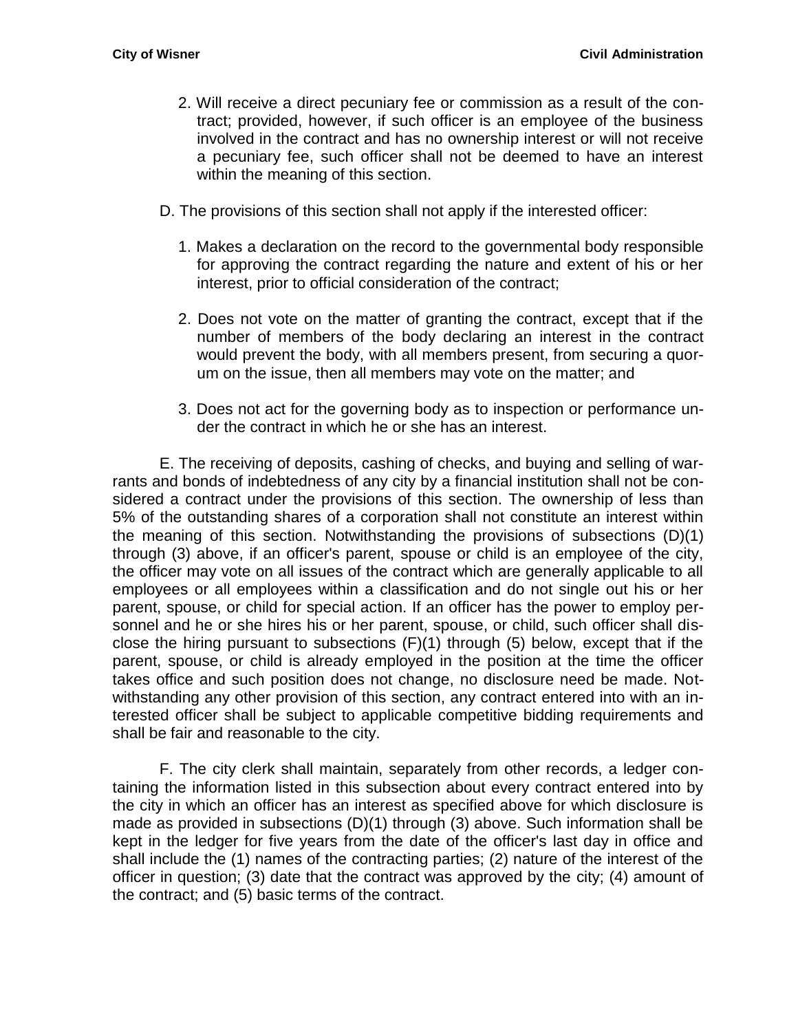- 2. Will receive a direct pecuniary fee or commission as a result of the contract; provided, however, if such officer is an employee of the business involved in the contract and has no ownership interest or will not receive a pecuniary fee, such officer shall not be deemed to have an interest within the meaning of this section.
- D. The provisions of this section shall not apply if the interested officer:
	- 1. Makes a declaration on the record to the governmental body responsible for approving the contract regarding the nature and extent of his or her interest, prior to official consideration of the contract;
	- 2. Does not vote on the matter of granting the contract, except that if the number of members of the body declaring an interest in the contract would prevent the body, with all members present, from securing a quorum on the issue, then all members may vote on the matter; and
	- 3. Does not act for the governing body as to inspection or performance under the contract in which he or she has an interest.

E. The receiving of deposits, cashing of checks, and buying and selling of warrants and bonds of indebtedness of any city by a financial institution shall not be considered a contract under the provisions of this section. The ownership of less than 5% of the outstanding shares of a corporation shall not constitute an interest within the meaning of this section. Notwithstanding the provisions of subsections (D)(1) through (3) above, if an officer's parent, spouse or child is an employee of the city, the officer may vote on all issues of the contract which are generally applicable to all employees or all employees within a classification and do not single out his or her parent, spouse, or child for special action. If an officer has the power to employ personnel and he or she hires his or her parent, spouse, or child, such officer shall disclose the hiring pursuant to subsections  $(F)(1)$  through (5) below, except that if the parent, spouse, or child is already employed in the position at the time the officer takes office and such position does not change, no disclosure need be made. Notwithstanding any other provision of this section, any contract entered into with an interested officer shall be subject to applicable competitive bidding requirements and shall be fair and reasonable to the city.

F. The city clerk shall maintain, separately from other records, a ledger containing the information listed in this subsection about every contract entered into by the city in which an officer has an interest as specified above for which disclosure is made as provided in subsections  $(D)(1)$  through  $(3)$  above. Such information shall be kept in the ledger for five years from the date of the officer's last day in office and shall include the (1) names of the contracting parties; (2) nature of the interest of the officer in question; (3) date that the contract was approved by the city; (4) amount of the contract; and (5) basic terms of the contract.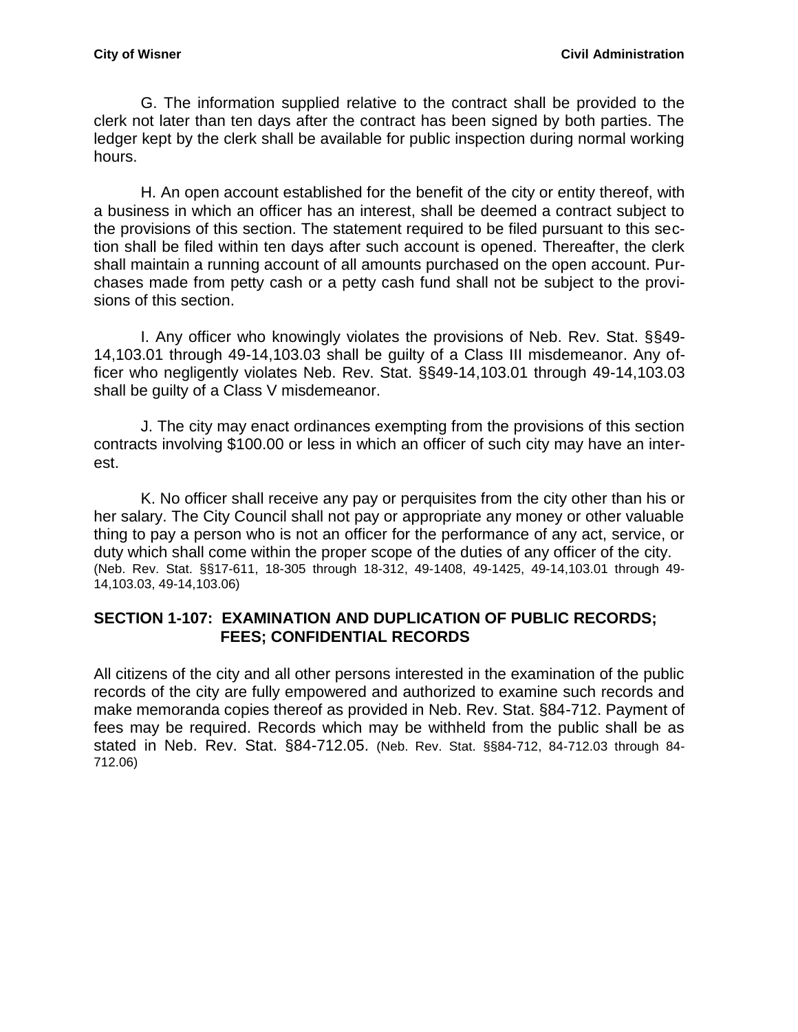G. The information supplied relative to the contract shall be provided to the clerk not later than ten days after the contract has been signed by both parties. The ledger kept by the clerk shall be available for public inspection during normal working hours.

H. An open account established for the benefit of the city or entity thereof, with a business in which an officer has an interest, shall be deemed a contract subject to the provisions of this section. The statement required to be filed pursuant to this section shall be filed within ten days after such account is opened. Thereafter, the clerk shall maintain a running account of all amounts purchased on the open account. Purchases made from petty cash or a petty cash fund shall not be subject to the provisions of this section.

I. Any officer who knowingly violates the provisions of Neb. Rev. Stat. §§49- 14,103.01 through 49-14,103.03 shall be guilty of a Class III misdemeanor. Any officer who negligently violates Neb. Rev. Stat. §§49-14,103.01 through 49-14,103.03 shall be guilty of a Class V misdemeanor.

J. The city may enact ordinances exempting from the provisions of this section contracts involving \$100.00 or less in which an officer of such city may have an interest.

K. No officer shall receive any pay or perquisites from the city other than his or her salary. The City Council shall not pay or appropriate any money or other valuable thing to pay a person who is not an officer for the performance of any act, service, or duty which shall come within the proper scope of the duties of any officer of the city. (Neb. Rev. Stat. §§17-611, 18-305 through 18-312, 49-1408, 49-1425, 49-14,103.01 through 49- 14,103.03, 49-14,103.06)

### <span id="page-9-0"></span>**SECTION 1-107: EXAMINATION AND DUPLICATION OF PUBLIC RECORDS; FEES; CONFIDENTIAL RECORDS**

All citizens of the city and all other persons interested in the examination of the public records of the city are fully empowered and authorized to examine such records and make memoranda copies thereof as provided in Neb. Rev. Stat. §84-712. Payment of fees may be required. Records which may be withheld from the public shall be as stated in Neb. Rev. Stat. §84-712.05. (Neb. Rev. Stat. §§84-712, 84-712.03 through 84- 712.06)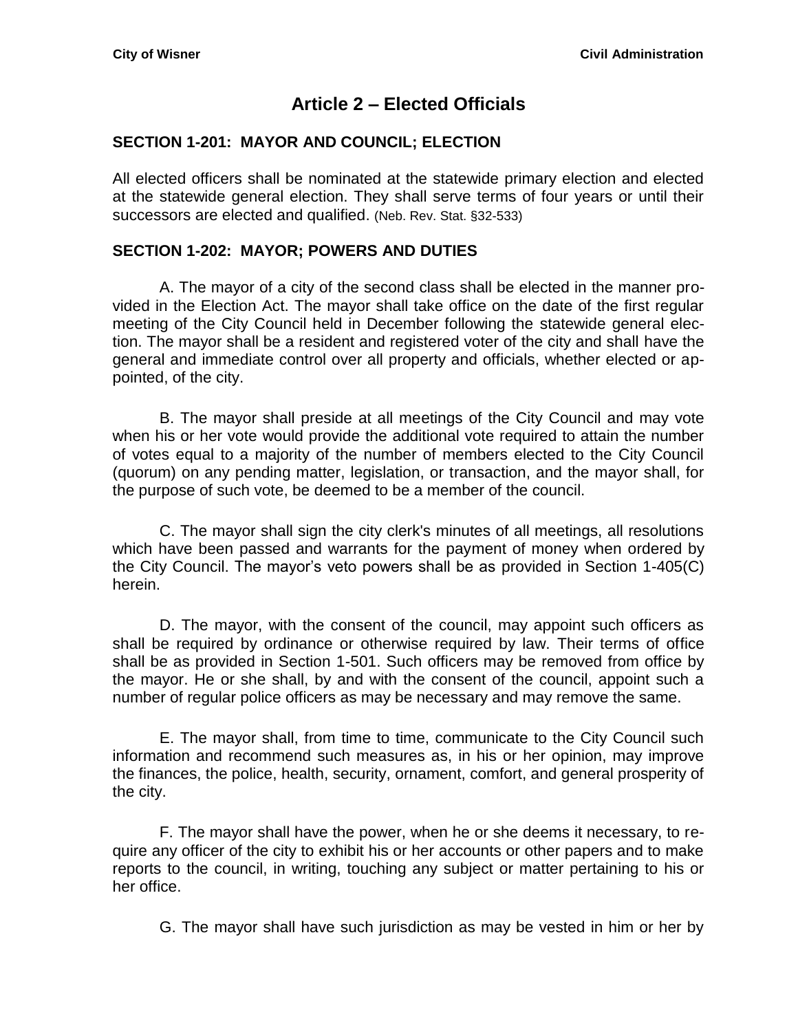# **Article 2 – Elected Officials**

### <span id="page-10-1"></span><span id="page-10-0"></span>**SECTION 1-201: MAYOR AND COUNCIL; ELECTION**

All elected officers shall be nominated at the statewide primary election and elected at the statewide general election. They shall serve terms of four years or until their successors are elected and qualified. (Neb. Rev. Stat. §32-533)

### <span id="page-10-2"></span>**SECTION 1-202: MAYOR; POWERS AND DUTIES**

A. The mayor of a city of the second class shall be elected in the manner provided in the Election Act. The mayor shall take office on the date of the first regular meeting of the City Council held in December following the statewide general election. The mayor shall be a resident and registered voter of the city and shall have the general and immediate control over all property and officials, whether elected or appointed, of the city.

B. The mayor shall preside at all meetings of the City Council and may vote when his or her vote would provide the additional vote required to attain the number of votes equal to a majority of the number of members elected to the City Council (quorum) on any pending matter, legislation, or transaction, and the mayor shall, for the purpose of such vote, be deemed to be a member of the council.

C. The mayor shall sign the city clerk's minutes of all meetings, all resolutions which have been passed and warrants for the payment of money when ordered by the City Council. The mayor's veto powers shall be as provided in Section 1-405(C) herein.

D. The mayor, with the consent of the council, may appoint such officers as shall be required by ordinance or otherwise required by law. Their terms of office shall be as provided in Section 1-501. Such officers may be removed from office by the mayor. He or she shall, by and with the consent of the council, appoint such a number of regular police officers as may be necessary and may remove the same.

E. The mayor shall, from time to time, communicate to the City Council such information and recommend such measures as, in his or her opinion, may improve the finances, the police, health, security, ornament, comfort, and general prosperity of the city.

F. The mayor shall have the power, when he or she deems it necessary, to require any officer of the city to exhibit his or her accounts or other papers and to make reports to the council, in writing, touching any subject or matter pertaining to his or her office.

G. The mayor shall have such jurisdiction as may be vested in him or her by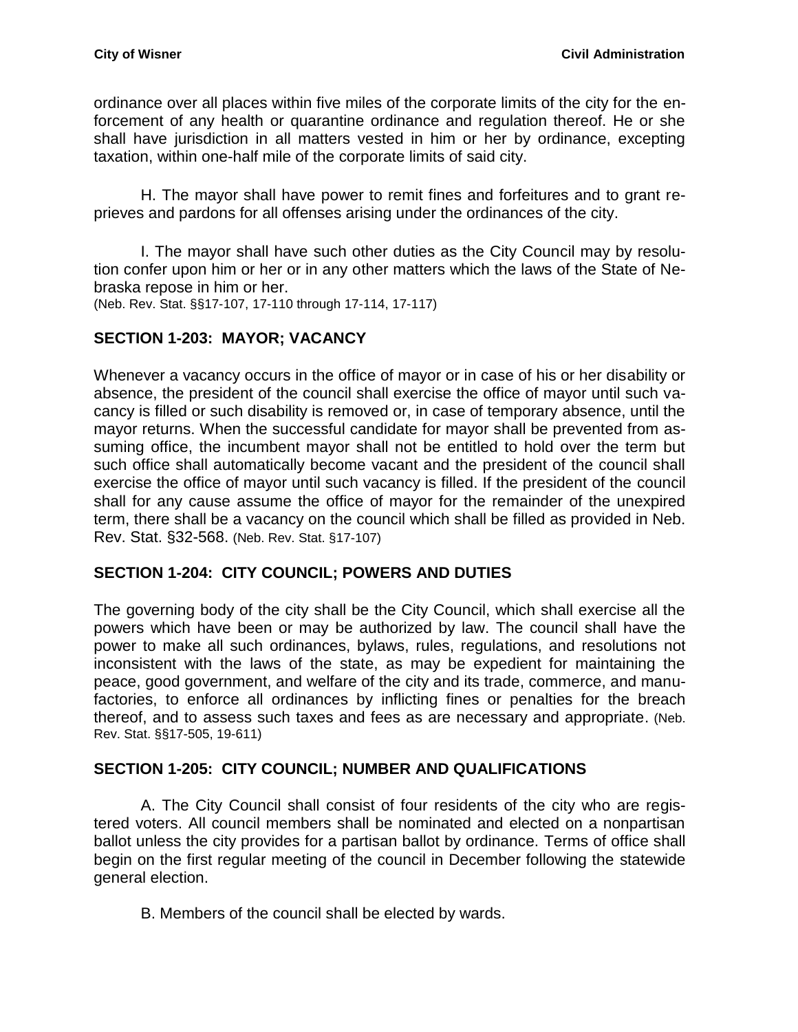ordinance over all places within five miles of the corporate limits of the city for the enforcement of any health or quarantine ordinance and regulation thereof. He or she shall have jurisdiction in all matters vested in him or her by ordinance, excepting taxation, within one-half mile of the corporate limits of said city.

H. The mayor shall have power to remit fines and forfeitures and to grant reprieves and pardons for all offenses arising under the ordinances of the city.

I. The mayor shall have such other duties as the City Council may by resolution confer upon him or her or in any other matters which the laws of the State of Nebraska repose in him or her.

(Neb. Rev. Stat. §§17-107, 17-110 through 17-114, 17-117)

### <span id="page-11-0"></span>**SECTION 1-203: MAYOR; VACANCY**

Whenever a vacancy occurs in the office of mayor or in case of his or her disability or absence, the president of the council shall exercise the office of mayor until such vacancy is filled or such disability is removed or, in case of temporary absence, until the mayor returns. When the successful candidate for mayor shall be prevented from assuming office, the incumbent mayor shall not be entitled to hold over the term but such office shall automatically become vacant and the president of the council shall exercise the office of mayor until such vacancy is filled. If the president of the council shall for any cause assume the office of mayor for the remainder of the unexpired term, there shall be a vacancy on the council which shall be filled as provided in Neb. Rev. Stat. §32-568. (Neb. Rev. Stat. §17-107)

#### <span id="page-11-1"></span>**SECTION 1-204: CITY COUNCIL; POWERS AND DUTIES**

The governing body of the city shall be the City Council, which shall exercise all the powers which have been or may be authorized by law. The council shall have the power to make all such ordinances, bylaws, rules, regulations, and resolutions not inconsistent with the laws of the state, as may be expedient for maintaining the peace, good government, and welfare of the city and its trade, commerce, and manufactories, to enforce all ordinances by inflicting fines or penalties for the breach thereof, and to assess such taxes and fees as are necessary and appropriate. (Neb. Rev. Stat. §§17-505, 19-611)

#### <span id="page-11-2"></span>**SECTION 1-205: CITY COUNCIL; NUMBER AND QUALIFICATIONS**

A. The City Council shall consist of four residents of the city who are registered voters. All council members shall be nominated and elected on a nonpartisan ballot unless the city provides for a partisan ballot by ordinance. Terms of office shall begin on the first regular meeting of the council in December following the statewide general election.

B. Members of the council shall be elected by wards.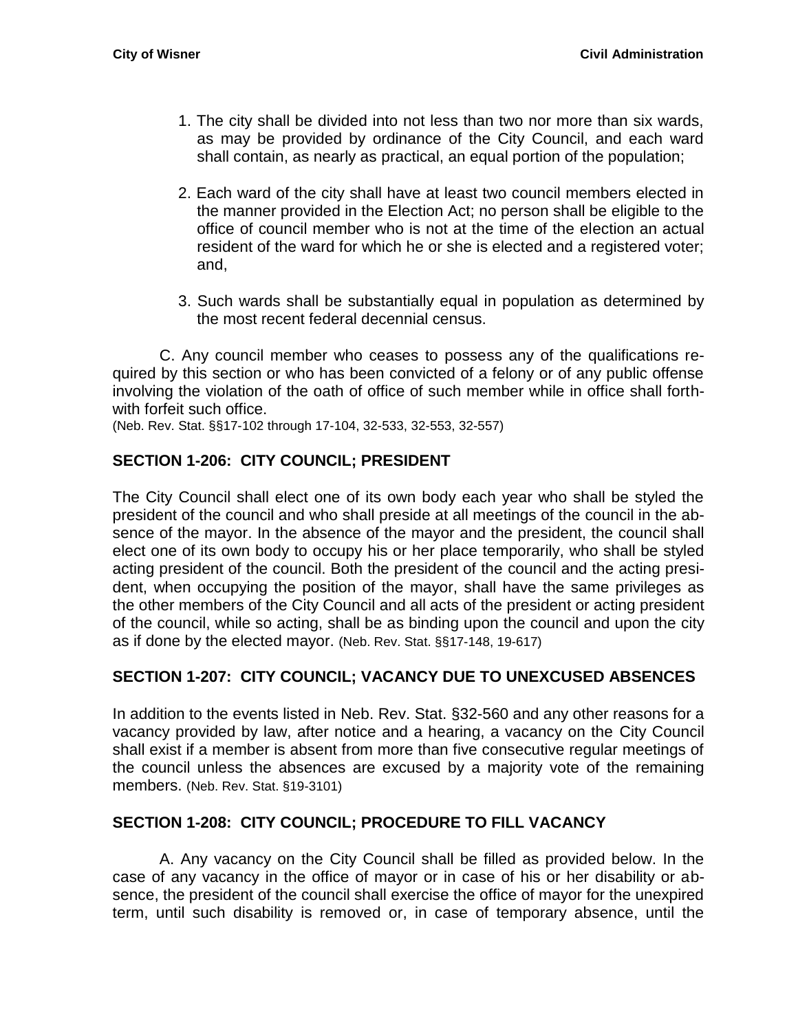- 1. The city shall be divided into not less than two nor more than six wards, as may be provided by ordinance of the City Council, and each ward shall contain, as nearly as practical, an equal portion of the population;
- 2. Each ward of the city shall have at least two council members elected in the manner provided in the Election Act; no person shall be eligible to the office of council member who is not at the time of the election an actual resident of the ward for which he or she is elected and a registered voter; and,
- 3. Such wards shall be substantially equal in population as determined by the most recent federal decennial census.

C. Any council member who ceases to possess any of the qualifications required by this section or who has been convicted of a felony or of any public offense involving the violation of the oath of office of such member while in office shall forthwith forfeit such office.

(Neb. Rev. Stat. §§17-102 through 17-104, 32-533, 32-553, 32-557)

### <span id="page-12-0"></span>**SECTION 1-206: CITY COUNCIL; PRESIDENT**

The City Council shall elect one of its own body each year who shall be styled the president of the council and who shall preside at all meetings of the council in the absence of the mayor. In the absence of the mayor and the president, the council shall elect one of its own body to occupy his or her place temporarily, who shall be styled acting president of the council. Both the president of the council and the acting president, when occupying the position of the mayor, shall have the same privileges as the other members of the City Council and all acts of the president or acting president of the council, while so acting, shall be as binding upon the council and upon the city as if done by the elected mayor. (Neb. Rev. Stat. §§17-148, 19-617)

# <span id="page-12-1"></span>**SECTION 1-207: CITY COUNCIL; VACANCY DUE TO UNEXCUSED ABSENCES**

In addition to the events listed in Neb. Rev. Stat. §32-560 and any other reasons for a vacancy provided by law, after notice and a hearing, a vacancy on the City Council shall exist if a member is absent from more than five consecutive regular meetings of the council unless the absences are excused by a majority vote of the remaining members. (Neb. Rev. Stat. §19-3101)

#### <span id="page-12-2"></span>**SECTION 1-208: CITY COUNCIL; PROCEDURE TO FILL VACANCY**

A. Any vacancy on the City Council shall be filled as provided below. In the case of any vacancy in the office of mayor or in case of his or her disability or absence, the president of the council shall exercise the office of mayor for the unexpired term, until such disability is removed or, in case of temporary absence, until the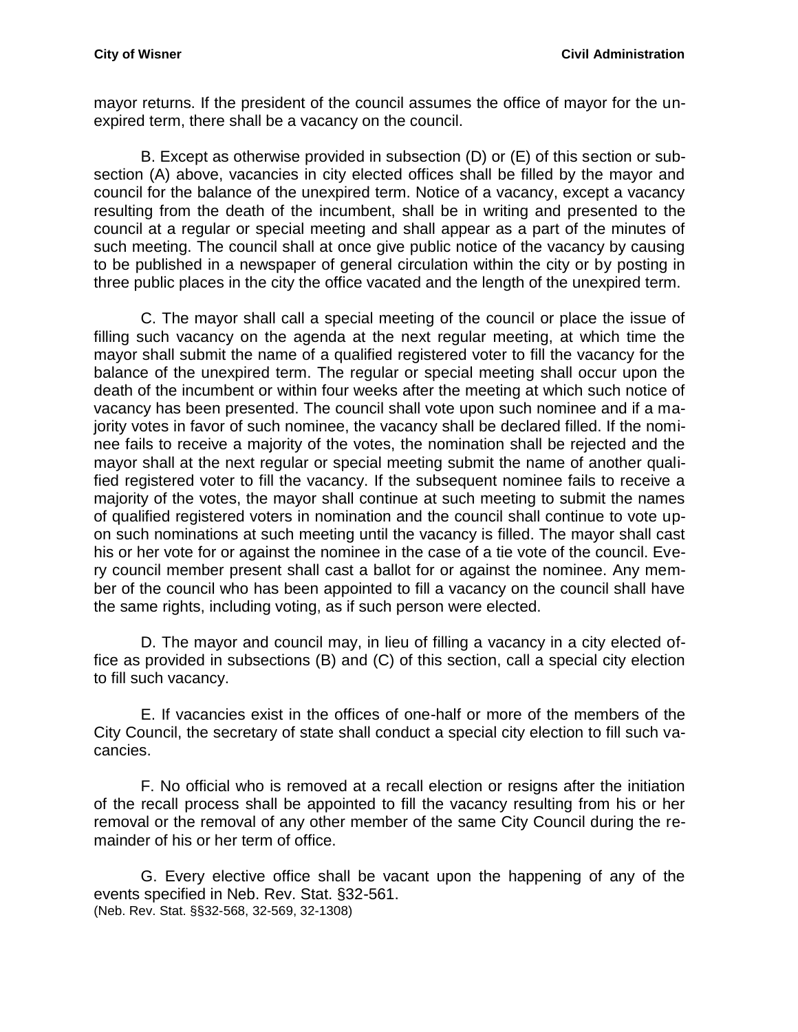mayor returns. If the president of the council assumes the office of mayor for the unexpired term, there shall be a vacancy on the council.

B. Except as otherwise provided in subsection (D) or (E) of this section or subsection (A) above, vacancies in city elected offices shall be filled by the mayor and council for the balance of the unexpired term. Notice of a vacancy, except a vacancy resulting from the death of the incumbent, shall be in writing and presented to the council at a regular or special meeting and shall appear as a part of the minutes of such meeting. The council shall at once give public notice of the vacancy by causing to be published in a newspaper of general circulation within the city or by posting in three public places in the city the office vacated and the length of the unexpired term.

C. The mayor shall call a special meeting of the council or place the issue of filling such vacancy on the agenda at the next regular meeting, at which time the mayor shall submit the name of a qualified registered voter to fill the vacancy for the balance of the unexpired term. The regular or special meeting shall occur upon the death of the incumbent or within four weeks after the meeting at which such notice of vacancy has been presented. The council shall vote upon such nominee and if a majority votes in favor of such nominee, the vacancy shall be declared filled. If the nominee fails to receive a majority of the votes, the nomination shall be rejected and the mayor shall at the next regular or special meeting submit the name of another qualified registered voter to fill the vacancy. If the subsequent nominee fails to receive a majority of the votes, the mayor shall continue at such meeting to submit the names of qualified registered voters in nomination and the council shall continue to vote upon such nominations at such meeting until the vacancy is filled. The mayor shall cast his or her vote for or against the nominee in the case of a tie vote of the council. Every council member present shall cast a ballot for or against the nominee. Any member of the council who has been appointed to fill a vacancy on the council shall have the same rights, including voting, as if such person were elected.

D. The mayor and council may, in lieu of filling a vacancy in a city elected office as provided in subsections (B) and (C) of this section, call a special city election to fill such vacancy.

E. If vacancies exist in the offices of one-half or more of the members of the City Council, the secretary of state shall conduct a special city election to fill such vacancies.

F. No official who is removed at a recall election or resigns after the initiation of the recall process shall be appointed to fill the vacancy resulting from his or her removal or the removal of any other member of the same City Council during the remainder of his or her term of office.

G. Every elective office shall be vacant upon the happening of any of the events specified in Neb. Rev. Stat. §32-561. (Neb. Rev. Stat. §§32-568, 32-569, 32-1308)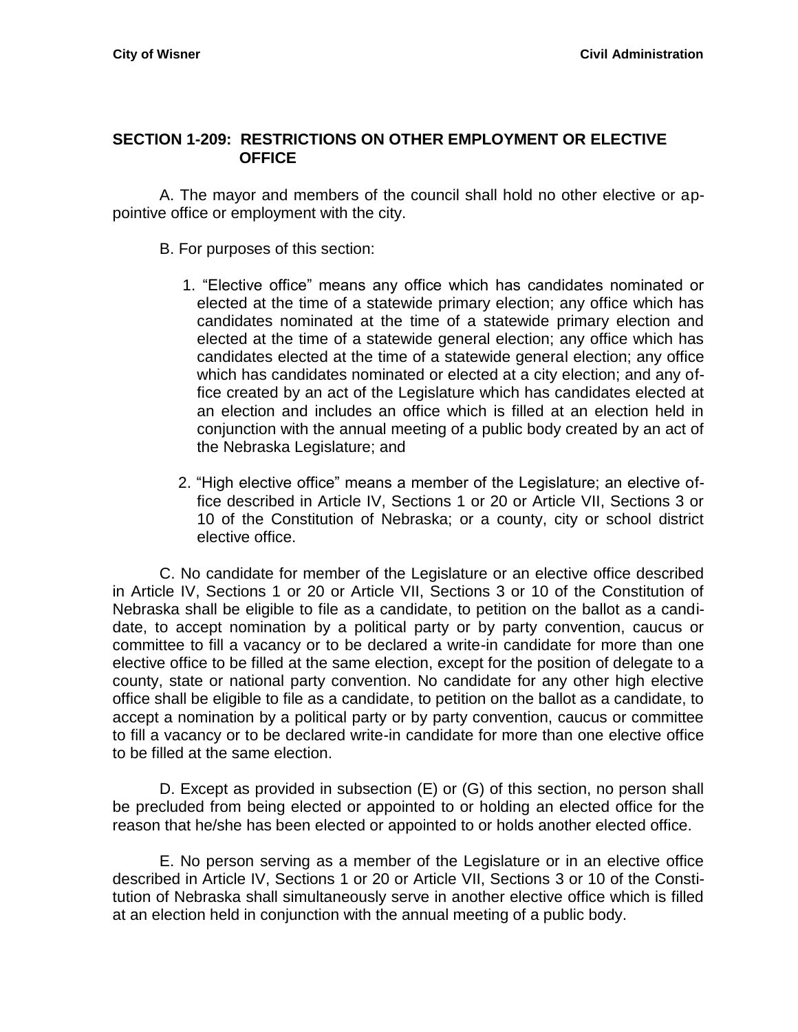#### <span id="page-14-0"></span>**SECTION 1-209: RESTRICTIONS ON OTHER EMPLOYMENT OR ELECTIVE OFFICE**

A. The mayor and members of the council shall hold no other elective or appointive office or employment with the city.

B. For purposes of this section:

- 1. "Elective office" means any office which has candidates nominated or elected at the time of a statewide primary election; any office which has candidates nominated at the time of a statewide primary election and elected at the time of a statewide general election; any office which has candidates elected at the time of a statewide general election; any office which has candidates nominated or elected at a city election; and any office created by an act of the Legislature which has candidates elected at an election and includes an office which is filled at an election held in conjunction with the annual meeting of a public body created by an act of the Nebraska Legislature; and
- 2. "High elective office" means a member of the Legislature; an elective office described in Article IV, Sections 1 or 20 or Article VII, Sections 3 or 10 of the Constitution of Nebraska; or a county, city or school district elective office.

C. No candidate for member of the Legislature or an elective office described in Article IV, Sections 1 or 20 or Article VII, Sections 3 or 10 of the Constitution of Nebraska shall be eligible to file as a candidate, to petition on the ballot as a candidate, to accept nomination by a political party or by party convention, caucus or committee to fill a vacancy or to be declared a write-in candidate for more than one elective office to be filled at the same election, except for the position of delegate to a county, state or national party convention. No candidate for any other high elective office shall be eligible to file as a candidate, to petition on the ballot as a candidate, to accept a nomination by a political party or by party convention, caucus or committee to fill a vacancy or to be declared write-in candidate for more than one elective office to be filled at the same election.

D. Except as provided in subsection (E) or (G) of this section, no person shall be precluded from being elected or appointed to or holding an elected office for the reason that he/she has been elected or appointed to or holds another elected office.

E. No person serving as a member of the Legislature or in an elective office described in Article IV, Sections 1 or 20 or Article VII, Sections 3 or 10 of the Constitution of Nebraska shall simultaneously serve in another elective office which is filled at an election held in conjunction with the annual meeting of a public body.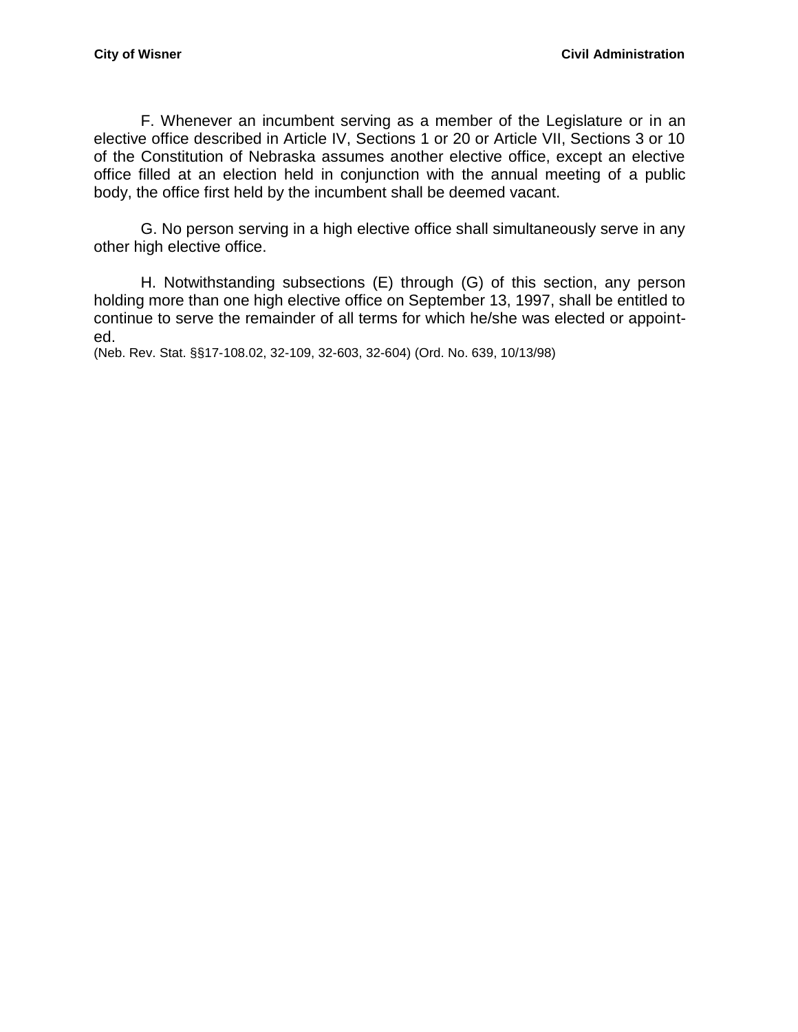F. Whenever an incumbent serving as a member of the Legislature or in an elective office described in Article IV, Sections 1 or 20 or Article VII, Sections 3 or 10 of the Constitution of Nebraska assumes another elective office, except an elective office filled at an election held in conjunction with the annual meeting of a public body, the office first held by the incumbent shall be deemed vacant.

G. No person serving in a high elective office shall simultaneously serve in any other high elective office.

H. Notwithstanding subsections (E) through (G) of this section, any person holding more than one high elective office on September 13, 1997, shall be entitled to continue to serve the remainder of all terms for which he/she was elected or appointed.

(Neb. Rev. Stat. §§17-108.02, 32-109, 32-603, 32-604) (Ord. No. 639, 10/13/98)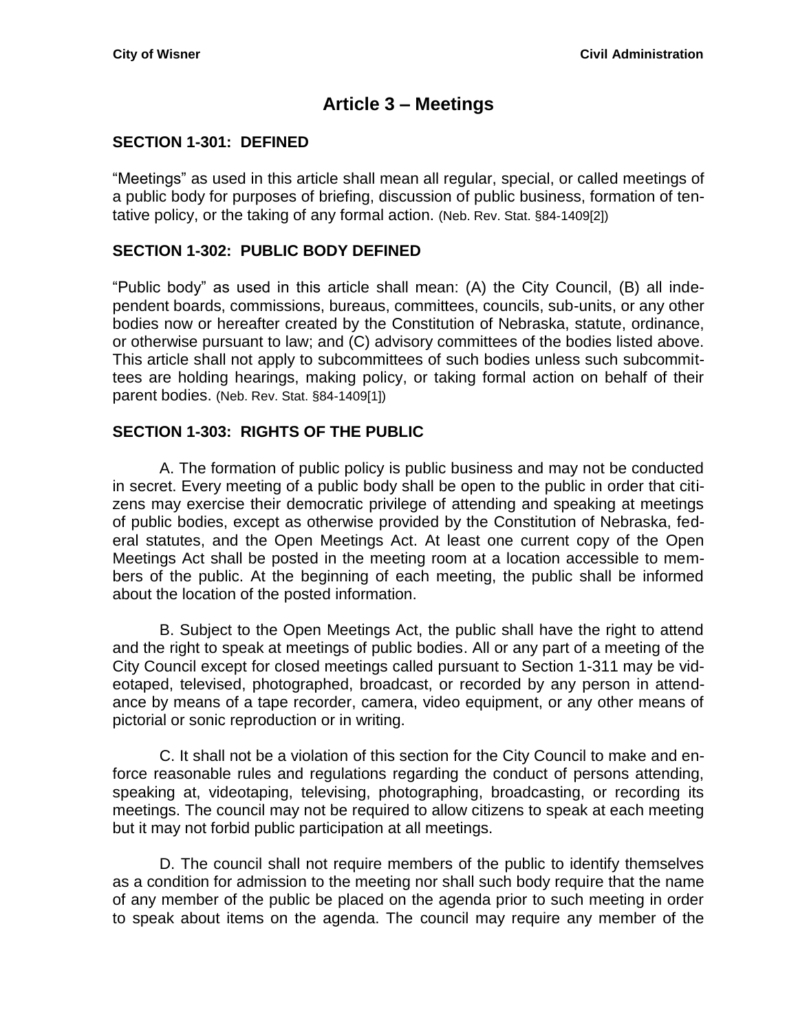# **Article 3 – Meetings**

### <span id="page-16-1"></span><span id="page-16-0"></span>**SECTION 1-301: DEFINED**

"Meetings" as used in this article shall mean all regular, special, or called meetings of a public body for purposes of briefing, discussion of public business, formation of tentative policy, or the taking of any formal action. (Neb. Rev. Stat. §84-1409[2])

### <span id="page-16-2"></span>**SECTION 1-302: PUBLIC BODY DEFINED**

"Public body" as used in this article shall mean: (A) the City Council, (B) all independent boards, commissions, bureaus, committees, councils, sub-units, or any other bodies now or hereafter created by the Constitution of Nebraska, statute, ordinance, or otherwise pursuant to law; and (C) advisory committees of the bodies listed above. This article shall not apply to subcommittees of such bodies unless such subcommittees are holding hearings, making policy, or taking formal action on behalf of their parent bodies. (Neb. Rev. Stat. §84-1409[1])

#### <span id="page-16-3"></span>**SECTION 1-303: RIGHTS OF THE PUBLIC**

A. The formation of public policy is public business and may not be conducted in secret. Every meeting of a public body shall be open to the public in order that citizens may exercise their democratic privilege of attending and speaking at meetings of public bodies, except as otherwise provided by the Constitution of Nebraska, federal statutes, and the Open Meetings Act. At least one current copy of the Open Meetings Act shall be posted in the meeting room at a location accessible to members of the public. At the beginning of each meeting, the public shall be informed about the location of the posted information.

B. Subject to the Open Meetings Act, the public shall have the right to attend and the right to speak at meetings of public bodies. All or any part of a meeting of the City Council except for closed meetings called pursuant to Section 1-311 may be videotaped, televised, photographed, broadcast, or recorded by any person in attendance by means of a tape recorder, camera, video equipment, or any other means of pictorial or sonic reproduction or in writing.

C. It shall not be a violation of this section for the City Council to make and enforce reasonable rules and regulations regarding the conduct of persons attending, speaking at, videotaping, televising, photographing, broadcasting, or recording its meetings. The council may not be required to allow citizens to speak at each meeting but it may not forbid public participation at all meetings.

D. The council shall not require members of the public to identify themselves as a condition for admission to the meeting nor shall such body require that the name of any member of the public be placed on the agenda prior to such meeting in order to speak about items on the agenda. The council may require any member of the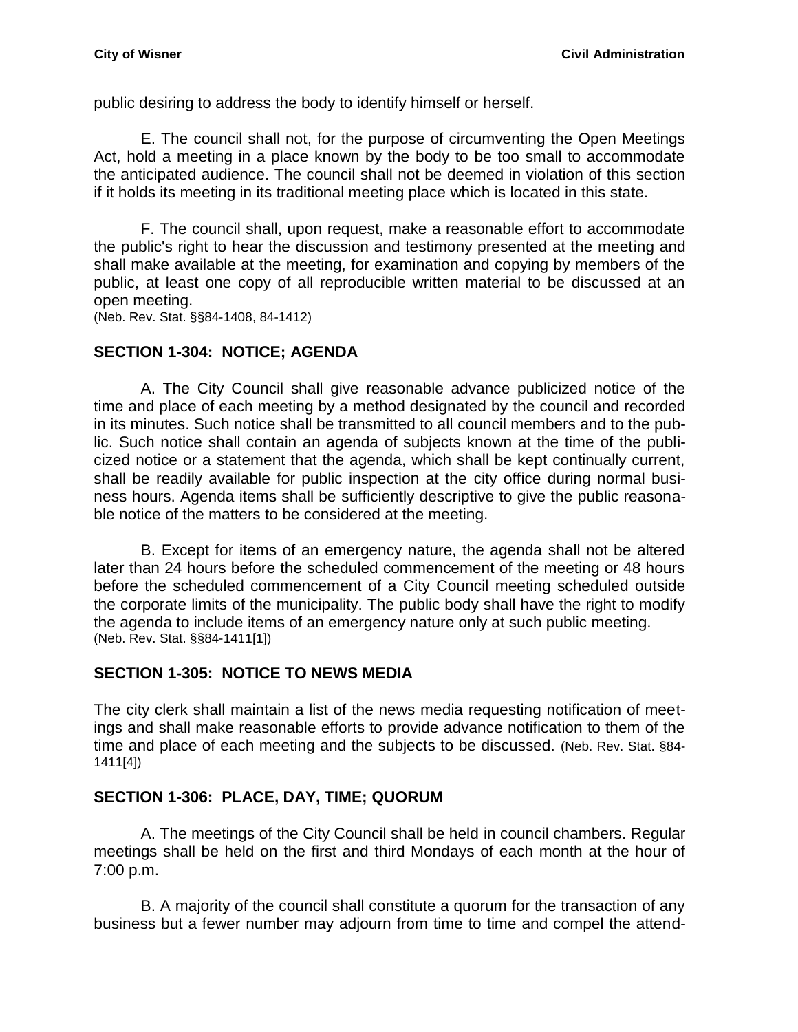public desiring to address the body to identify himself or herself.

E. The council shall not, for the purpose of circumventing the Open Meetings Act, hold a meeting in a place known by the body to be too small to accommodate the anticipated audience. The council shall not be deemed in violation of this section if it holds its meeting in its traditional meeting place which is located in this state.

F. The council shall, upon request, make a reasonable effort to accommodate the public's right to hear the discussion and testimony presented at the meeting and shall make available at the meeting, for examination and copying by members of the public, at least one copy of all reproducible written material to be discussed at an open meeting.

(Neb. Rev. Stat. §§84-1408, 84-1412)

# <span id="page-17-0"></span>**SECTION 1-304: NOTICE; AGENDA**

A. The City Council shall give reasonable advance publicized notice of the time and place of each meeting by a method designated by the council and recorded in its minutes. Such notice shall be transmitted to all council members and to the public. Such notice shall contain an agenda of subjects known at the time of the publicized notice or a statement that the agenda, which shall be kept continually current, shall be readily available for public inspection at the city office during normal business hours. Agenda items shall be sufficiently descriptive to give the public reasonable notice of the matters to be considered at the meeting.

B. Except for items of an emergency nature, the agenda shall not be altered later than 24 hours before the scheduled commencement of the meeting or 48 hours before the scheduled commencement of a City Council meeting scheduled outside the corporate limits of the municipality. The public body shall have the right to modify the agenda to include items of an emergency nature only at such public meeting. (Neb. Rev. Stat. §§84-1411[1])

# <span id="page-17-1"></span>**SECTION 1-305: NOTICE TO NEWS MEDIA**

The city clerk shall maintain a list of the news media requesting notification of meetings and shall make reasonable efforts to provide advance notification to them of the time and place of each meeting and the subjects to be discussed. (Neb. Rev. Stat. §84- 1411[4])

# <span id="page-17-2"></span>**SECTION 1-306: PLACE, DAY, TIME; QUORUM**

A. The meetings of the City Council shall be held in council chambers. Regular meetings shall be held on the first and third Mondays of each month at the hour of 7:00 p.m.

B. A majority of the council shall constitute a quorum for the transaction of any business but a fewer number may adjourn from time to time and compel the attend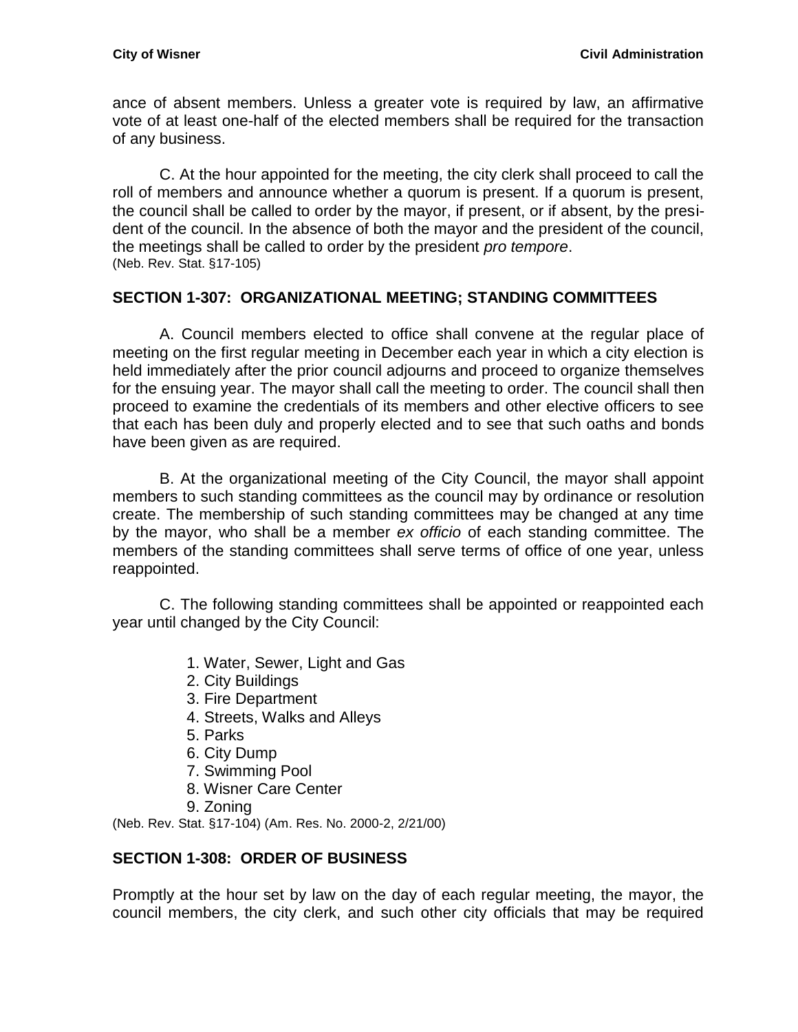ance of absent members. Unless a greater vote is required by law, an affirmative vote of at least one-half of the elected members shall be required for the transaction of any business.

C. At the hour appointed for the meeting, the city clerk shall proceed to call the roll of members and announce whether a quorum is present. If a quorum is present, the council shall be called to order by the mayor, if present, or if absent, by the president of the council. In the absence of both the mayor and the president of the council, the meetings shall be called to order by the president *pro tempore*. (Neb. Rev. Stat. §17-105)

# <span id="page-18-0"></span>**SECTION 1-307: ORGANIZATIONAL MEETING; STANDING COMMITTEES**

A. Council members elected to office shall convene at the regular place of meeting on the first regular meeting in December each year in which a city election is held immediately after the prior council adjourns and proceed to organize themselves for the ensuing year. The mayor shall call the meeting to order. The council shall then proceed to examine the credentials of its members and other elective officers to see that each has been duly and properly elected and to see that such oaths and bonds have been given as are required.

B. At the organizational meeting of the City Council, the mayor shall appoint members to such standing committees as the council may by ordinance or resolution create. The membership of such standing committees may be changed at any time by the mayor, who shall be a member *ex officio* of each standing committee. The members of the standing committees shall serve terms of office of one year, unless reappointed.

C. The following standing committees shall be appointed or reappointed each year until changed by the City Council:

- 1. Water, Sewer, Light and Gas
- 2. City Buildings
- 3. Fire Department
- 4. Streets, Walks and Alleys
- 5. Parks
- 6. City Dump
- 7. Swimming Pool
- 8. Wisner Care Center
- 9. Zoning

(Neb. Rev. Stat. §17-104) (Am. Res. No. 2000-2, 2/21/00)

# <span id="page-18-1"></span>**SECTION 1-308: ORDER OF BUSINESS**

Promptly at the hour set by law on the day of each regular meeting, the mayor, the council members, the city clerk, and such other city officials that may be required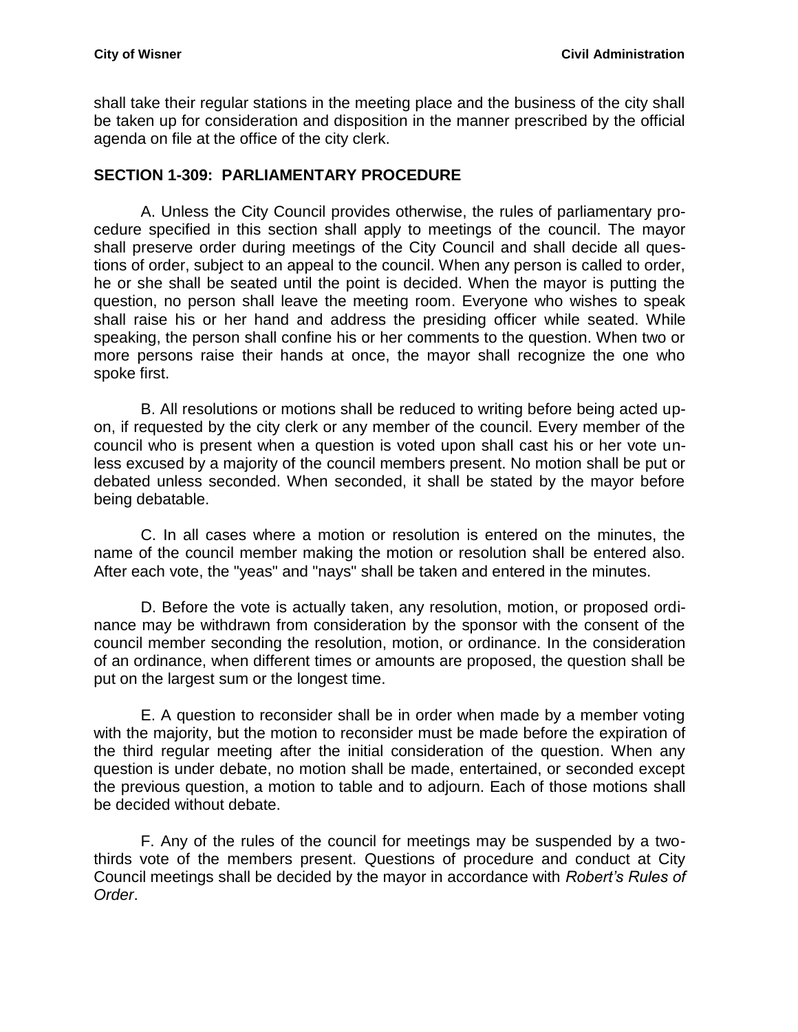shall take their regular stations in the meeting place and the business of the city shall be taken up for consideration and disposition in the manner prescribed by the official agenda on file at the office of the city clerk.

#### <span id="page-19-0"></span>**SECTION 1-309: PARLIAMENTARY PROCEDURE**

A. Unless the City Council provides otherwise, the rules of parliamentary procedure specified in this section shall apply to meetings of the council. The mayor shall preserve order during meetings of the City Council and shall decide all questions of order, subject to an appeal to the council. When any person is called to order, he or she shall be seated until the point is decided. When the mayor is putting the question, no person shall leave the meeting room. Everyone who wishes to speak shall raise his or her hand and address the presiding officer while seated. While speaking, the person shall confine his or her comments to the question. When two or more persons raise their hands at once, the mayor shall recognize the one who spoke first.

B. All resolutions or motions shall be reduced to writing before being acted upon, if requested by the city clerk or any member of the council. Every member of the council who is present when a question is voted upon shall cast his or her vote unless excused by a majority of the council members present. No motion shall be put or debated unless seconded. When seconded, it shall be stated by the mayor before being debatable.

C. In all cases where a motion or resolution is entered on the minutes, the name of the council member making the motion or resolution shall be entered also. After each vote, the "yeas" and "nays" shall be taken and entered in the minutes.

D. Before the vote is actually taken, any resolution, motion, or proposed ordinance may be withdrawn from consideration by the sponsor with the consent of the council member seconding the resolution, motion, or ordinance. In the consideration of an ordinance, when different times or amounts are proposed, the question shall be put on the largest sum or the longest time.

E. A question to reconsider shall be in order when made by a member voting with the majority, but the motion to reconsider must be made before the expiration of the third regular meeting after the initial consideration of the question. When any question is under debate, no motion shall be made, entertained, or seconded except the previous question, a motion to table and to adjourn. Each of those motions shall be decided without debate.

F. Any of the rules of the council for meetings may be suspended by a twothirds vote of the members present. Questions of procedure and conduct at City Council meetings shall be decided by the mayor in accordance with *Robert's Rules of Order*.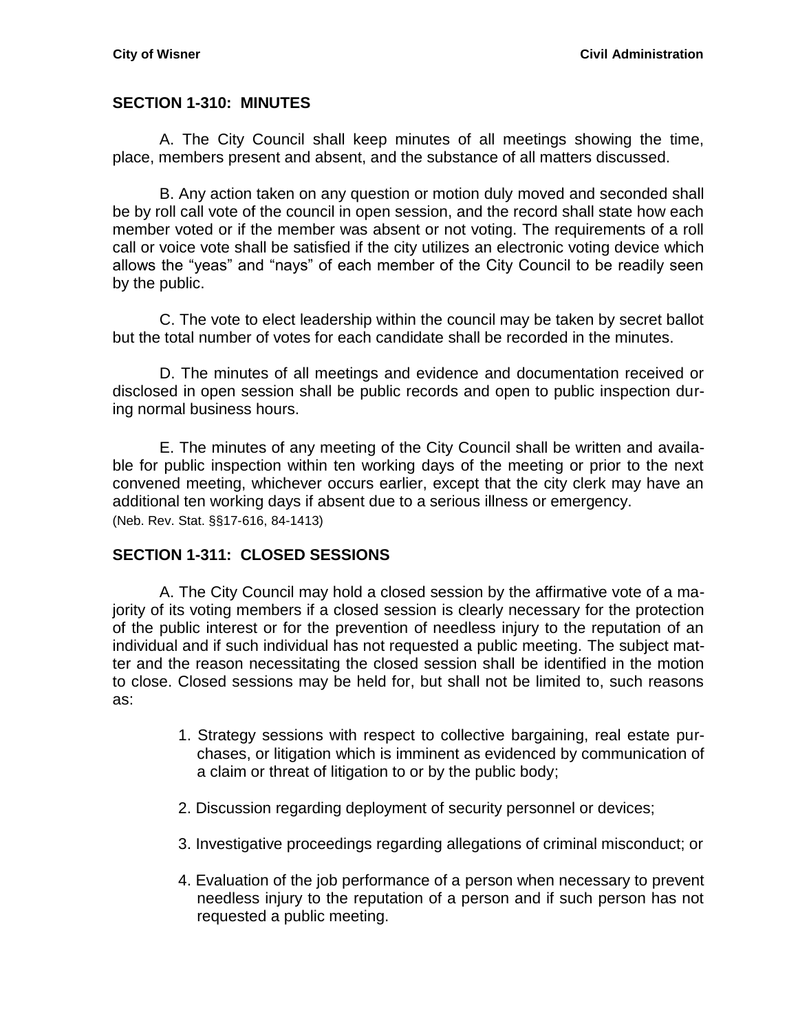#### <span id="page-20-0"></span>**SECTION 1-310: MINUTES**

A. The City Council shall keep minutes of all meetings showing the time, place, members present and absent, and the substance of all matters discussed.

B. Any action taken on any question or motion duly moved and seconded shall be by roll call vote of the council in open session, and the record shall state how each member voted or if the member was absent or not voting. The requirements of a roll call or voice vote shall be satisfied if the city utilizes an electronic voting device which allows the "yeas" and "nays" of each member of the City Council to be readily seen by the public.

C. The vote to elect leadership within the council may be taken by secret ballot but the total number of votes for each candidate shall be recorded in the minutes.

D. The minutes of all meetings and evidence and documentation received or disclosed in open session shall be public records and open to public inspection during normal business hours.

E. The minutes of any meeting of the City Council shall be written and available for public inspection within ten working days of the meeting or prior to the next convened meeting, whichever occurs earlier, except that the city clerk may have an additional ten working days if absent due to a serious illness or emergency. (Neb. Rev. Stat. §§17-616, 84-1413)

#### <span id="page-20-1"></span>**SECTION 1-311: CLOSED SESSIONS**

A. The City Council may hold a closed session by the affirmative vote of a majority of its voting members if a closed session is clearly necessary for the protection of the public interest or for the prevention of needless injury to the reputation of an individual and if such individual has not requested a public meeting. The subject matter and the reason necessitating the closed session shall be identified in the motion to close. Closed sessions may be held for, but shall not be limited to, such reasons as:

- 1. Strategy sessions with respect to collective bargaining, real estate purchases, or litigation which is imminent as evidenced by communication of a claim or threat of litigation to or by the public body;
- 2. Discussion regarding deployment of security personnel or devices;
- 3. Investigative proceedings regarding allegations of criminal misconduct; or
- 4. Evaluation of the job performance of a person when necessary to prevent needless injury to the reputation of a person and if such person has not requested a public meeting.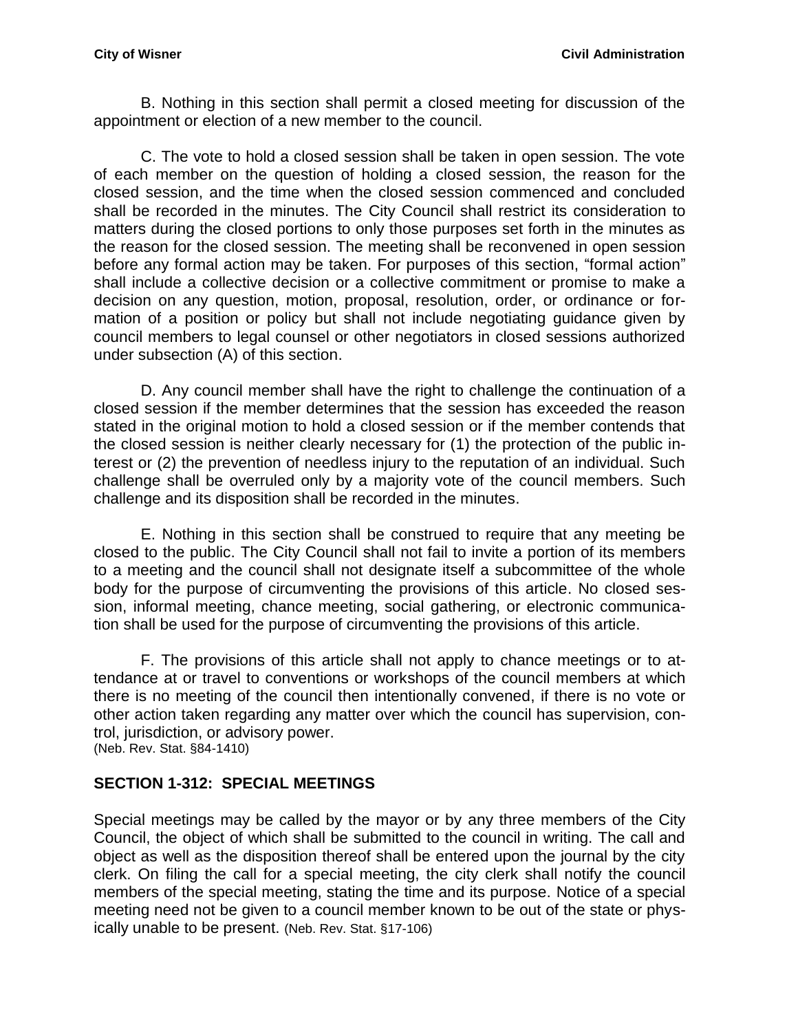B. Nothing in this section shall permit a closed meeting for discussion of the appointment or election of a new member to the council.

C. The vote to hold a closed session shall be taken in open session. The vote of each member on the question of holding a closed session, the reason for the closed session, and the time when the closed session commenced and concluded shall be recorded in the minutes. The City Council shall restrict its consideration to matters during the closed portions to only those purposes set forth in the minutes as the reason for the closed session. The meeting shall be reconvened in open session before any formal action may be taken. For purposes of this section, "formal action" shall include a collective decision or a collective commitment or promise to make a decision on any question, motion, proposal, resolution, order, or ordinance or formation of a position or policy but shall not include negotiating guidance given by council members to legal counsel or other negotiators in closed sessions authorized under subsection (A) of this section.

D. Any council member shall have the right to challenge the continuation of a closed session if the member determines that the session has exceeded the reason stated in the original motion to hold a closed session or if the member contends that the closed session is neither clearly necessary for (1) the protection of the public interest or (2) the prevention of needless injury to the reputation of an individual. Such challenge shall be overruled only by a majority vote of the council members. Such challenge and its disposition shall be recorded in the minutes.

E. Nothing in this section shall be construed to require that any meeting be closed to the public. The City Council shall not fail to invite a portion of its members to a meeting and the council shall not designate itself a subcommittee of the whole body for the purpose of circumventing the provisions of this article. No closed session, informal meeting, chance meeting, social gathering, or electronic communication shall be used for the purpose of circumventing the provisions of this article.

F. The provisions of this article shall not apply to chance meetings or to attendance at or travel to conventions or workshops of the council members at which there is no meeting of the council then intentionally convened, if there is no vote or other action taken regarding any matter over which the council has supervision, control, jurisdiction, or advisory power. (Neb. Rev. Stat. §84-1410)

#### <span id="page-21-0"></span>**SECTION 1-312: SPECIAL MEETINGS**

Special meetings may be called by the mayor or by any three members of the City Council, the object of which shall be submitted to the council in writing. The call and object as well as the disposition thereof shall be entered upon the journal by the city clerk. On filing the call for a special meeting, the city clerk shall notify the council members of the special meeting, stating the time and its purpose. Notice of a special meeting need not be given to a council member known to be out of the state or physically unable to be present. (Neb. Rev. Stat. §17-106)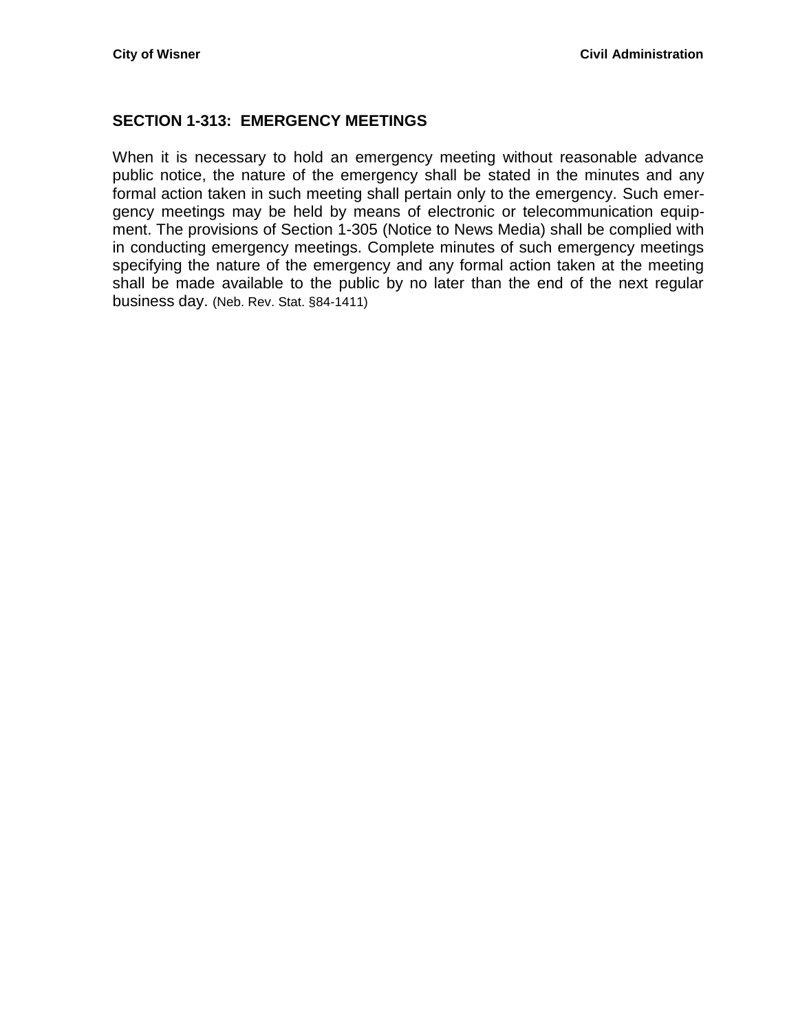### <span id="page-22-0"></span>**SECTION 1-313: EMERGENCY MEETINGS**

When it is necessary to hold an emergency meeting without reasonable advance public notice, the nature of the emergency shall be stated in the minutes and any formal action taken in such meeting shall pertain only to the emergency. Such emergency meetings may be held by means of electronic or telecommunication equipment. The provisions of Section 1-305 (Notice to News Media) shall be complied with in conducting emergency meetings. Complete minutes of such emergency meetings specifying the nature of the emergency and any formal action taken at the meeting shall be made available to the public by no later than the end of the next regular business day. (Neb. Rev. Stat. §84-1411)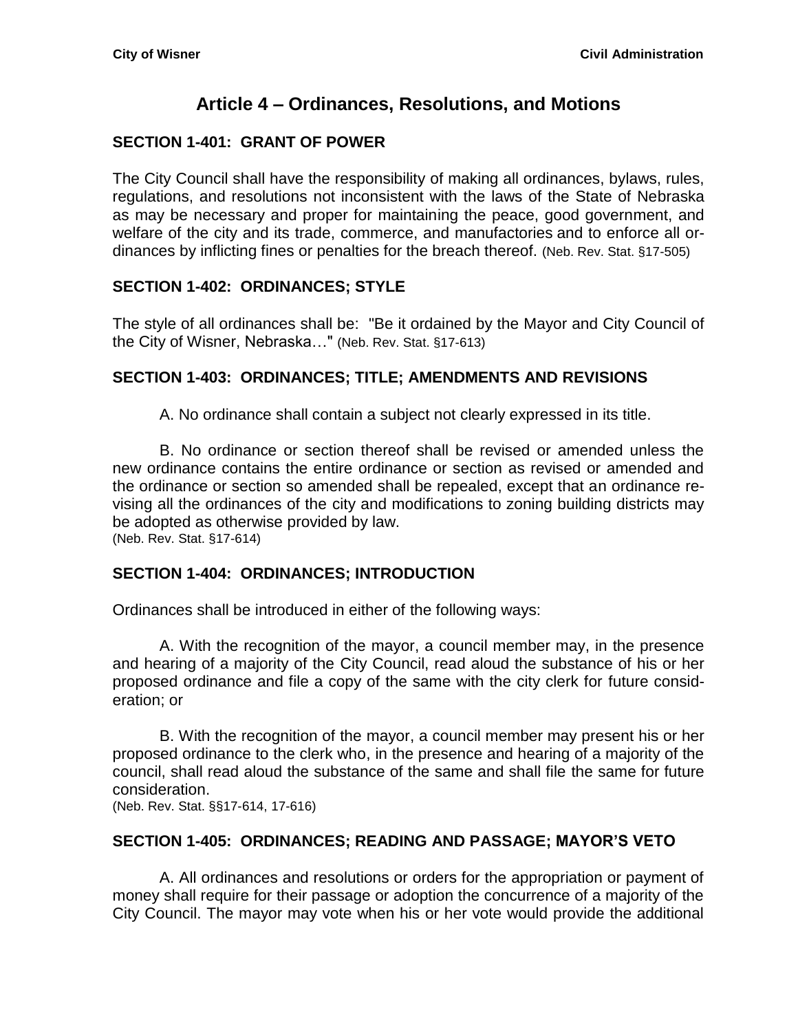# **Article 4 – Ordinances, Resolutions, and Motions**

# <span id="page-24-1"></span><span id="page-24-0"></span>**SECTION 1-401: GRANT OF POWER**

The City Council shall have the responsibility of making all ordinances, bylaws, rules, regulations, and resolutions not inconsistent with the laws of the State of Nebraska as may be necessary and proper for maintaining the peace, good government, and welfare of the city and its trade, commerce, and manufactories and to enforce all ordinances by inflicting fines or penalties for the breach thereof. (Neb. Rev. Stat. §17-505)

# <span id="page-24-2"></span>**SECTION 1-402: ORDINANCES; STYLE**

The style of all ordinances shall be: "Be it ordained by the Mayor and City Council of the City of Wisner, Nebraska…" (Neb. Rev. Stat. §17-613)

# <span id="page-24-3"></span>**SECTION 1-403: ORDINANCES; TITLE; AMENDMENTS AND REVISIONS**

A. No ordinance shall contain a subject not clearly expressed in its title.

B. No ordinance or section thereof shall be revised or amended unless the new ordinance contains the entire ordinance or section as revised or amended and the ordinance or section so amended shall be repealed, except that an ordinance revising all the ordinances of the city and modifications to zoning building districts may be adopted as otherwise provided by law. (Neb. Rev. Stat. §17-614)

# <span id="page-24-4"></span>**SECTION 1-404: ORDINANCES; INTRODUCTION**

Ordinances shall be introduced in either of the following ways:

A. With the recognition of the mayor, a council member may, in the presence and hearing of a majority of the City Council, read aloud the substance of his or her proposed ordinance and file a copy of the same with the city clerk for future consideration; or

B. With the recognition of the mayor, a council member may present his or her proposed ordinance to the clerk who, in the presence and hearing of a majority of the council, shall read aloud the substance of the same and shall file the same for future consideration.

(Neb. Rev. Stat. §§17-614, 17-616)

# <span id="page-24-5"></span>**SECTION 1-405: ORDINANCES; READING AND PASSAGE; MAYOR'S VETO**

A. All ordinances and resolutions or orders for the appropriation or payment of money shall require for their passage or adoption the concurrence of a majority of the City Council. The mayor may vote when his or her vote would provide the additional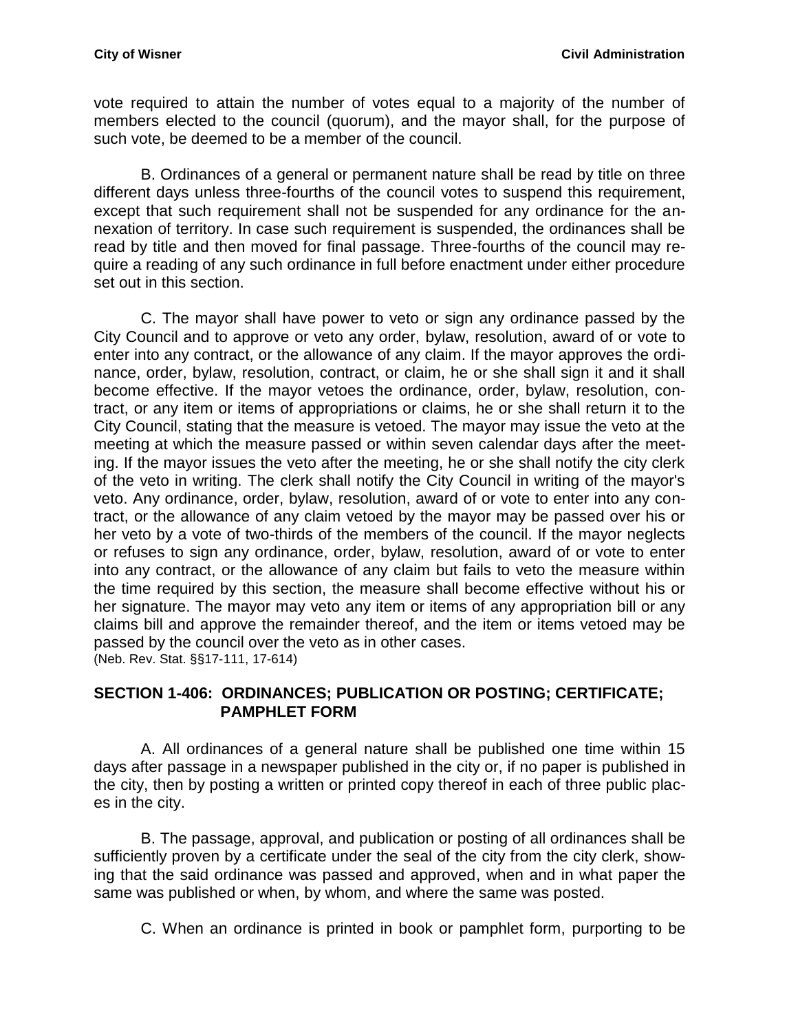vote required to attain the number of votes equal to a majority of the number of members elected to the council (quorum), and the mayor shall, for the purpose of such vote, be deemed to be a member of the council.

B. Ordinances of a general or permanent nature shall be read by title on three different days unless three-fourths of the council votes to suspend this requirement, except that such requirement shall not be suspended for any ordinance for the annexation of territory. In case such requirement is suspended, the ordinances shall be read by title and then moved for final passage. Three-fourths of the council may require a reading of any such ordinance in full before enactment under either procedure set out in this section.

C. The mayor shall have power to veto or sign any ordinance passed by the City Council and to approve or veto any order, bylaw, resolution, award of or vote to enter into any contract, or the allowance of any claim. If the mayor approves the ordinance, order, bylaw, resolution, contract, or claim, he or she shall sign it and it shall become effective. If the mayor vetoes the ordinance, order, bylaw, resolution, contract, or any item or items of appropriations or claims, he or she shall return it to the City Council, stating that the measure is vetoed. The mayor may issue the veto at the meeting at which the measure passed or within seven calendar days after the meeting. If the mayor issues the veto after the meeting, he or she shall notify the city clerk of the veto in writing. The clerk shall notify the City Council in writing of the mayor's veto. Any ordinance, order, bylaw, resolution, award of or vote to enter into any contract, or the allowance of any claim vetoed by the mayor may be passed over his or her veto by a vote of two-thirds of the members of the council. If the mayor neglects or refuses to sign any ordinance, order, bylaw, resolution, award of or vote to enter into any contract, or the allowance of any claim but fails to veto the measure within the time required by this section, the measure shall become effective without his or her signature. The mayor may veto any item or items of any appropriation bill or any claims bill and approve the remainder thereof, and the item or items vetoed may be passed by the council over the veto as in other cases. (Neb. Rev. Stat. §§17-111, 17-614)

### <span id="page-25-0"></span>**SECTION 1-406: ORDINANCES; PUBLICATION OR POSTING; CERTIFICATE; PAMPHLET FORM**

A. All ordinances of a general nature shall be published one time within 15 days after passage in a newspaper published in the city or, if no paper is published in the city, then by posting a written or printed copy thereof in each of three public places in the city.

B. The passage, approval, and publication or posting of all ordinances shall be sufficiently proven by a certificate under the seal of the city from the city clerk, showing that the said ordinance was passed and approved, when and in what paper the same was published or when, by whom, and where the same was posted.

C. When an ordinance is printed in book or pamphlet form, purporting to be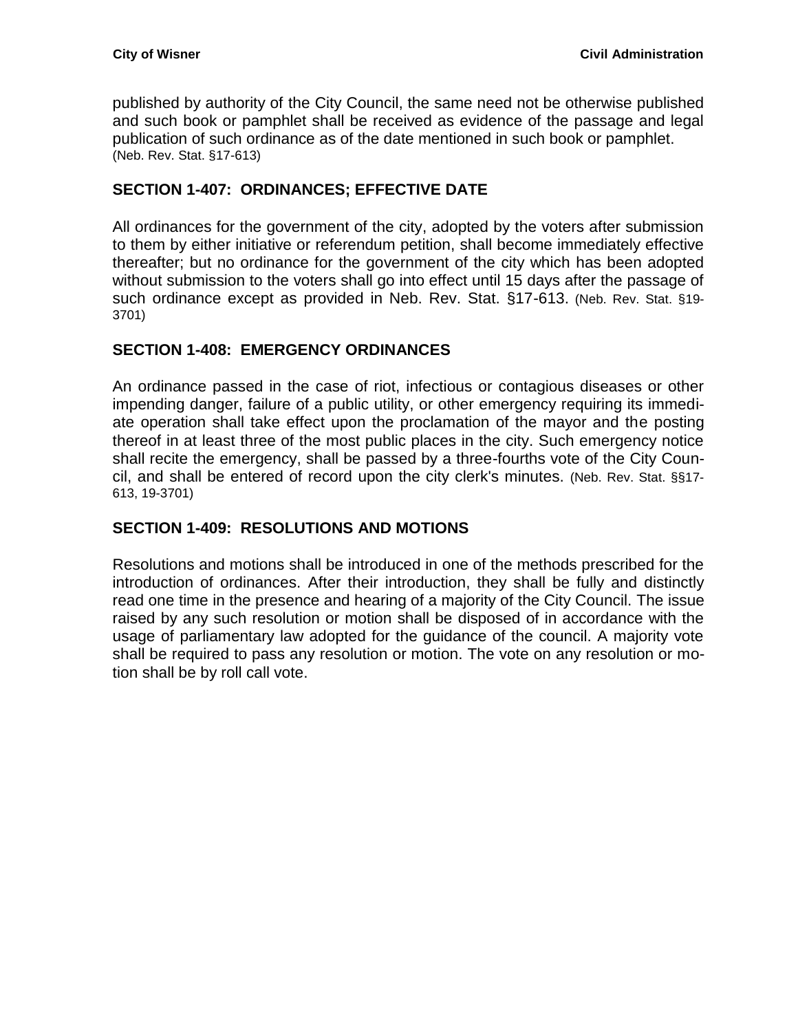published by authority of the City Council, the same need not be otherwise published and such book or pamphlet shall be received as evidence of the passage and legal publication of such ordinance as of the date mentioned in such book or pamphlet. (Neb. Rev. Stat. §17-613)

### <span id="page-26-0"></span>**SECTION 1-407: ORDINANCES; EFFECTIVE DATE**

All ordinances for the government of the city, adopted by the voters after submission to them by either initiative or referendum petition, shall become immediately effective thereafter; but no ordinance for the government of the city which has been adopted without submission to the voters shall go into effect until 15 days after the passage of such ordinance except as provided in Neb. Rev. Stat. §17-613. (Neb. Rev. Stat. §19- 3701)

#### <span id="page-26-1"></span>**SECTION 1-408: EMERGENCY ORDINANCES**

An ordinance passed in the case of riot, infectious or contagious diseases or other impending danger, failure of a public utility, or other emergency requiring its immediate operation shall take effect upon the proclamation of the mayor and the posting thereof in at least three of the most public places in the city. Such emergency notice shall recite the emergency, shall be passed by a three-fourths vote of the City Council, and shall be entered of record upon the city clerk's minutes. (Neb. Rev. Stat. §§17- 613, 19-3701)

# <span id="page-26-2"></span>**SECTION 1-409: RESOLUTIONS AND MOTIONS**

Resolutions and motions shall be introduced in one of the methods prescribed for the introduction of ordinances. After their introduction, they shall be fully and distinctly read one time in the presence and hearing of a majority of the City Council. The issue raised by any such resolution or motion shall be disposed of in accordance with the usage of parliamentary law adopted for the guidance of the council. A majority vote shall be required to pass any resolution or motion. The vote on any resolution or motion shall be by roll call vote.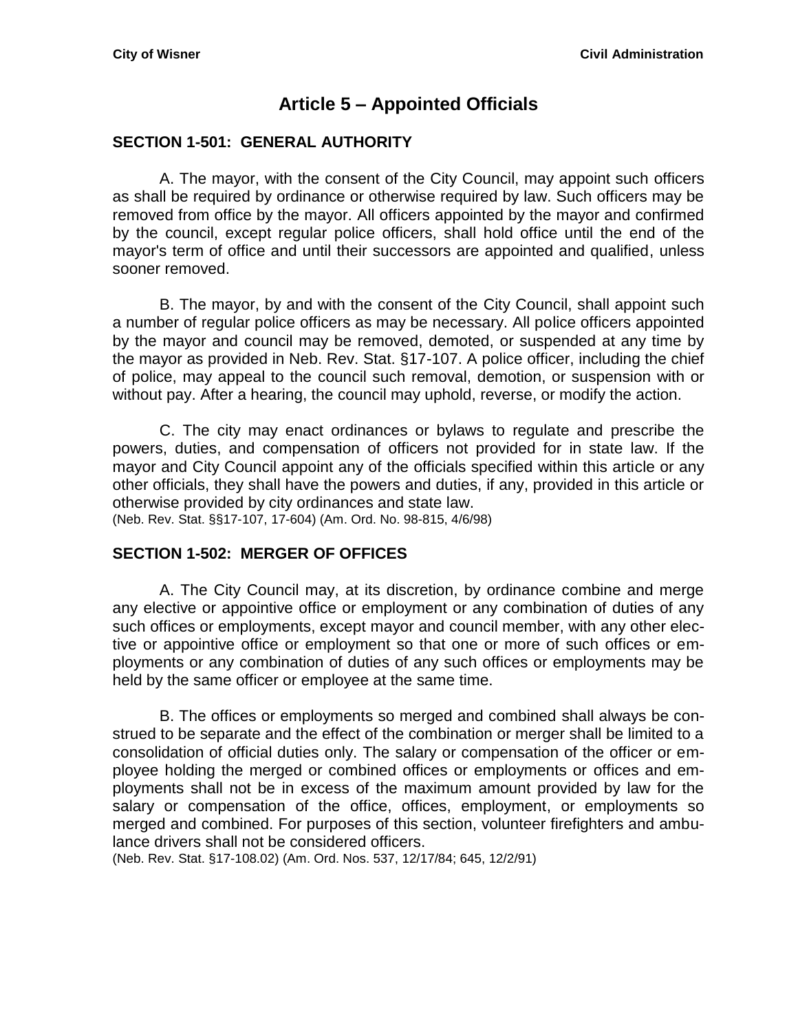# **Article 5 – Appointed Officials**

### <span id="page-28-1"></span><span id="page-28-0"></span>**SECTION 1-501: GENERAL AUTHORITY**

A. The mayor, with the consent of the City Council, may appoint such officers as shall be required by ordinance or otherwise required by law. Such officers may be removed from office by the mayor. All officers appointed by the mayor and confirmed by the council, except regular police officers, shall hold office until the end of the mayor's term of office and until their successors are appointed and qualified, unless sooner removed.

B. The mayor, by and with the consent of the City Council, shall appoint such a number of regular police officers as may be necessary. All police officers appointed by the mayor and council may be removed, demoted, or suspended at any time by the mayor as provided in Neb. Rev. Stat. §17-107. A police officer, including the chief of police, may appeal to the council such removal, demotion, or suspension with or without pay. After a hearing, the council may uphold, reverse, or modify the action.

C. The city may enact ordinances or bylaws to regulate and prescribe the powers, duties, and compensation of officers not provided for in state law. If the mayor and City Council appoint any of the officials specified within this article or any other officials, they shall have the powers and duties, if any, provided in this article or otherwise provided by city ordinances and state law. (Neb. Rev. Stat. §§17-107, 17-604) (Am. Ord. No. 98-815, 4/6/98)

#### <span id="page-28-2"></span>**SECTION 1-502: MERGER OF OFFICES**

A. The City Council may, at its discretion, by ordinance combine and merge any elective or appointive office or employment or any combination of duties of any such offices or employments, except mayor and council member, with any other elective or appointive office or employment so that one or more of such offices or employments or any combination of duties of any such offices or employments may be held by the same officer or employee at the same time.

B. The offices or employments so merged and combined shall always be construed to be separate and the effect of the combination or merger shall be limited to a consolidation of official duties only. The salary or compensation of the officer or employee holding the merged or combined offices or employments or offices and employments shall not be in excess of the maximum amount provided by law for the salary or compensation of the office, offices, employment, or employments so merged and combined. For purposes of this section, volunteer firefighters and ambulance drivers shall not be considered officers.

(Neb. Rev. Stat. §17-108.02) (Am. Ord. Nos. 537, 12/17/84; 645, 12/2/91)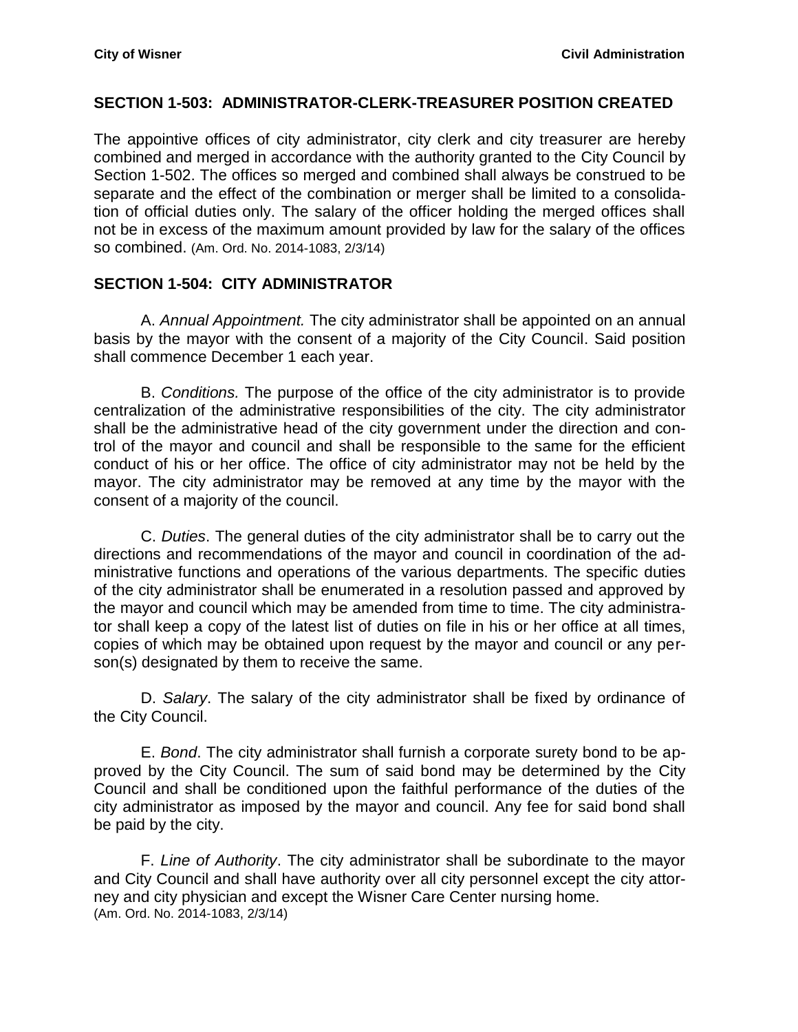#### <span id="page-29-0"></span>**SECTION 1-503: ADMINISTRATOR-CLERK-TREASURER POSITION CREATED**

The appointive offices of city administrator, city clerk and city treasurer are hereby combined and merged in accordance with the authority granted to the City Council by Section 1-502. The offices so merged and combined shall always be construed to be separate and the effect of the combination or merger shall be limited to a consolidation of official duties only. The salary of the officer holding the merged offices shall not be in excess of the maximum amount provided by law for the salary of the offices so combined. (Am. Ord. No. 2014-1083, 2/3/14)

#### <span id="page-29-1"></span>**SECTION 1-504: CITY ADMINISTRATOR**

A. *Annual Appointment.* The city administrator shall be appointed on an annual basis by the mayor with the consent of a majority of the City Council. Said position shall commence December 1 each year.

B. *Conditions.* The purpose of the office of the city administrator is to provide centralization of the administrative responsibilities of the city. The city administrator shall be the administrative head of the city government under the direction and control of the mayor and council and shall be responsible to the same for the efficient conduct of his or her office. The office of city administrator may not be held by the mayor. The city administrator may be removed at any time by the mayor with the consent of a majority of the council.

C. *Duties*. The general duties of the city administrator shall be to carry out the directions and recommendations of the mayor and council in coordination of the administrative functions and operations of the various departments. The specific duties of the city administrator shall be enumerated in a resolution passed and approved by the mayor and council which may be amended from time to time. The city administrator shall keep a copy of the latest list of duties on file in his or her office at all times, copies of which may be obtained upon request by the mayor and council or any person(s) designated by them to receive the same.

D. *Salary*. The salary of the city administrator shall be fixed by ordinance of the City Council.

E. *Bond*. The city administrator shall furnish a corporate surety bond to be approved by the City Council. The sum of said bond may be determined by the City Council and shall be conditioned upon the faithful performance of the duties of the city administrator as imposed by the mayor and council. Any fee for said bond shall be paid by the city.

F. *Line of Authority*. The city administrator shall be subordinate to the mayor and City Council and shall have authority over all city personnel except the city attorney and city physician and except the Wisner Care Center nursing home. (Am. Ord. No. 2014-1083, 2/3/14)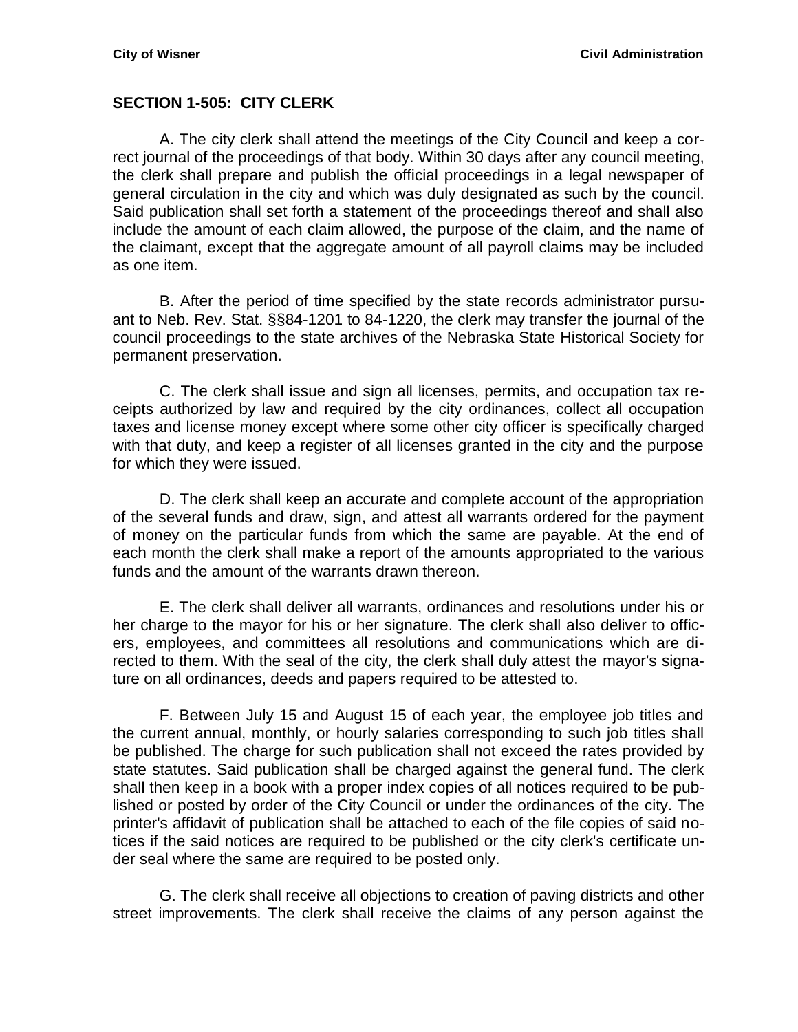### <span id="page-30-0"></span>**SECTION 1-505: CITY CLERK**

A. The city clerk shall attend the meetings of the City Council and keep a correct journal of the proceedings of that body. Within 30 days after any council meeting, the clerk shall prepare and publish the official proceedings in a legal newspaper of general circulation in the city and which was duly designated as such by the council. Said publication shall set forth a statement of the proceedings thereof and shall also include the amount of each claim allowed, the purpose of the claim, and the name of the claimant, except that the aggregate amount of all payroll claims may be included as one item.

B. After the period of time specified by the state records administrator pursuant to Neb. Rev. Stat. §§84-1201 to 84-1220, the clerk may transfer the journal of the council proceedings to the state archives of the Nebraska State Historical Society for permanent preservation.

C. The clerk shall issue and sign all licenses, permits, and occupation tax receipts authorized by law and required by the city ordinances, collect all occupation taxes and license money except where some other city officer is specifically charged with that duty, and keep a register of all licenses granted in the city and the purpose for which they were issued.

D. The clerk shall keep an accurate and complete account of the appropriation of the several funds and draw, sign, and attest all warrants ordered for the payment of money on the particular funds from which the same are payable. At the end of each month the clerk shall make a report of the amounts appropriated to the various funds and the amount of the warrants drawn thereon.

E. The clerk shall deliver all warrants, ordinances and resolutions under his or her charge to the mayor for his or her signature. The clerk shall also deliver to officers, employees, and committees all resolutions and communications which are directed to them. With the seal of the city, the clerk shall duly attest the mayor's signature on all ordinances, deeds and papers required to be attested to.

F. Between July 15 and August 15 of each year, the employee job titles and the current annual, monthly, or hourly salaries corresponding to such job titles shall be published. The charge for such publication shall not exceed the rates provided by state statutes. Said publication shall be charged against the general fund. The clerk shall then keep in a book with a proper index copies of all notices required to be published or posted by order of the City Council or under the ordinances of the city. The printer's affidavit of publication shall be attached to each of the file copies of said notices if the said notices are required to be published or the city clerk's certificate under seal where the same are required to be posted only.

G. The clerk shall receive all objections to creation of paving districts and other street improvements. The clerk shall receive the claims of any person against the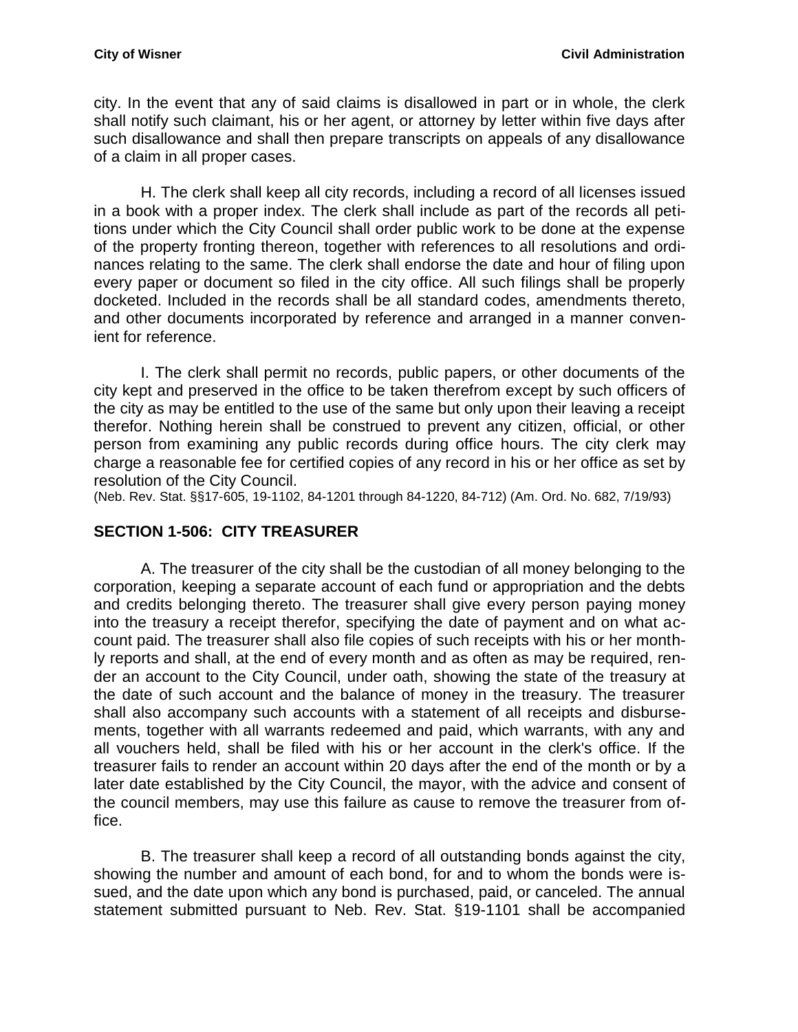city. In the event that any of said claims is disallowed in part or in whole, the clerk shall notify such claimant, his or her agent, or attorney by letter within five days after such disallowance and shall then prepare transcripts on appeals of any disallowance of a claim in all proper cases.

H. The clerk shall keep all city records, including a record of all licenses issued in a book with a proper index. The clerk shall include as part of the records all petitions under which the City Council shall order public work to be done at the expense of the property fronting thereon, together with references to all resolutions and ordinances relating to the same. The clerk shall endorse the date and hour of filing upon every paper or document so filed in the city office. All such filings shall be properly docketed. Included in the records shall be all standard codes, amendments thereto, and other documents incorporated by reference and arranged in a manner convenient for reference.

I. The clerk shall permit no records, public papers, or other documents of the city kept and preserved in the office to be taken therefrom except by such officers of the city as may be entitled to the use of the same but only upon their leaving a receipt therefor. Nothing herein shall be construed to prevent any citizen, official, or other person from examining any public records during office hours. The city clerk may charge a reasonable fee for certified copies of any record in his or her office as set by resolution of the City Council.

(Neb. Rev. Stat. §§17-605, 19-1102, 84-1201 through 84-1220, 84-712) (Am. Ord. No. 682, 7/19/93)

#### <span id="page-31-0"></span>**SECTION 1-506: CITY TREASURER**

A. The treasurer of the city shall be the custodian of all money belonging to the corporation, keeping a separate account of each fund or appropriation and the debts and credits belonging thereto. The treasurer shall give every person paying money into the treasury a receipt therefor, specifying the date of payment and on what account paid. The treasurer shall also file copies of such receipts with his or her monthly reports and shall, at the end of every month and as often as may be required, render an account to the City Council, under oath, showing the state of the treasury at the date of such account and the balance of money in the treasury. The treasurer shall also accompany such accounts with a statement of all receipts and disbursements, together with all warrants redeemed and paid, which warrants, with any and all vouchers held, shall be filed with his or her account in the clerk's office. If the treasurer fails to render an account within 20 days after the end of the month or by a later date established by the City Council, the mayor, with the advice and consent of the council members, may use this failure as cause to remove the treasurer from office.

B. The treasurer shall keep a record of all outstanding bonds against the city, showing the number and amount of each bond, for and to whom the bonds were issued, and the date upon which any bond is purchased, paid, or canceled. The annual statement submitted pursuant to Neb. Rev. Stat. [§19-1101](http://www.casemakerlegal.com/bDocView.aspx?categoryAlias=STATUTES&state=NE&strdataType=STAT&catCalled=Statutes&statecd=NE&codesec=19-1101&sessionyr=2013&Title=19&datatype=S&noheader=0&nojumpmsg=0) shall be accompanied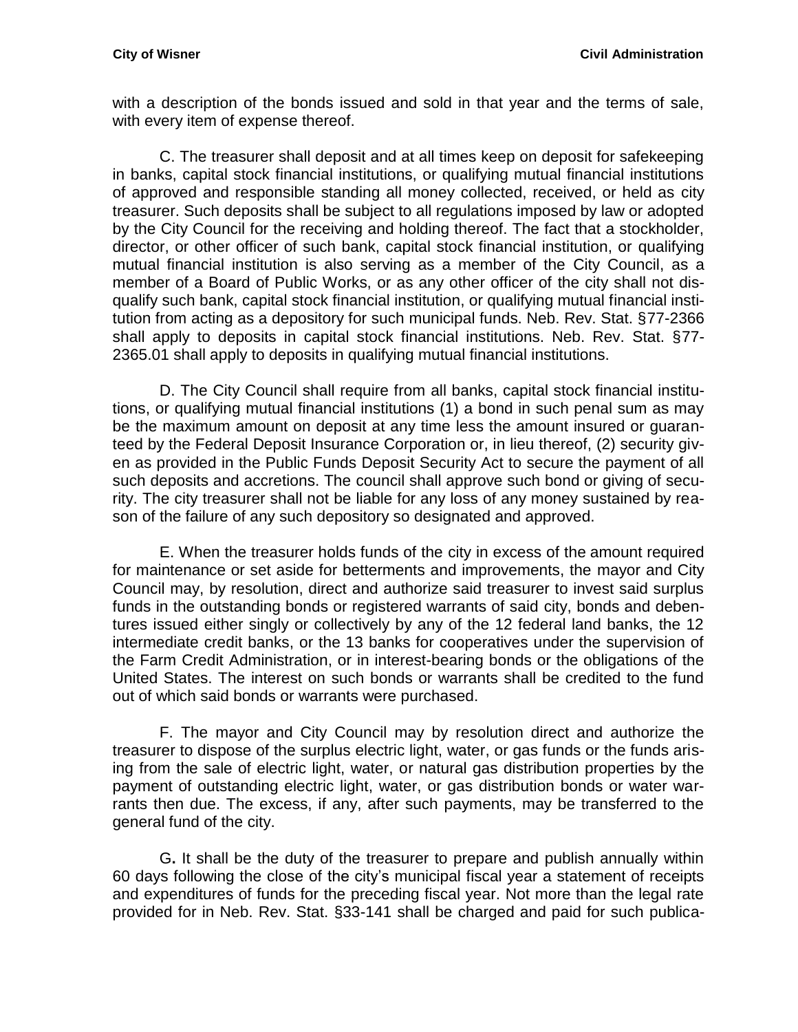with a description of the bonds issued and sold in that year and the terms of sale, with every item of expense thereof.

C. The treasurer shall deposit and at all times keep on deposit for safekeeping in banks, capital stock financial institutions, or qualifying mutual financial institutions of approved and responsible standing all money collected, received, or held as city treasurer. Such deposits shall be subject to all regulations imposed by law or adopted by the City Council for the receiving and holding thereof. The fact that a stockholder, director, or other officer of such bank, capital stock financial institution, or qualifying mutual financial institution is also serving as a member of the City Council, as a member of a Board of Public Works, or as any other officer of the city shall not disqualify such bank, capital stock financial institution, or qualifying mutual financial institution from acting as a depository for such municipal funds. Neb. Rev. Stat. [§77-2366](http://www.casemakerlegal.com/bDocView.aspx?catCalled=Statutes&categoryAlias=STATUTES&state=Nebraska&statecd=NE&codesec=77-2366&sessionyr=2013&Title=77&datatype=S&noheader=0&nojumpmsg=0) shall apply to deposits in capital stock financial institutions. Neb. Rev. Stat. [§77-](http://www.casemakerlegal.com/bDocView.aspx?catCalled=Statutes&categoryAlias=STATUTES&state=Nebraska&statecd=NE&codesec=77-2365.01&sessionyr=2013&Title=77&datatype=S&noheader=0&nojumpmsg=0) [2365.01](http://www.casemakerlegal.com/bDocView.aspx?catCalled=Statutes&categoryAlias=STATUTES&state=Nebraska&statecd=NE&codesec=77-2365.01&sessionyr=2013&Title=77&datatype=S&noheader=0&nojumpmsg=0) shall apply to deposits in qualifying mutual financial institutions.

D. The City Council shall require from all banks, capital stock financial institutions, or qualifying mutual financial institutions (1) a bond in such penal sum as may be the maximum amount on deposit at any time less the amount insured or guaranteed by the Federal Deposit Insurance Corporation or, in lieu thereof, (2) security given as provided in the Public Funds Deposit Security Act to secure the payment of all such deposits and accretions. The council shall approve such bond or giving of security. The city treasurer shall not be liable for any loss of any money sustained by reason of the failure of any such depository so designated and approved.

E. When the treasurer holds funds of the city in excess of the amount required for maintenance or set aside for betterments and improvements, the mayor and City Council may, by resolution, direct and authorize said treasurer to invest said surplus funds in the outstanding bonds or registered warrants of said city, bonds and debentures issued either singly or collectively by any of the 12 federal land banks, the 12 intermediate credit banks, or the 13 banks for cooperatives under the supervision of the Farm Credit Administration, or in interest-bearing bonds or the obligations of the United States. The interest on such bonds or warrants shall be credited to the fund out of which said bonds or warrants were purchased.

F. The mayor and City Council may by resolution direct and authorize the treasurer to dispose of the surplus electric light, water, or gas funds or the funds arising from the sale of electric light, water, or natural gas distribution properties by the payment of outstanding electric light, water, or gas distribution bonds or water warrants then due. The excess, if any, after such payments, may be transferred to the general fund of the city.

G**.** It shall be the duty of the treasurer to prepare and publish annually within 60 days following the close of the city's municipal fiscal year a statement of receipts and expenditures of funds for the preceding fiscal year. Not more than the legal rate provided for in Neb. Rev. Stat. §33-141 shall be charged and paid for such publica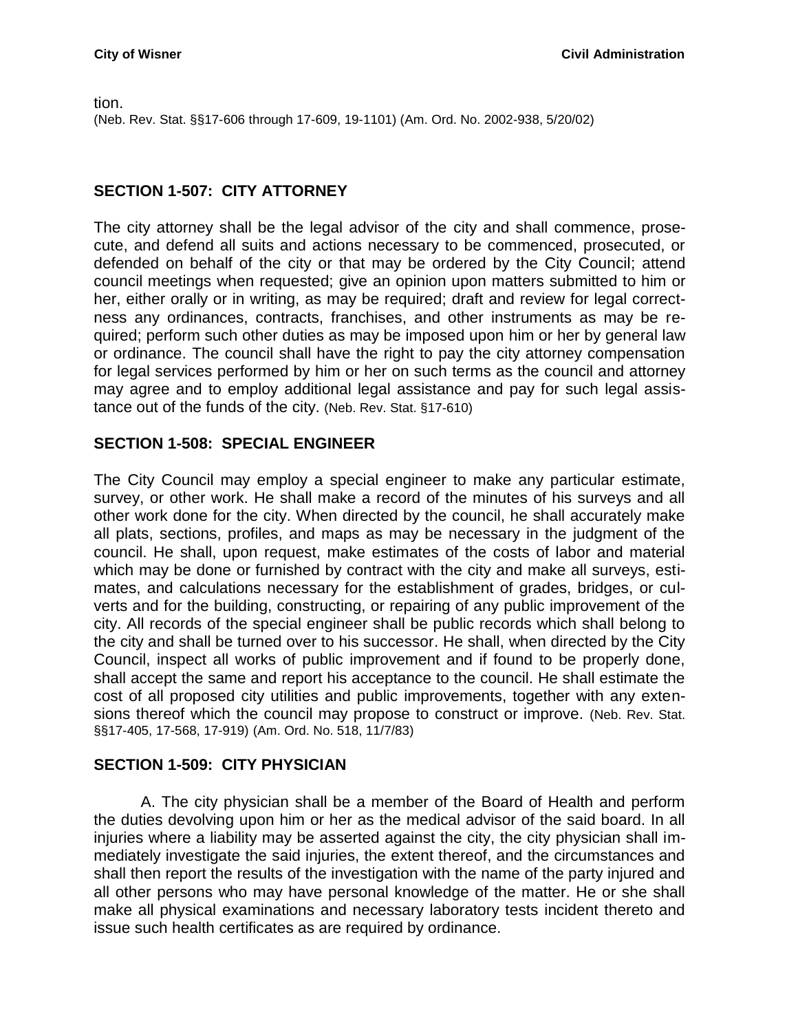tion.

(Neb. Rev. Stat. §§17-606 through 17-609, 19-1101) (Am. Ord. No. 2002-938, 5/20/02)

#### <span id="page-33-0"></span>**SECTION 1-507: CITY ATTORNEY**

The city attorney shall be the legal advisor of the city and shall commence, prosecute, and defend all suits and actions necessary to be commenced, prosecuted, or defended on behalf of the city or that may be ordered by the City Council; attend council meetings when requested; give an opinion upon matters submitted to him or her, either orally or in writing, as may be required; draft and review for legal correctness any ordinances, contracts, franchises, and other instruments as may be required; perform such other duties as may be imposed upon him or her by general law or ordinance. The council shall have the right to pay the city attorney compensation for legal services performed by him or her on such terms as the council and attorney may agree and to employ additional legal assistance and pay for such legal assistance out of the funds of the city. (Neb. Rev. Stat. §17-610)

### <span id="page-33-1"></span>**SECTION 1-508: SPECIAL ENGINEER**

The City Council may employ a special engineer to make any particular estimate, survey, or other work. He shall make a record of the minutes of his surveys and all other work done for the city. When directed by the council, he shall accurately make all plats, sections, profiles, and maps as may be necessary in the judgment of the council. He shall, upon request, make estimates of the costs of labor and material which may be done or furnished by contract with the city and make all surveys, estimates, and calculations necessary for the establishment of grades, bridges, or culverts and for the building, constructing, or repairing of any public improvement of the city. All records of the special engineer shall be public records which shall belong to the city and shall be turned over to his successor. He shall, when directed by the City Council, inspect all works of public improvement and if found to be properly done, shall accept the same and report his acceptance to the council. He shall estimate the cost of all proposed city utilities and public improvements, together with any extensions thereof which the council may propose to construct or improve. (Neb. Rev. Stat. §§17-405, 17-568, 17-919) (Am. Ord. No. 518, 11/7/83)

#### <span id="page-33-2"></span>**SECTION 1-509: CITY PHYSICIAN**

A. The city physician shall be a member of the Board of Health and perform the duties devolving upon him or her as the medical advisor of the said board. In all injuries where a liability may be asserted against the city, the city physician shall immediately investigate the said injuries, the extent thereof, and the circumstances and shall then report the results of the investigation with the name of the party injured and all other persons who may have personal knowledge of the matter. He or she shall make all physical examinations and necessary laboratory tests incident thereto and issue such health certificates as are required by ordinance.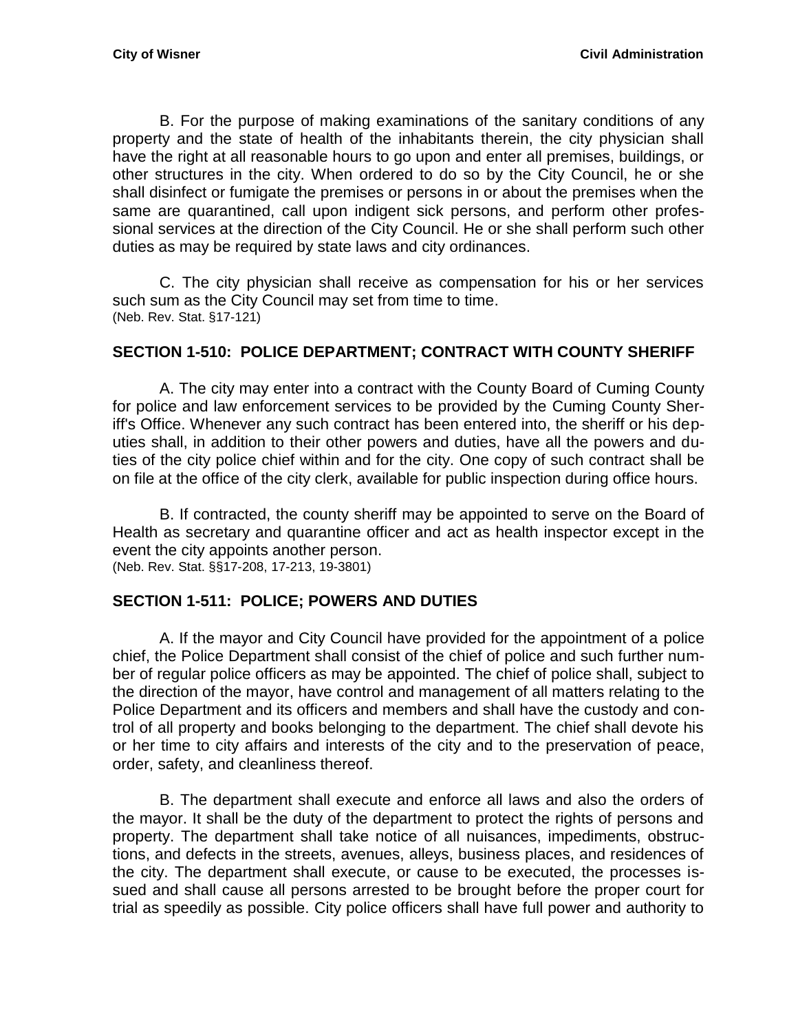B. For the purpose of making examinations of the sanitary conditions of any property and the state of health of the inhabitants therein, the city physician shall have the right at all reasonable hours to go upon and enter all premises, buildings, or other structures in the city. When ordered to do so by the City Council, he or she shall disinfect or fumigate the premises or persons in or about the premises when the same are quarantined, call upon indigent sick persons, and perform other professional services at the direction of the City Council. He or she shall perform such other duties as may be required by state laws and city ordinances.

C. The city physician shall receive as compensation for his or her services such sum as the City Council may set from time to time. (Neb. Rev. Stat. §17-121)

# <span id="page-34-0"></span>**SECTION 1-510: POLICE DEPARTMENT; CONTRACT WITH COUNTY SHERIFF**

A. The city may enter into a contract with the County Board of Cuming County for police and law enforcement services to be provided by the Cuming County Sheriff's Office. Whenever any such contract has been entered into, the sheriff or his deputies shall, in addition to their other powers and duties, have all the powers and duties of the city police chief within and for the city. One copy of such contract shall be on file at the office of the city clerk, available for public inspection during office hours.

B. If contracted, the county sheriff may be appointed to serve on the Board of Health as secretary and quarantine officer and act as health inspector except in the event the city appoints another person.

(Neb. Rev. Stat. §§17-208, 17-213, 19-3801)

#### <span id="page-34-1"></span>**SECTION 1-511: POLICE; POWERS AND DUTIES**

A. If the mayor and City Council have provided for the appointment of a police chief, the Police Department shall consist of the chief of police and such further number of regular police officers as may be appointed. The chief of police shall, subject to the direction of the mayor, have control and management of all matters relating to the Police Department and its officers and members and shall have the custody and control of all property and books belonging to the department. The chief shall devote his or her time to city affairs and interests of the city and to the preservation of peace, order, safety, and cleanliness thereof.

B. The department shall execute and enforce all laws and also the orders of the mayor. It shall be the duty of the department to protect the rights of persons and property. The department shall take notice of all nuisances, impediments, obstructions, and defects in the streets, avenues, alleys, business places, and residences of the city. The department shall execute, or cause to be executed, the processes issued and shall cause all persons arrested to be brought before the proper court for trial as speedily as possible. City police officers shall have full power and authority to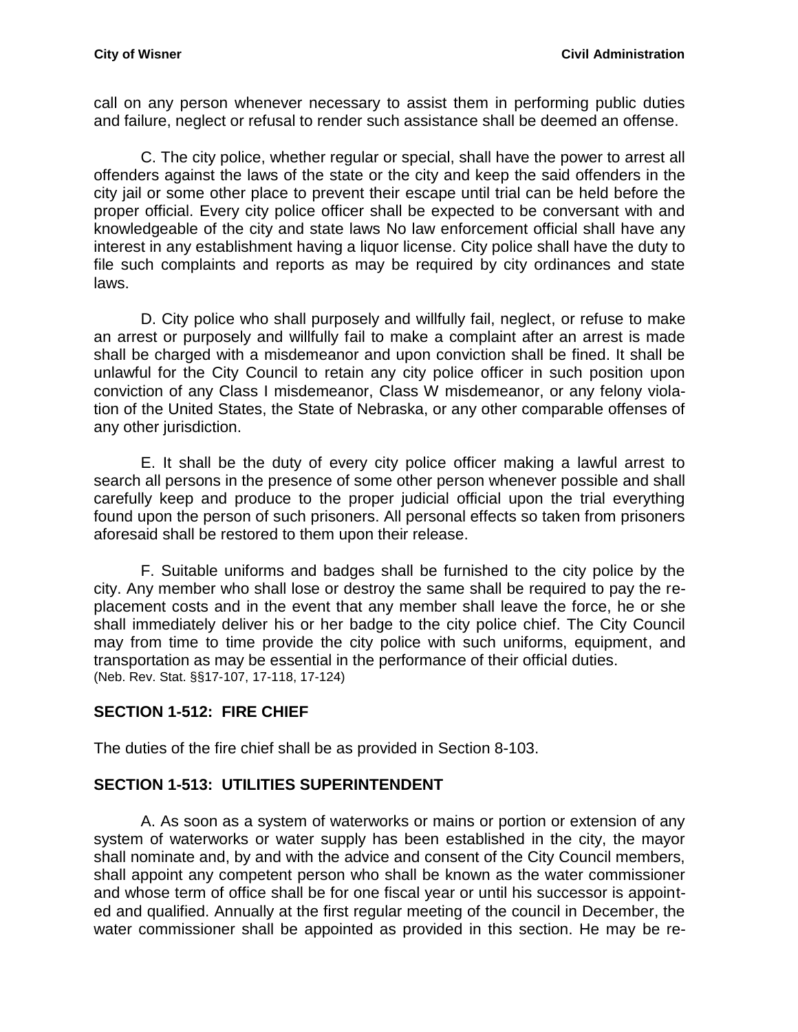call on any person whenever necessary to assist them in performing public duties and failure, neglect or refusal to render such assistance shall be deemed an offense.

C. The city police, whether regular or special, shall have the power to arrest all offenders against the laws of the state or the city and keep the said offenders in the city jail or some other place to prevent their escape until trial can be held before the proper official. Every city police officer shall be expected to be conversant with and knowledgeable of the city and state laws No law enforcement official shall have any interest in any establishment having a liquor license. City police shall have the duty to file such complaints and reports as may be required by city ordinances and state laws.

D. City police who shall purposely and willfully fail, neglect, or refuse to make an arrest or purposely and willfully fail to make a complaint after an arrest is made shall be charged with a misdemeanor and upon conviction shall be fined. It shall be unlawful for the City Council to retain any city police officer in such position upon conviction of any Class I misdemeanor, Class W misdemeanor, or any felony violation of the United States, the State of Nebraska, or any other comparable offenses of any other jurisdiction.

E. It shall be the duty of every city police officer making a lawful arrest to search all persons in the presence of some other person whenever possible and shall carefully keep and produce to the proper judicial official upon the trial everything found upon the person of such prisoners. All personal effects so taken from prisoners aforesaid shall be restored to them upon their release.

F. Suitable uniforms and badges shall be furnished to the city police by the city. Any member who shall lose or destroy the same shall be required to pay the replacement costs and in the event that any member shall leave the force, he or she shall immediately deliver his or her badge to the city police chief. The City Council may from time to time provide the city police with such uniforms, equipment, and transportation as may be essential in the performance of their official duties. (Neb. Rev. Stat. §§17-107, 17-118, 17-124)

# <span id="page-35-0"></span>**SECTION 1-512: FIRE CHIEF**

The duties of the fire chief shall be as provided in Section 8-103.

#### <span id="page-35-1"></span>**SECTION 1-513: UTILITIES SUPERINTENDENT**

A. As soon as a system of waterworks or mains or portion or extension of any system of waterworks or water supply has been established in the city, the mayor shall nominate and, by and with the advice and consent of the City Council members, shall appoint any competent person who shall be known as the water commissioner and whose term of office shall be for one fiscal year or until his successor is appointed and qualified. Annually at the first regular meeting of the council in December, the water commissioner shall be appointed as provided in this section. He may be re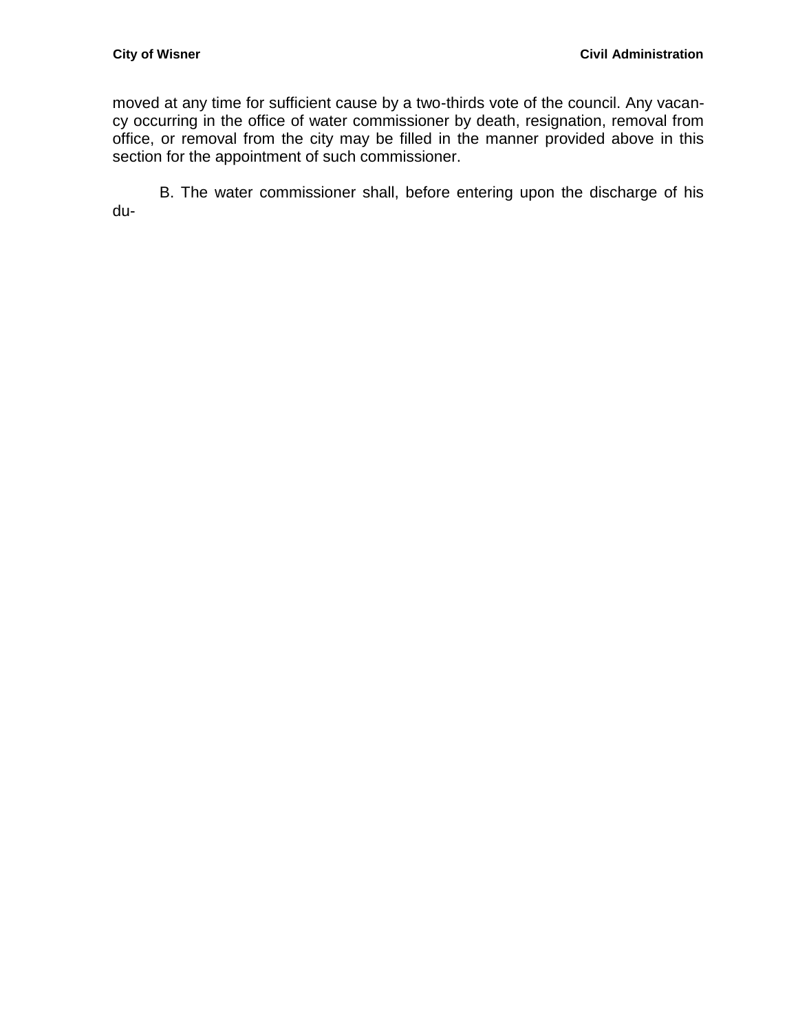moved at any time for sufficient cause by a two-thirds vote of the council. Any vacancy occurring in the office of water commissioner by death, resignation, removal from office, or removal from the city may be filled in the manner provided above in this section for the appointment of such commissioner.

B. The water commissioner shall, before entering upon the discharge of his du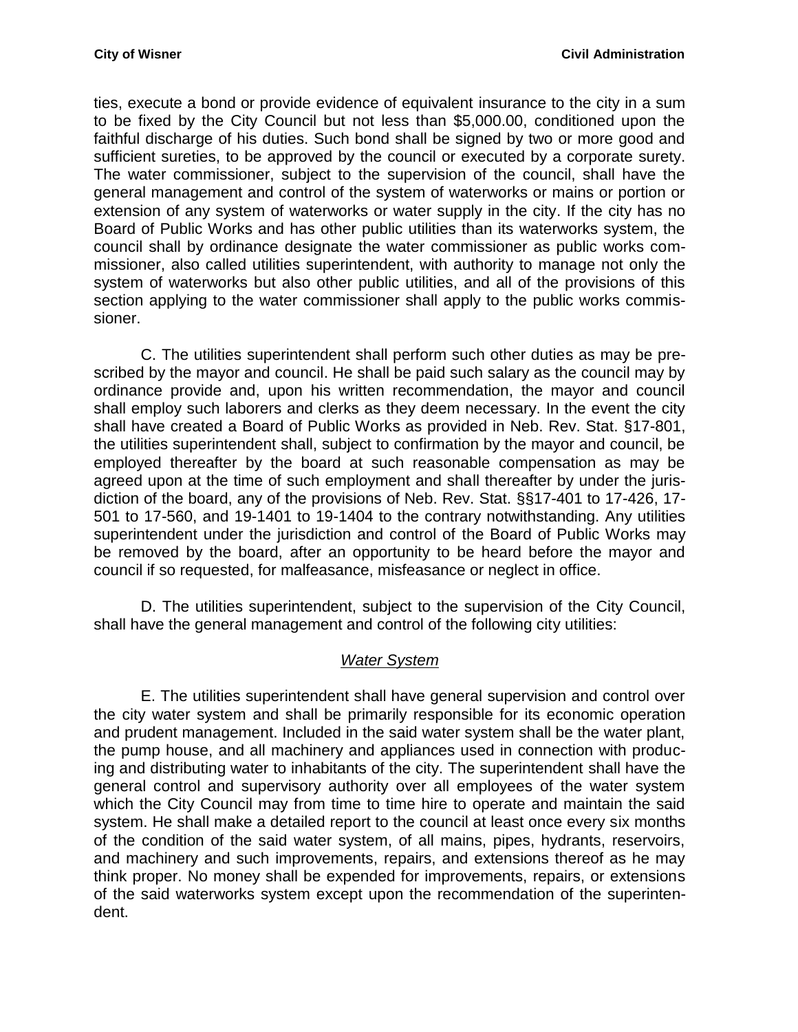ties, execute a bond or provide evidence of equivalent insurance to the city in a sum to be fixed by the City Council but not less than \$5,000.00, conditioned upon the faithful discharge of his duties. Such bond shall be signed by two or more good and sufficient sureties, to be approved by the council or executed by a corporate surety. The water commissioner, subject to the supervision of the council, shall have the general management and control of the system of waterworks or mains or portion or extension of any system of waterworks or water supply in the city. If the city has no Board of Public Works and has other public utilities than its waterworks system, the council shall by ordinance designate the water commissioner as public works commissioner, also called utilities superintendent, with authority to manage not only the system of waterworks but also other public utilities, and all of the provisions of this section applying to the water commissioner shall apply to the public works commissioner.

C. The utilities superintendent shall perform such other duties as may be prescribed by the mayor and council. He shall be paid such salary as the council may by ordinance provide and, upon his written recommendation, the mayor and council shall employ such laborers and clerks as they deem necessary. In the event the city shall have created a Board of Public Works as provided in Neb. Rev. Stat. §17-801, the utilities superintendent shall, subject to confirmation by the mayor and council, be employed thereafter by the board at such reasonable compensation as may be agreed upon at the time of such employment and shall thereafter by under the jurisdiction of the board, any of the provisions of Neb. Rev. Stat. §§17-401 to 17-426, 17- 501 to 17-560, and 19-1401 to 19-1404 to the contrary notwithstanding. Any utilities superintendent under the jurisdiction and control of the Board of Public Works may be removed by the board, after an opportunity to be heard before the mayor and council if so requested, for malfeasance, misfeasance or neglect in office.

D. The utilities superintendent, subject to the supervision of the City Council, shall have the general management and control of the following city utilities:

#### *Water System*

E. The utilities superintendent shall have general supervision and control over the city water system and shall be primarily responsible for its economic operation and prudent management. Included in the said water system shall be the water plant, the pump house, and all machinery and appliances used in connection with producing and distributing water to inhabitants of the city. The superintendent shall have the general control and supervisory authority over all employees of the water system which the City Council may from time to time hire to operate and maintain the said system. He shall make a detailed report to the council at least once every six months of the condition of the said water system, of all mains, pipes, hydrants, reservoirs, and machinery and such improvements, repairs, and extensions thereof as he may think proper. No money shall be expended for improvements, repairs, or extensions of the said waterworks system except upon the recommendation of the superintendent.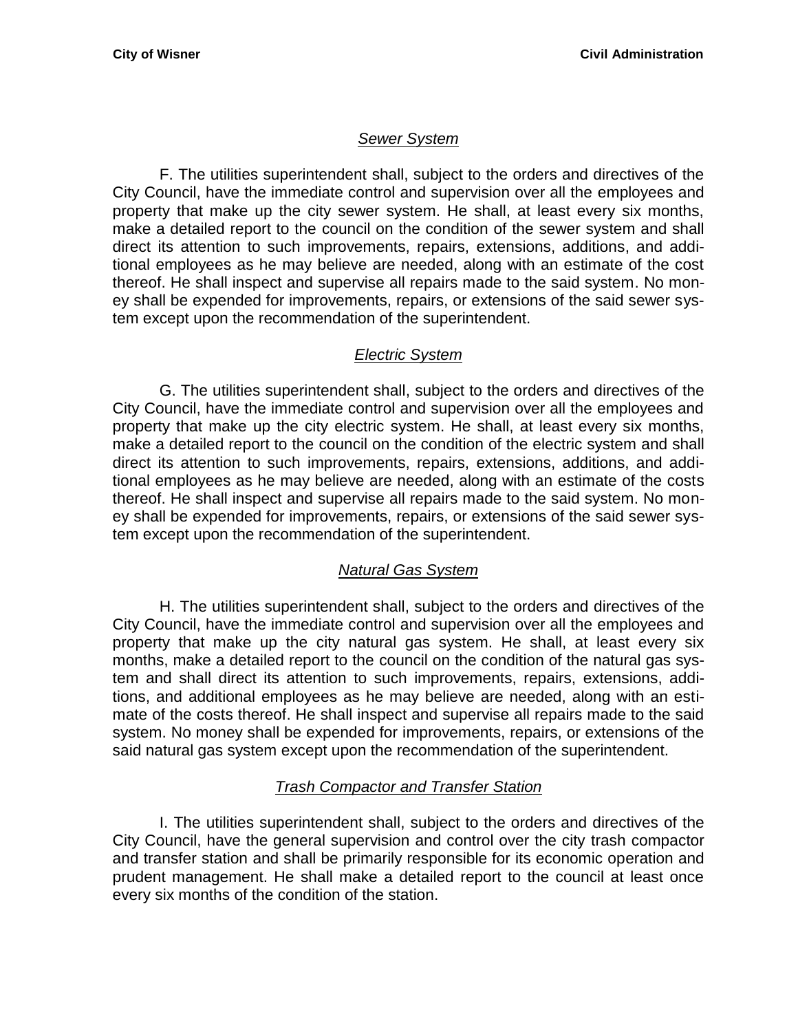# *Sewer System*

F. The utilities superintendent shall, subject to the orders and directives of the City Council, have the immediate control and supervision over all the employees and property that make up the city sewer system. He shall, at least every six months, make a detailed report to the council on the condition of the sewer system and shall direct its attention to such improvements, repairs, extensions, additions, and additional employees as he may believe are needed, along with an estimate of the cost thereof. He shall inspect and supervise all repairs made to the said system. No money shall be expended for improvements, repairs, or extensions of the said sewer system except upon the recommendation of the superintendent.

# *Electric System*

G. The utilities superintendent shall, subject to the orders and directives of the City Council, have the immediate control and supervision over all the employees and property that make up the city electric system. He shall, at least every six months, make a detailed report to the council on the condition of the electric system and shall direct its attention to such improvements, repairs, extensions, additions, and additional employees as he may believe are needed, along with an estimate of the costs thereof. He shall inspect and supervise all repairs made to the said system. No money shall be expended for improvements, repairs, or extensions of the said sewer system except upon the recommendation of the superintendent.

# *Natural Gas System*

H. The utilities superintendent shall, subject to the orders and directives of the City Council, have the immediate control and supervision over all the employees and property that make up the city natural gas system. He shall, at least every six months, make a detailed report to the council on the condition of the natural gas system and shall direct its attention to such improvements, repairs, extensions, additions, and additional employees as he may believe are needed, along with an estimate of the costs thereof. He shall inspect and supervise all repairs made to the said system. No money shall be expended for improvements, repairs, or extensions of the said natural gas system except upon the recommendation of the superintendent.

# *Trash Compactor and Transfer Station*

I. The utilities superintendent shall, subject to the orders and directives of the City Council, have the general supervision and control over the city trash compactor and transfer station and shall be primarily responsible for its economic operation and prudent management. He shall make a detailed report to the council at least once every six months of the condition of the station.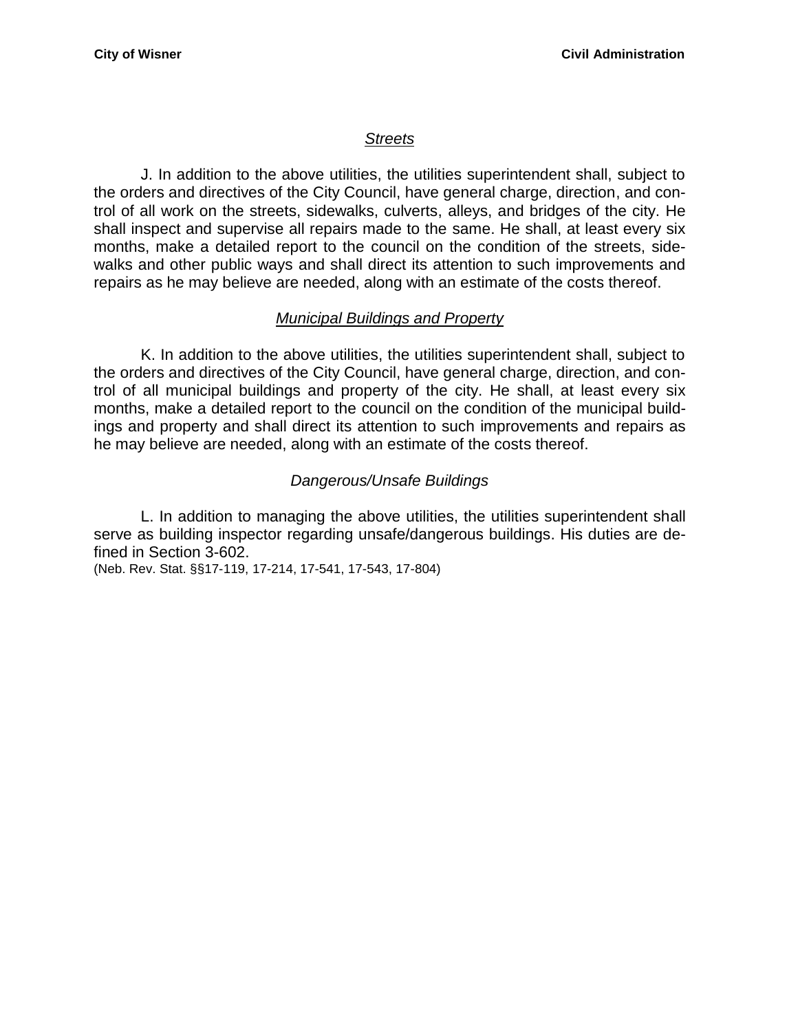#### *Streets*

J. In addition to the above utilities, the utilities superintendent shall, subject to the orders and directives of the City Council, have general charge, direction, and control of all work on the streets, sidewalks, culverts, alleys, and bridges of the city. He shall inspect and supervise all repairs made to the same. He shall, at least every six months, make a detailed report to the council on the condition of the streets, sidewalks and other public ways and shall direct its attention to such improvements and repairs as he may believe are needed, along with an estimate of the costs thereof.

### *Municipal Buildings and Property*

K. In addition to the above utilities, the utilities superintendent shall, subject to the orders and directives of the City Council, have general charge, direction, and control of all municipal buildings and property of the city. He shall, at least every six months, make a detailed report to the council on the condition of the municipal buildings and property and shall direct its attention to such improvements and repairs as he may believe are needed, along with an estimate of the costs thereof.

### *Dangerous/Unsafe Buildings*

L. In addition to managing the above utilities, the utilities superintendent shall serve as building inspector regarding unsafe/dangerous buildings. His duties are defined in Section 3-602.

(Neb. Rev. Stat. §§17-119, 17-214, 17-541, 17-543, 17-804)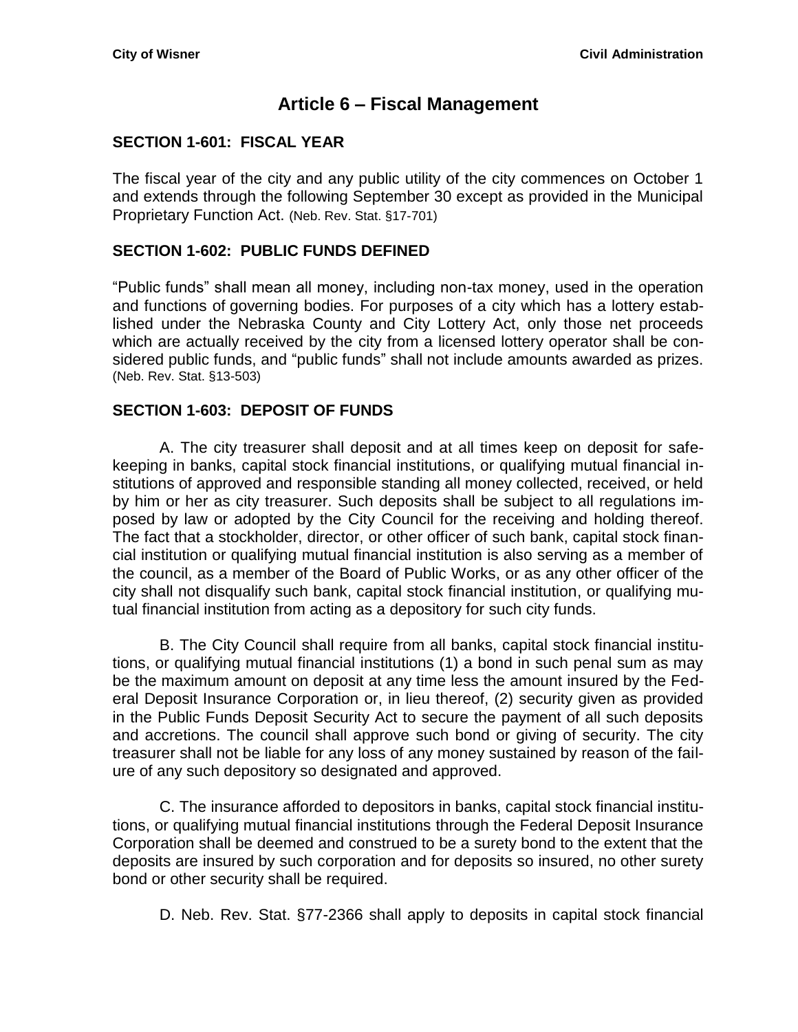# **Article 6 – Fiscal Management**

### <span id="page-40-1"></span><span id="page-40-0"></span>**SECTION 1-601: FISCAL YEAR**

The fiscal year of the city and any public utility of the city commences on October 1 and extends through the following September 30 except as provided in the Municipal Proprietary Function Act. (Neb. Rev. Stat. §17-701)

### <span id="page-40-2"></span>**SECTION 1-602: PUBLIC FUNDS DEFINED**

"Public funds" shall mean all money, including non-tax money, used in the operation and functions of governing bodies. For purposes of a city which has a lottery established under the Nebraska County and City Lottery Act, only those net proceeds which are actually received by the city from a licensed lottery operator shall be considered public funds, and "public funds" shall not include amounts awarded as prizes. (Neb. Rev. Stat. §13-503)

#### <span id="page-40-3"></span>**SECTION 1-603: DEPOSIT OF FUNDS**

A. The city treasurer shall deposit and at all times keep on deposit for safekeeping in banks, capital stock financial institutions, or qualifying mutual financial institutions of approved and responsible standing all money collected, received, or held by him or her as city treasurer. Such deposits shall be subject to all regulations imposed by law or adopted by the City Council for the receiving and holding thereof. The fact that a stockholder, director, or other officer of such bank, capital stock financial institution or qualifying mutual financial institution is also serving as a member of the council, as a member of the Board of Public Works, or as any other officer of the city shall not disqualify such bank, capital stock financial institution, or qualifying mutual financial institution from acting as a depository for such city funds.

B. The City Council shall require from all banks, capital stock financial institutions, or qualifying mutual financial institutions (1) a bond in such penal sum as may be the maximum amount on deposit at any time less the amount insured by the Federal Deposit Insurance Corporation or, in lieu thereof, (2) security given as provided in the Public Funds Deposit Security Act to secure the payment of all such deposits and accretions. The council shall approve such bond or giving of security. The city treasurer shall not be liable for any loss of any money sustained by reason of the failure of any such depository so designated and approved.

C. The insurance afforded to depositors in banks, capital stock financial institutions, or qualifying mutual financial institutions through the Federal Deposit Insurance Corporation shall be deemed and construed to be a surety bond to the extent that the deposits are insured by such corporation and for deposits so insured, no other surety bond or other security shall be required.

D. Neb. Rev. Stat. §77-2366 shall apply to deposits in capital stock financial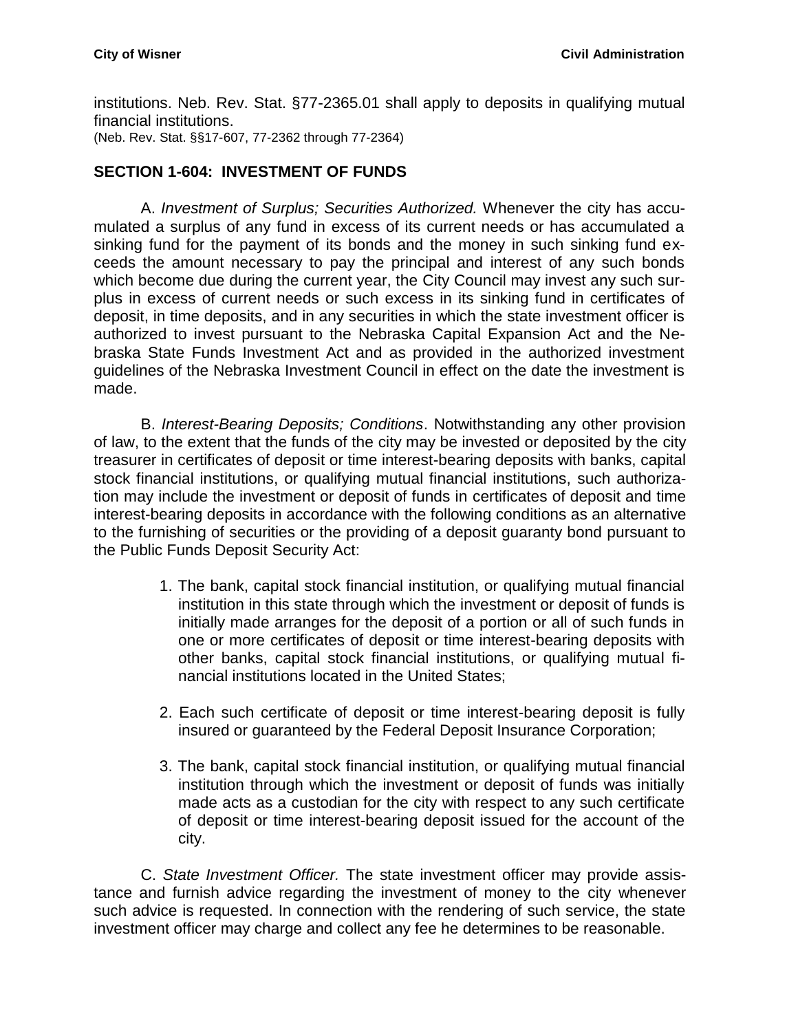institutions. Neb. Rev. Stat. §77-2365.01 shall apply to deposits in qualifying mutual financial institutions. (Neb. Rev. Stat. §§17-607, 77-2362 through 77-2364)

### <span id="page-41-0"></span>**SECTION 1-604: INVESTMENT OF FUNDS**

A. *Investment of Surplus; Securities Authorized.* Whenever the city has accumulated a surplus of any fund in excess of its current needs or has accumulated a sinking fund for the payment of its bonds and the money in such sinking fund exceeds the amount necessary to pay the principal and interest of any such bonds which become due during the current year, the City Council may invest any such surplus in excess of current needs or such excess in its sinking fund in certificates of deposit, in time deposits, and in any securities in which the state investment officer is authorized to invest pursuant to the Nebraska Capital Expansion Act and the Nebraska State Funds Investment Act and as provided in the authorized investment guidelines of the Nebraska Investment Council in effect on the date the investment is made.

B. *Interest-Bearing Deposits; Conditions*. Notwithstanding any other provision of law, to the extent that the funds of the city may be invested or deposited by the city treasurer in certificates of deposit or time interest-bearing deposits with banks, capital stock financial institutions, or qualifying mutual financial institutions, such authorization may include the investment or deposit of funds in certificates of deposit and time interest-bearing deposits in accordance with the following conditions as an alternative to the furnishing of securities or the providing of a deposit guaranty bond pursuant to the Public Funds Deposit Security Act:

- 1. The bank, capital stock financial institution, or qualifying mutual financial institution in this state through which the investment or deposit of funds is initially made arranges for the deposit of a portion or all of such funds in one or more certificates of deposit or time interest-bearing deposits with other banks, capital stock financial institutions, or qualifying mutual financial institutions located in the United States;
- 2. Each such certificate of deposit or time interest-bearing deposit is fully insured or guaranteed by the Federal Deposit Insurance Corporation;
- 3. The bank, capital stock financial institution, or qualifying mutual financial institution through which the investment or deposit of funds was initially made acts as a custodian for the city with respect to any such certificate of deposit or time interest-bearing deposit issued for the account of the city.

C. *State Investment Officer.* The state investment officer may provide assistance and furnish advice regarding the investment of money to the city whenever such advice is requested. In connection with the rendering of such service, the state investment officer may charge and collect any fee he determines to be reasonable.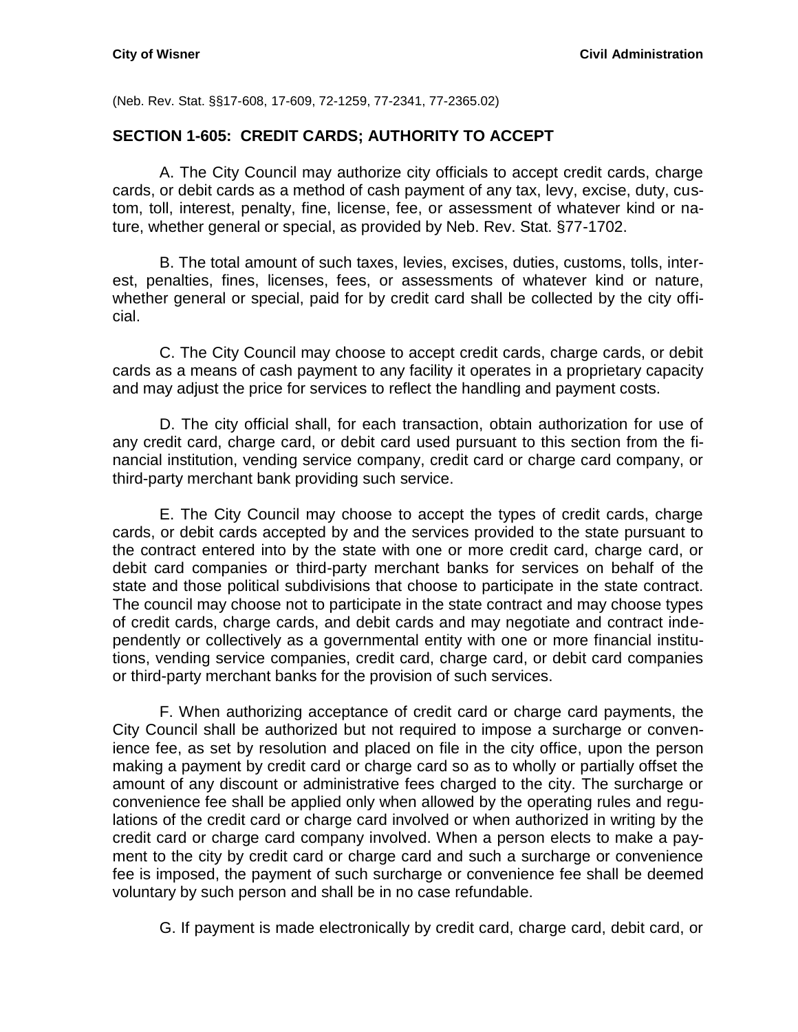(Neb. Rev. Stat. §§17-608, 17-609, 72-1259, 77-2341, 77-2365.02)

### <span id="page-42-0"></span>**SECTION 1-605: CREDIT CARDS; AUTHORITY TO ACCEPT**

A. The City Council may authorize city officials to accept credit cards, charge cards, or debit cards as a method of cash payment of any tax, levy, excise, duty, custom, toll, interest, penalty, fine, license, fee, or assessment of whatever kind or nature, whether general or special, as provided by Neb. Rev. Stat. §77-1702.

B. The total amount of such taxes, levies, excises, duties, customs, tolls, interest, penalties, fines, licenses, fees, or assessments of whatever kind or nature, whether general or special, paid for by credit card shall be collected by the city official.

C. The City Council may choose to accept credit cards, charge cards, or debit cards as a means of cash payment to any facility it operates in a proprietary capacity and may adjust the price for services to reflect the handling and payment costs.

D. The city official shall, for each transaction, obtain authorization for use of any credit card, charge card, or debit card used pursuant to this section from the financial institution, vending service company, credit card or charge card company, or third-party merchant bank providing such service.

E. The City Council may choose to accept the types of credit cards, charge cards, or debit cards accepted by and the services provided to the state pursuant to the contract entered into by the state with one or more credit card, charge card, or debit card companies or third-party merchant banks for services on behalf of the state and those political subdivisions that choose to participate in the state contract. The council may choose not to participate in the state contract and may choose types of credit cards, charge cards, and debit cards and may negotiate and contract independently or collectively as a governmental entity with one or more financial institutions, vending service companies, credit card, charge card, or debit card companies or third-party merchant banks for the provision of such services.

F. When authorizing acceptance of credit card or charge card payments, the City Council shall be authorized but not required to impose a surcharge or convenience fee, as set by resolution and placed on file in the city office, upon the person making a payment by credit card or charge card so as to wholly or partially offset the amount of any discount or administrative fees charged to the city. The surcharge or convenience fee shall be applied only when allowed by the operating rules and regulations of the credit card or charge card involved or when authorized in writing by the credit card or charge card company involved. When a person elects to make a payment to the city by credit card or charge card and such a surcharge or convenience fee is imposed, the payment of such surcharge or convenience fee shall be deemed voluntary by such person and shall be in no case refundable.

G. If payment is made electronically by credit card, charge card, debit card, or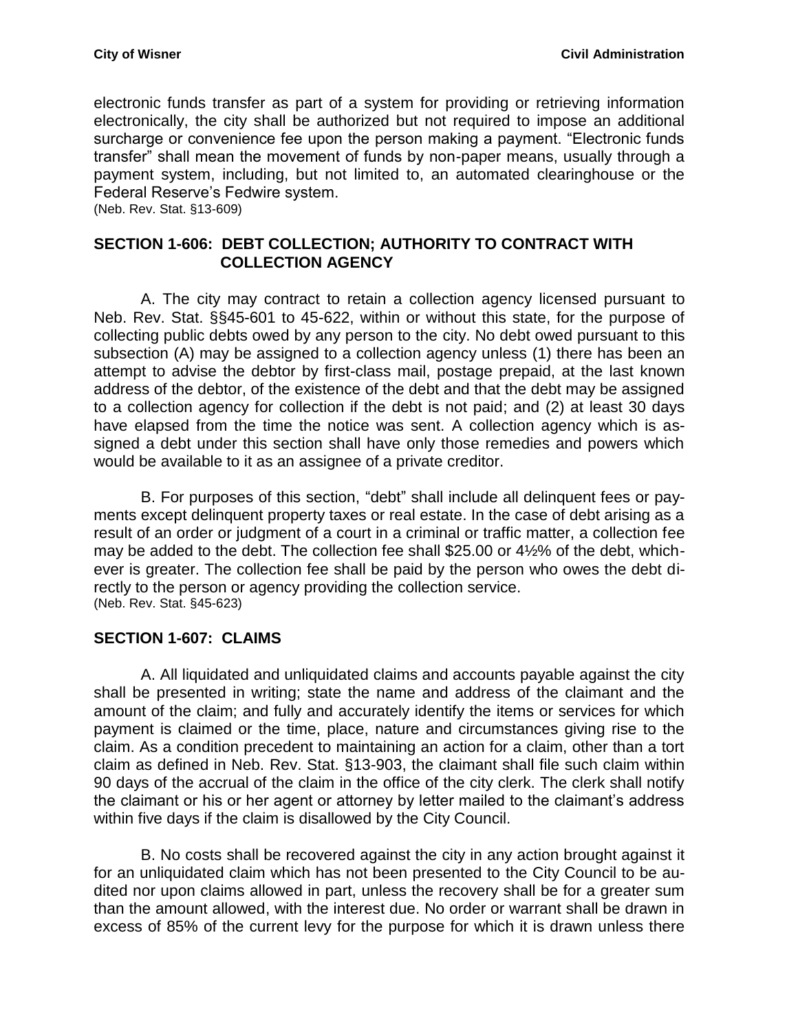electronic funds transfer as part of a system for providing or retrieving information electronically, the city shall be authorized but not required to impose an additional surcharge or convenience fee upon the person making a payment. "Electronic funds transfer" shall mean the movement of funds by non-paper means, usually through a payment system, including, but not limited to, an automated clearinghouse or the Federal Reserve's Fedwire system.

(Neb. Rev. Stat. §13-609)

#### <span id="page-43-0"></span>**SECTION 1-606: DEBT COLLECTION; AUTHORITY TO CONTRACT WITH COLLECTION AGENCY**

A. The city may contract to retain a collection agency licensed pursuant to Neb. Rev. Stat. §§45-601 to 45-622, within or without this state, for the purpose of collecting public debts owed by any person to the city. No debt owed pursuant to this subsection (A) may be assigned to a collection agency unless (1) there has been an attempt to advise the debtor by first-class mail, postage prepaid, at the last known address of the debtor, of the existence of the debt and that the debt may be assigned to a collection agency for collection if the debt is not paid; and (2) at least 30 days have elapsed from the time the notice was sent. A collection agency which is assigned a debt under this section shall have only those remedies and powers which would be available to it as an assignee of a private creditor.

B. For purposes of this section, "debt" shall include all delinquent fees or payments except delinquent property taxes or real estate. In the case of debt arising as a result of an order or judgment of a court in a criminal or traffic matter, a collection fee may be added to the debt. The collection fee shall \$25.00 or 4½% of the debt, whichever is greater. The collection fee shall be paid by the person who owes the debt directly to the person or agency providing the collection service. (Neb. Rev. Stat. §45-623)

#### <span id="page-43-1"></span>**SECTION 1-607: CLAIMS**

A. All liquidated and unliquidated claims and accounts payable against the city shall be presented in writing; state the name and address of the claimant and the amount of the claim; and fully and accurately identify the items or services for which payment is claimed or the time, place, nature and circumstances giving rise to the claim. As a condition precedent to maintaining an action for a claim, other than a tort claim as defined in Neb. Rev. Stat. §13-903, the claimant shall file such claim within 90 days of the accrual of the claim in the office of the city clerk. The clerk shall notify the claimant or his or her agent or attorney by letter mailed to the claimant's address within five days if the claim is disallowed by the City Council.

B. No costs shall be recovered against the city in any action brought against it for an unliquidated claim which has not been presented to the City Council to be audited nor upon claims allowed in part, unless the recovery shall be for a greater sum than the amount allowed, with the interest due. No order or warrant shall be drawn in excess of 85% of the current levy for the purpose for which it is drawn unless there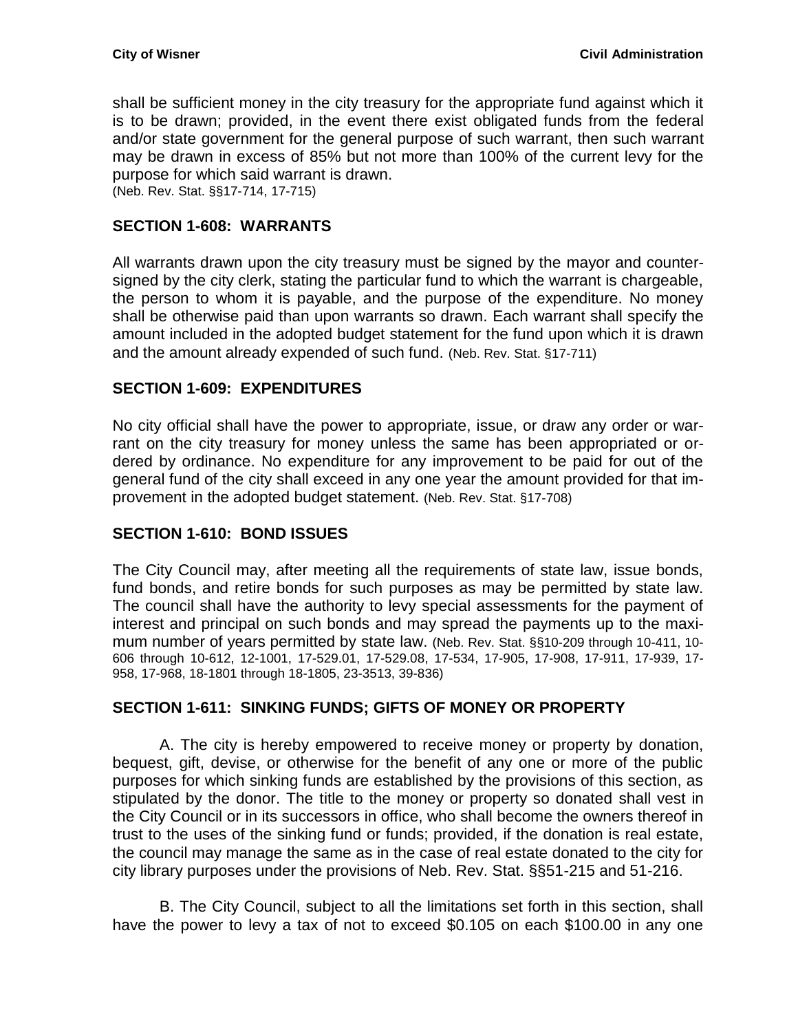shall be sufficient money in the city treasury for the appropriate fund against which it is to be drawn; provided, in the event there exist obligated funds from the federal and/or state government for the general purpose of such warrant, then such warrant may be drawn in excess of 85% but not more than 100% of the current levy for the purpose for which said warrant is drawn. (Neb. Rev. Stat. §§17-714, 17-715)

### <span id="page-44-0"></span>**SECTION 1-608: WARRANTS**

All warrants drawn upon the city treasury must be signed by the mayor and countersigned by the city clerk, stating the particular fund to which the warrant is chargeable, the person to whom it is payable, and the purpose of the expenditure. No money shall be otherwise paid than upon warrants so drawn. Each warrant shall specify the amount included in the adopted budget statement for the fund upon which it is drawn and the amount already expended of such fund. (Neb. Rev. Stat. §17-711)

#### <span id="page-44-1"></span>**SECTION 1-609: EXPENDITURES**

No city official shall have the power to appropriate, issue, or draw any order or warrant on the city treasury for money unless the same has been appropriated or ordered by ordinance. No expenditure for any improvement to be paid for out of the general fund of the city shall exceed in any one year the amount provided for that improvement in the adopted budget statement. (Neb. Rev. Stat. §17-708)

#### <span id="page-44-2"></span>**SECTION 1-610: BOND ISSUES**

The City Council may, after meeting all the requirements of state law, issue bonds, fund bonds, and retire bonds for such purposes as may be permitted by state law. The council shall have the authority to levy special assessments for the payment of interest and principal on such bonds and may spread the payments up to the maximum number of years permitted by state law. (Neb. Rev. Stat. §§10-209 through 10-411, 10- 606 through 10-612, 12-1001, 17-529.01, 17-529.08, 17-534, 17-905, 17-908, 17-911, 17-939, 17- 958, 17-968, 18-1801 through 18-1805, 23-3513, 39-836)

#### <span id="page-44-3"></span>**SECTION 1-611: SINKING FUNDS; GIFTS OF MONEY OR PROPERTY**

A. The city is hereby empowered to receive money or property by donation, bequest, gift, devise, or otherwise for the benefit of any one or more of the public purposes for which sinking funds are established by the provisions of this section, as stipulated by the donor. The title to the money or property so donated shall vest in the City Council or in its successors in office, who shall become the owners thereof in trust to the uses of the sinking fund or funds; provided, if the donation is real estate, the council may manage the same as in the case of real estate donated to the city for city library purposes under the provisions of Neb. Rev. Stat. §§51-215 and 51-216.

B. The City Council, subject to all the limitations set forth in this section, shall have the power to levy a tax of not to exceed \$0.105 on each \$100.00 in any one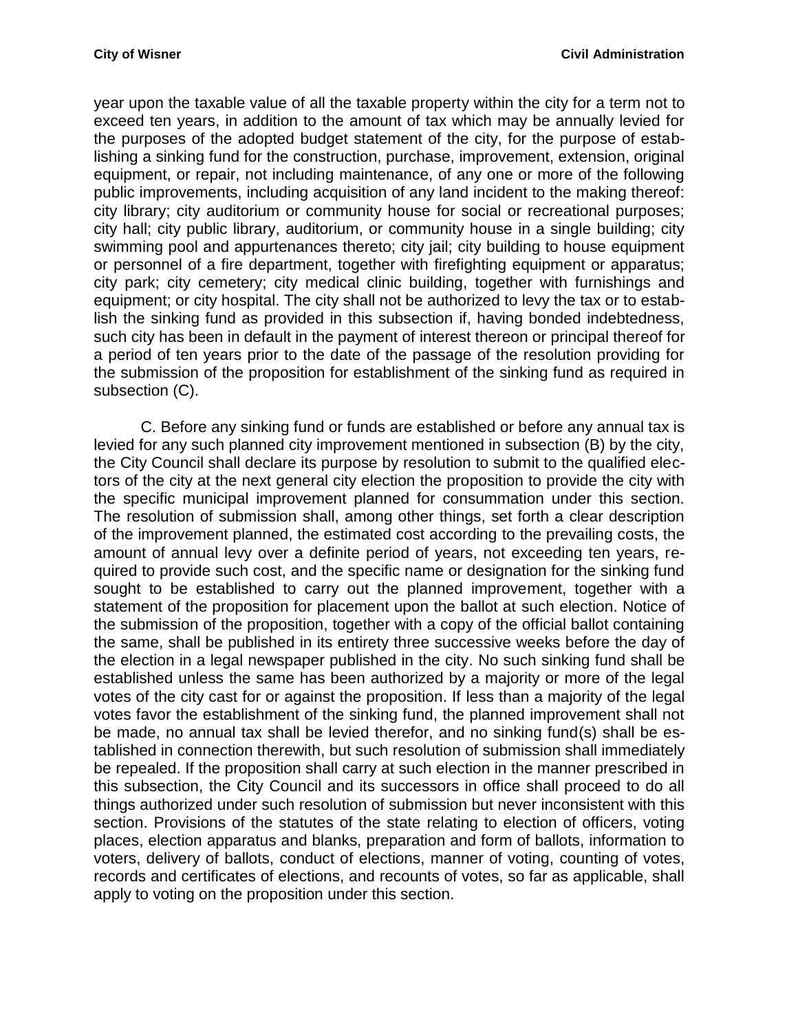year upon the taxable value of all the taxable property within the city for a term not to exceed ten years, in addition to the amount of tax which may be annually levied for the purposes of the adopted budget statement of the city, for the purpose of establishing a sinking fund for the construction, purchase, improvement, extension, original equipment, or repair, not including maintenance, of any one or more of the following public improvements, including acquisition of any land incident to the making thereof: city library; city auditorium or community house for social or recreational purposes; city hall; city public library, auditorium, or community house in a single building; city swimming pool and appurtenances thereto; city jail; city building to house equipment or personnel of a fire department, together with firefighting equipment or apparatus; city park; city cemetery; city medical clinic building, together with furnishings and equipment; or city hospital. The city shall not be authorized to levy the tax or to establish the sinking fund as provided in this subsection if, having bonded indebtedness, such city has been in default in the payment of interest thereon or principal thereof for a period of ten years prior to the date of the passage of the resolution providing for the submission of the proposition for establishment of the sinking fund as required in subsection (C).

C. Before any sinking fund or funds are established or before any annual tax is levied for any such planned city improvement mentioned in subsection (B) by the city, the City Council shall declare its purpose by resolution to submit to the qualified electors of the city at the next general city election the proposition to provide the city with the specific municipal improvement planned for consummation under this section. The resolution of submission shall, among other things, set forth a clear description of the improvement planned, the estimated cost according to the prevailing costs, the amount of annual levy over a definite period of years, not exceeding ten years, required to provide such cost, and the specific name or designation for the sinking fund sought to be established to carry out the planned improvement, together with a statement of the proposition for placement upon the ballot at such election. Notice of the submission of the proposition, together with a copy of the official ballot containing the same, shall be published in its entirety three successive weeks before the day of the election in a legal newspaper published in the city. No such sinking fund shall be established unless the same has been authorized by a majority or more of the legal votes of the city cast for or against the proposition. If less than a majority of the legal votes favor the establishment of the sinking fund, the planned improvement shall not be made, no annual tax shall be levied therefor, and no sinking fund(s) shall be established in connection therewith, but such resolution of submission shall immediately be repealed. If the proposition shall carry at such election in the manner prescribed in this subsection, the City Council and its successors in office shall proceed to do all things authorized under such resolution of submission but never inconsistent with this section. Provisions of the statutes of the state relating to election of officers, voting places, election apparatus and blanks, preparation and form of ballots, information to voters, delivery of ballots, conduct of elections, manner of voting, counting of votes, records and certificates of elections, and recounts of votes, so far as applicable, shall apply to voting on the proposition under this section.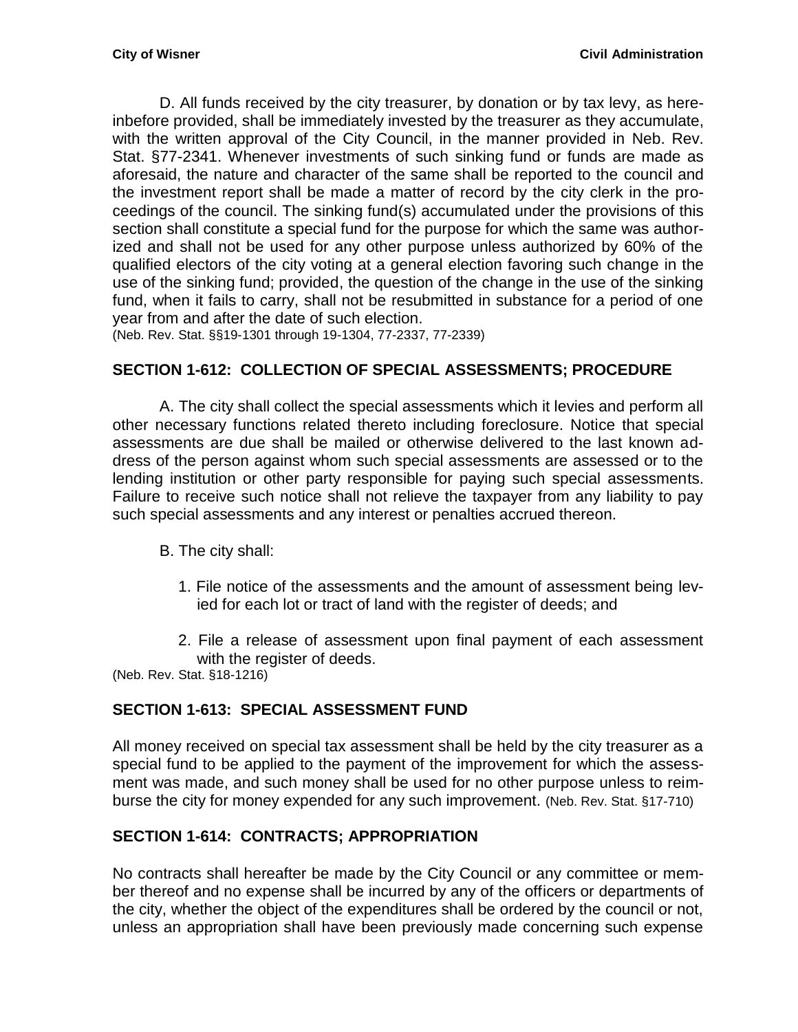D. All funds received by the city treasurer, by donation or by tax levy, as hereinbefore provided, shall be immediately invested by the treasurer as they accumulate, with the written approval of the City Council, in the manner provided in Neb. Rev. Stat. §77-2341. Whenever investments of such sinking fund or funds are made as aforesaid, the nature and character of the same shall be reported to the council and the investment report shall be made a matter of record by the city clerk in the proceedings of the council. The sinking fund(s) accumulated under the provisions of this section shall constitute a special fund for the purpose for which the same was authorized and shall not be used for any other purpose unless authorized by 60% of the qualified electors of the city voting at a general election favoring such change in the use of the sinking fund; provided, the question of the change in the use of the sinking fund, when it fails to carry, shall not be resubmitted in substance for a period of one year from and after the date of such election.

(Neb. Rev. Stat. §§19-1301 through 19-1304, 77-2337, 77-2339)

### <span id="page-46-0"></span>**SECTION 1-612: COLLECTION OF SPECIAL ASSESSMENTS; PROCEDURE**

A. The city shall collect the special assessments which it levies and perform all other necessary functions related thereto including foreclosure. Notice that special assessments are due shall be mailed or otherwise delivered to the last known address of the person against whom such special assessments are assessed or to the lending institution or other party responsible for paying such special assessments. Failure to receive such notice shall not relieve the taxpayer from any liability to pay such special assessments and any interest or penalties accrued thereon.

B. The city shall:

- 1. File notice of the assessments and the amount of assessment being levied for each lot or tract of land with the register of deeds; and
- 2. File a release of assessment upon final payment of each assessment with the register of deeds.

(Neb. Rev. Stat. §18-1216)

# <span id="page-46-1"></span>**SECTION 1-613: SPECIAL ASSESSMENT FUND**

All money received on special tax assessment shall be held by the city treasurer as a special fund to be applied to the payment of the improvement for which the assessment was made, and such money shall be used for no other purpose unless to reimburse the city for money expended for any such improvement. (Neb. Rev. Stat. §17-710)

# <span id="page-46-2"></span>**SECTION 1-614: CONTRACTS; APPROPRIATION**

No contracts shall hereafter be made by the City Council or any committee or member thereof and no expense shall be incurred by any of the officers or departments of the city, whether the object of the expenditures shall be ordered by the council or not, unless an appropriation shall have been previously made concerning such expense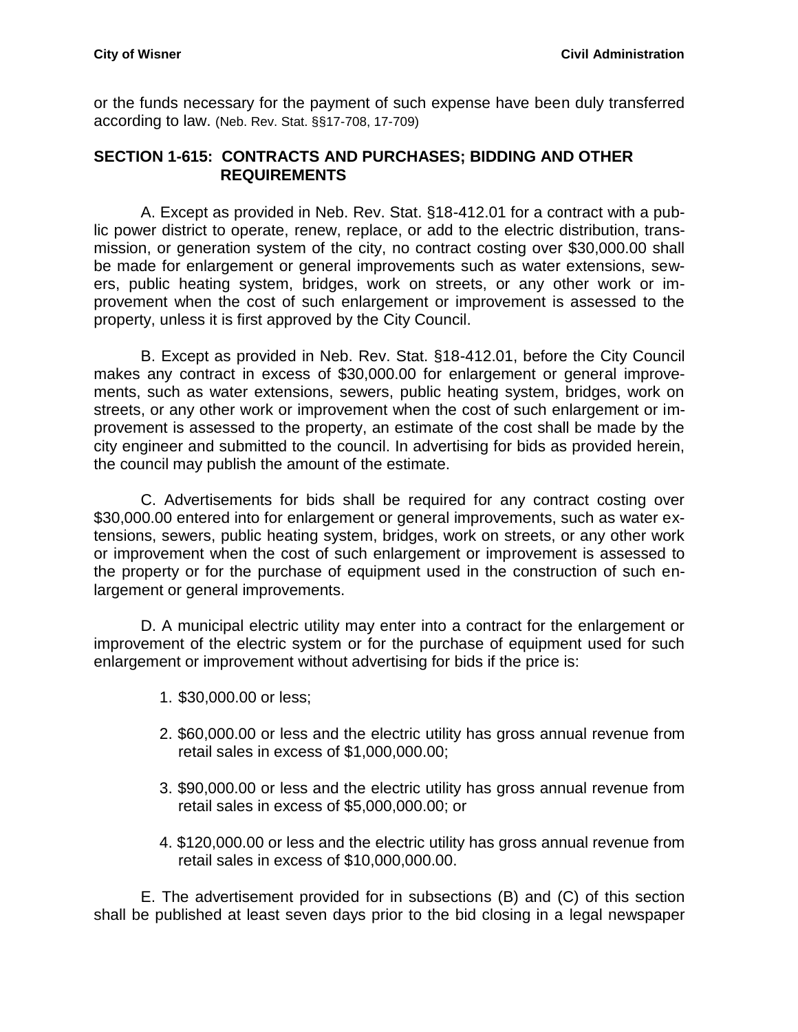or the funds necessary for the payment of such expense have been duly transferred according to law. (Neb. Rev. Stat. §§17-708, 17-709)

#### <span id="page-47-0"></span>**SECTION 1-615: CONTRACTS AND PURCHASES; BIDDING AND OTHER REQUIREMENTS**

A. Except as provided in Neb. Rev. Stat. §18-412.01 for a contract with a public power district to operate, renew, replace, or add to the electric distribution, transmission, or generation system of the city, no contract costing over \$30,000.00 shall be made for enlargement or general improvements such as water extensions, sewers, public heating system, bridges, work on streets, or any other work or improvement when the cost of such enlargement or improvement is assessed to the property, unless it is first approved by the City Council.

B. Except as provided in Neb. Rev. Stat. §18-412.01, before the City Council makes any contract in excess of \$30,000.00 for enlargement or general improvements, such as water extensions, sewers, public heating system, bridges, work on streets, or any other work or improvement when the cost of such enlargement or improvement is assessed to the property, an estimate of the cost shall be made by the city engineer and submitted to the council. In advertising for bids as provided herein, the council may publish the amount of the estimate.

C. Advertisements for bids shall be required for any contract costing over \$30,000.00 entered into for enlargement or general improvements, such as water extensions, sewers, public heating system, bridges, work on streets, or any other work or improvement when the cost of such enlargement or improvement is assessed to the property or for the purchase of equipment used in the construction of such enlargement or general improvements.

D. A municipal electric utility may enter into a contract for the enlargement or improvement of the electric system or for the purchase of equipment used for such enlargement or improvement without advertising for bids if the price is:

- 1. \$30,000.00 or less;
- 2. \$60,000.00 or less and the electric utility has gross annual revenue from retail sales in excess of \$1,000,000.00;
- 3. \$90,000.00 or less and the electric utility has gross annual revenue from retail sales in excess of \$5,000,000.00; or
- 4. \$120,000.00 or less and the electric utility has gross annual revenue from retail sales in excess of \$10,000,000.00.

E. The advertisement provided for in subsections (B) and (C) of this section shall be published at least seven days prior to the bid closing in a legal newspaper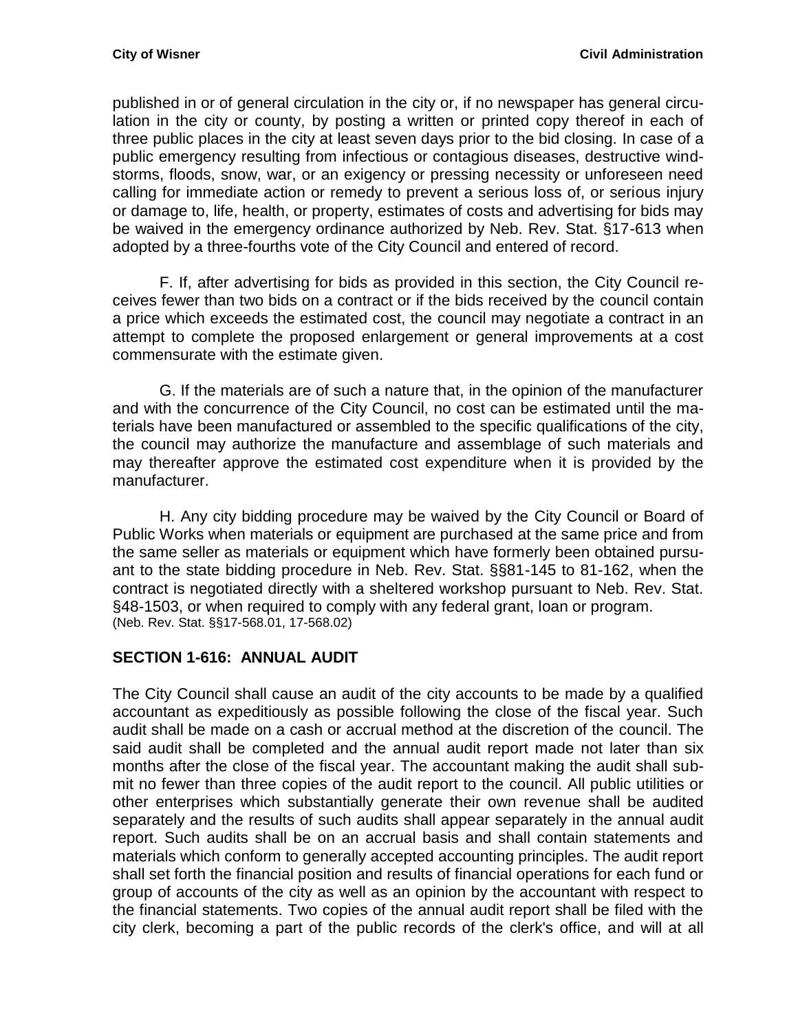published in or of general circulation in the city or, if no newspaper has general circulation in the city or county, by posting a written or printed copy thereof in each of three public places in the city at least seven days prior to the bid closing. In case of a public emergency resulting from infectious or contagious diseases, destructive windstorms, floods, snow, war, or an exigency or pressing necessity or unforeseen need calling for immediate action or remedy to prevent a serious loss of, or serious injury or damage to, life, health, or property, estimates of costs and advertising for bids may be waived in the emergency ordinance authorized by Neb. Rev. Stat. §17-613 when adopted by a three-fourths vote of the City Council and entered of record.

F. If, after advertising for bids as provided in this section, the City Council receives fewer than two bids on a contract or if the bids received by the council contain a price which exceeds the estimated cost, the council may negotiate a contract in an attempt to complete the proposed enlargement or general improvements at a cost commensurate with the estimate given.

G. If the materials are of such a nature that, in the opinion of the manufacturer and with the concurrence of the City Council, no cost can be estimated until the materials have been manufactured or assembled to the specific qualifications of the city, the council may authorize the manufacture and assemblage of such materials and may thereafter approve the estimated cost expenditure when it is provided by the manufacturer.

H. Any city bidding procedure may be waived by the City Council or Board of Public Works when materials or equipment are purchased at the same price and from the same seller as materials or equipment which have formerly been obtained pursuant to the state bidding procedure in Neb. Rev. Stat. §§81-145 to 81-162, when the contract is negotiated directly with a sheltered workshop pursuant to Neb. Rev. Stat. §48-1503, or when required to comply with any federal grant, loan or program. (Neb. Rev. Stat. §§17-568.01, 17-568.02)

# <span id="page-48-0"></span>**SECTION 1-616: ANNUAL AUDIT**

The City Council shall cause an audit of the city accounts to be made by a qualified accountant as expeditiously as possible following the close of the fiscal year. Such audit shall be made on a cash or accrual method at the discretion of the council. The said audit shall be completed and the annual audit report made not later than six months after the close of the fiscal year. The accountant making the audit shall submit no fewer than three copies of the audit report to the council. All public utilities or other enterprises which substantially generate their own revenue shall be audited separately and the results of such audits shall appear separately in the annual audit report. Such audits shall be on an accrual basis and shall contain statements and materials which conform to generally accepted accounting principles. The audit report shall set forth the financial position and results of financial operations for each fund or group of accounts of the city as well as an opinion by the accountant with respect to the financial statements. Two copies of the annual audit report shall be filed with the city clerk, becoming a part of the public records of the clerk's office, and will at all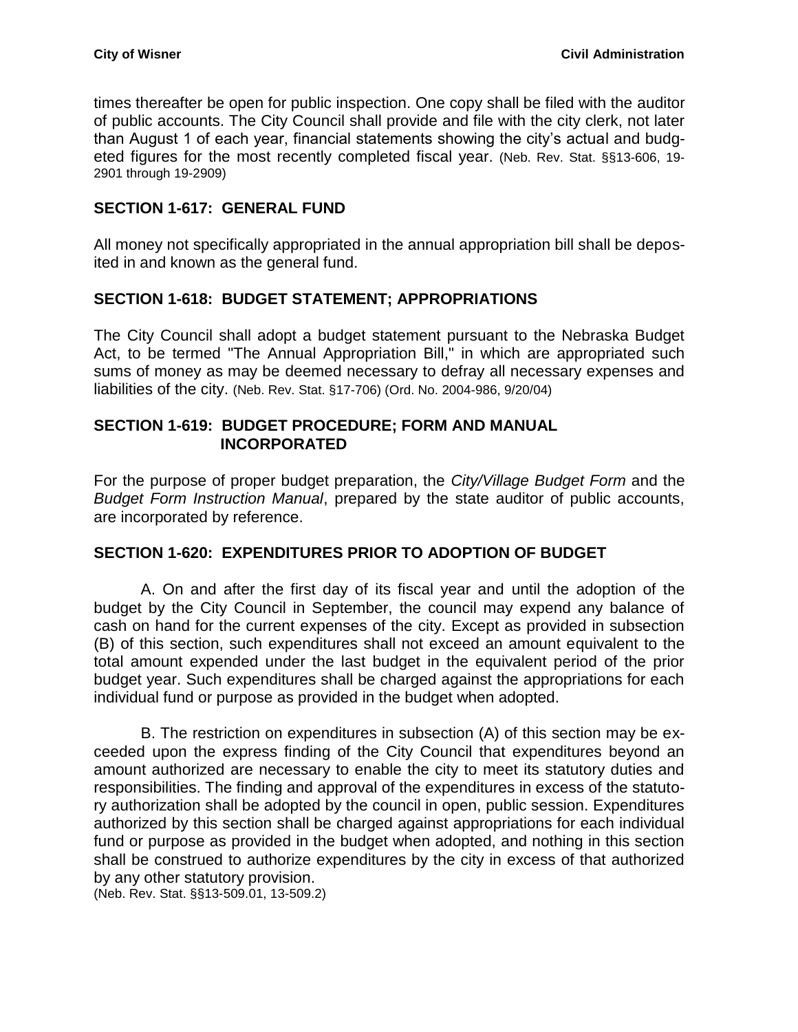times thereafter be open for public inspection. One copy shall be filed with the auditor of public accounts. The City Council shall provide and file with the city clerk, not later than August 1 of each year, financial statements showing the city's actual and budgeted figures for the most recently completed fiscal year. (Neb. Rev. Stat. §§13-606, 19- 2901 through 19-2909)

#### <span id="page-49-0"></span>**SECTION 1-617: GENERAL FUND**

All money not specifically appropriated in the annual appropriation bill shall be deposited in and known as the general fund.

### <span id="page-49-1"></span>**SECTION 1-618: BUDGET STATEMENT; APPROPRIATIONS**

The City Council shall adopt a budget statement pursuant to the Nebraska Budget Act, to be termed "The Annual Appropriation Bill," in which are appropriated such sums of money as may be deemed necessary to defray all necessary expenses and liabilities of the city. (Neb. Rev. Stat. §17-706) (Ord. No. 2004-986, 9/20/04)

#### <span id="page-49-2"></span>**SECTION 1-619: BUDGET PROCEDURE; FORM AND MANUAL INCORPORATED**

For the purpose of proper budget preparation, the *City/Village Budget Form* and the *Budget Form Instruction Manual*, prepared by the state auditor of public accounts, are incorporated by reference.

#### <span id="page-49-3"></span>**SECTION 1-620: EXPENDITURES PRIOR TO ADOPTION OF BUDGET**

A. On and after the first day of its fiscal year and until the adoption of the budget by the City Council in September, the council may expend any balance of cash on hand for the current expenses of the city. Except as provided in subsection (B) of this section, such expenditures shall not exceed an amount equivalent to the total amount expended under the last budget in the equivalent period of the prior budget year. Such expenditures shall be charged against the appropriations for each individual fund or purpose as provided in the budget when adopted.

B. The restriction on expenditures in subsection (A) of this section may be exceeded upon the express finding of the City Council that expenditures beyond an amount authorized are necessary to enable the city to meet its statutory duties and responsibilities. The finding and approval of the expenditures in excess of the statutory authorization shall be adopted by the council in open, public session. Expenditures authorized by this section shall be charged against appropriations for each individual fund or purpose as provided in the budget when adopted, and nothing in this section shall be construed to authorize expenditures by the city in excess of that authorized by any other statutory provision.

(Neb. Rev. Stat. §§13-509.01, 13-509.2)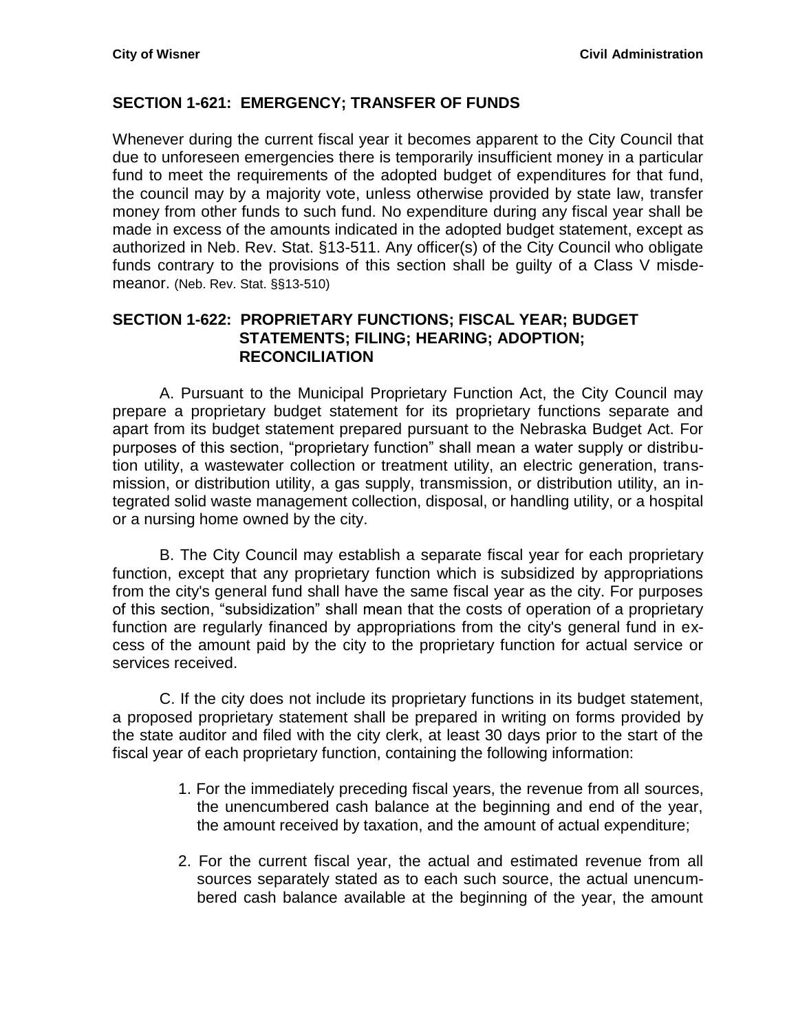# <span id="page-50-0"></span>**SECTION 1-621: EMERGENCY; TRANSFER OF FUNDS**

Whenever during the current fiscal year it becomes apparent to the City Council that due to unforeseen emergencies there is temporarily insufficient money in a particular fund to meet the requirements of the adopted budget of expenditures for that fund, the council may by a majority vote, unless otherwise provided by state law, transfer money from other funds to such fund. No expenditure during any fiscal year shall be made in excess of the amounts indicated in the adopted budget statement, except as authorized in Neb. Rev. Stat. §13-511. Any officer(s) of the City Council who obligate funds contrary to the provisions of this section shall be guilty of a Class V misdemeanor. (Neb. Rev. Stat. §§13-510)

### <span id="page-50-1"></span>**SECTION 1-622: PROPRIETARY FUNCTIONS; FISCAL YEAR; BUDGET STATEMENTS; FILING; HEARING; ADOPTION; RECONCILIATION**

A. Pursuant to the Municipal Proprietary Function Act, the City Council may prepare a proprietary budget statement for its proprietary functions separate and apart from its budget statement prepared pursuant to the Nebraska Budget Act. For purposes of this section, "proprietary function" shall mean a water supply or distribution utility, a wastewater collection or treatment utility, an electric generation, transmission, or distribution utility, a gas supply, transmission, or distribution utility, an integrated solid waste management collection, disposal, or handling utility, or a hospital or a nursing home owned by the city.

B. The City Council may establish a separate fiscal year for each proprietary function, except that any proprietary function which is subsidized by appropriations from the city's general fund shall have the same fiscal year as the city. For purposes of this section, "subsidization" shall mean that the costs of operation of a proprietary function are regularly financed by appropriations from the city's general fund in excess of the amount paid by the city to the proprietary function for actual service or services received.

C. If the city does not include its proprietary functions in its budget statement, a proposed proprietary statement shall be prepared in writing on forms provided by the state auditor and filed with the city clerk, at least 30 days prior to the start of the fiscal year of each proprietary function, containing the following information:

- 1. For the immediately preceding fiscal years, the revenue from all sources, the unencumbered cash balance at the beginning and end of the year, the amount received by taxation, and the amount of actual expenditure;
- 2. For the current fiscal year, the actual and estimated revenue from all sources separately stated as to each such source, the actual unencumbered cash balance available at the beginning of the year, the amount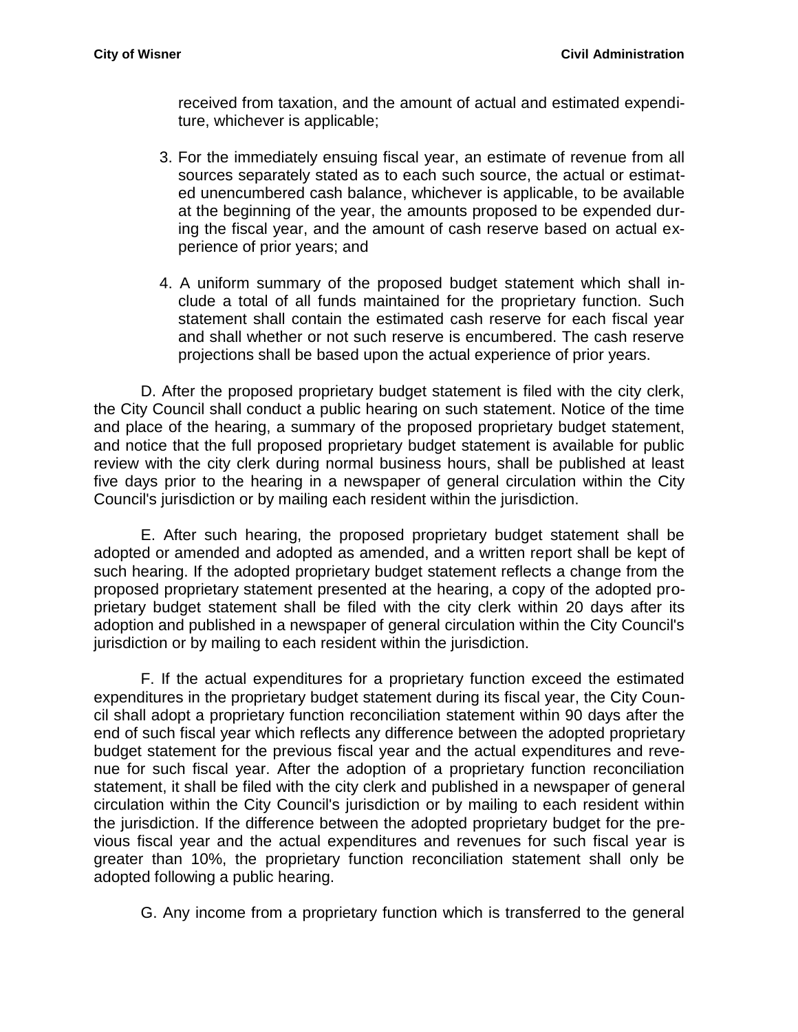received from taxation, and the amount of actual and estimated expenditure, whichever is applicable;

- 3. For the immediately ensuing fiscal year, an estimate of revenue from all sources separately stated as to each such source, the actual or estimated unencumbered cash balance, whichever is applicable, to be available at the beginning of the year, the amounts proposed to be expended during the fiscal year, and the amount of cash reserve based on actual experience of prior years; and
- 4. A uniform summary of the proposed budget statement which shall include a total of all funds maintained for the proprietary function. Such statement shall contain the estimated cash reserve for each fiscal year and shall whether or not such reserve is encumbered. The cash reserve projections shall be based upon the actual experience of prior years.

D. After the proposed proprietary budget statement is filed with the city clerk, the City Council shall conduct a public hearing on such statement. Notice of the time and place of the hearing, a summary of the proposed proprietary budget statement, and notice that the full proposed proprietary budget statement is available for public review with the city clerk during normal business hours, shall be published at least five days prior to the hearing in a newspaper of general circulation within the City Council's jurisdiction or by mailing each resident within the jurisdiction.

E. After such hearing, the proposed proprietary budget statement shall be adopted or amended and adopted as amended, and a written report shall be kept of such hearing. If the adopted proprietary budget statement reflects a change from the proposed proprietary statement presented at the hearing, a copy of the adopted proprietary budget statement shall be filed with the city clerk within 20 days after its adoption and published in a newspaper of general circulation within the City Council's jurisdiction or by mailing to each resident within the jurisdiction.

F. If the actual expenditures for a proprietary function exceed the estimated expenditures in the proprietary budget statement during its fiscal year, the City Council shall adopt a proprietary function reconciliation statement within 90 days after the end of such fiscal year which reflects any difference between the adopted proprietary budget statement for the previous fiscal year and the actual expenditures and revenue for such fiscal year. After the adoption of a proprietary function reconciliation statement, it shall be filed with the city clerk and published in a newspaper of general circulation within the City Council's jurisdiction or by mailing to each resident within the jurisdiction. If the difference between the adopted proprietary budget for the previous fiscal year and the actual expenditures and revenues for such fiscal year is greater than 10%, the proprietary function reconciliation statement shall only be adopted following a public hearing.

G. Any income from a proprietary function which is transferred to the general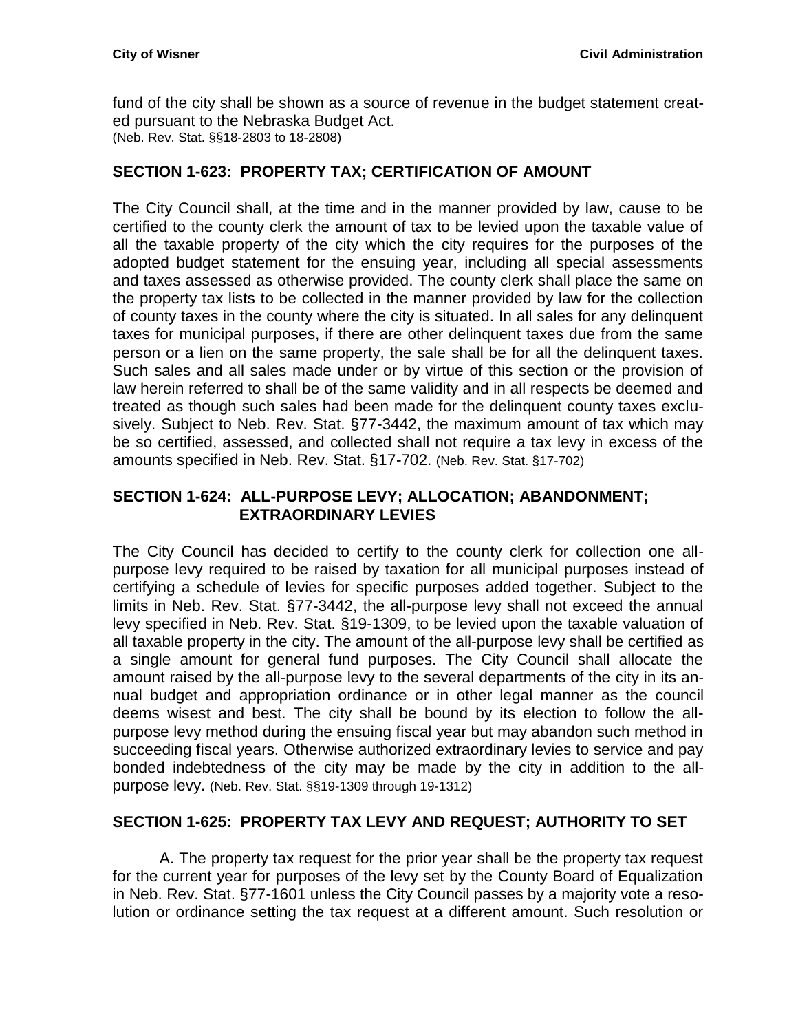fund of the city shall be shown as a source of revenue in the budget statement created pursuant to the Nebraska Budget Act. (Neb. Rev. Stat. §§18-2803 to 18-2808)

# <span id="page-52-0"></span>**SECTION 1-623: PROPERTY TAX; CERTIFICATION OF AMOUNT**

The City Council shall, at the time and in the manner provided by law, cause to be certified to the county clerk the amount of tax to be levied upon the taxable value of all the taxable property of the city which the city requires for the purposes of the adopted budget statement for the ensuing year, including all special assessments and taxes assessed as otherwise provided. The county clerk shall place the same on the property tax lists to be collected in the manner provided by law for the collection of county taxes in the county where the city is situated. In all sales for any delinquent taxes for municipal purposes, if there are other delinquent taxes due from the same person or a lien on the same property, the sale shall be for all the delinquent taxes. Such sales and all sales made under or by virtue of this section or the provision of law herein referred to shall be of the same validity and in all respects be deemed and treated as though such sales had been made for the delinquent county taxes exclusively. Subject to Neb. Rev. Stat. §77-3442, the maximum amount of tax which may be so certified, assessed, and collected shall not require a tax levy in excess of the amounts specified in Neb. Rev. Stat. §17-702. (Neb. Rev. Stat. §17-702)

### <span id="page-52-1"></span>**SECTION 1-624: ALL-PURPOSE LEVY; ALLOCATION; ABANDONMENT; EXTRAORDINARY LEVIES**

The City Council has decided to certify to the county clerk for collection one allpurpose levy required to be raised by taxation for all municipal purposes instead of certifying a schedule of levies for specific purposes added together. Subject to the limits in Neb. Rev. Stat. §77-3442, the all-purpose levy shall not exceed the annual levy specified in Neb. Rev. Stat. §19-1309, to be levied upon the taxable valuation of all taxable property in the city. The amount of the all-purpose levy shall be certified as a single amount for general fund purposes. The City Council shall allocate the amount raised by the all-purpose levy to the several departments of the city in its annual budget and appropriation ordinance or in other legal manner as the council deems wisest and best. The city shall be bound by its election to follow the allpurpose levy method during the ensuing fiscal year but may abandon such method in succeeding fiscal years. Otherwise authorized extraordinary levies to service and pay bonded indebtedness of the city may be made by the city in addition to the allpurpose levy. (Neb. Rev. Stat. §§19-1309 through 19-1312)

#### <span id="page-52-2"></span>**SECTION 1-625: PROPERTY TAX LEVY AND REQUEST; AUTHORITY TO SET**

A. The property tax request for the prior year shall be the property tax request for the current year for purposes of the levy set by the County Board of Equalization in Neb. Rev. Stat. §77-1601 unless the City Council passes by a majority vote a resolution or ordinance setting the tax request at a different amount. Such resolution or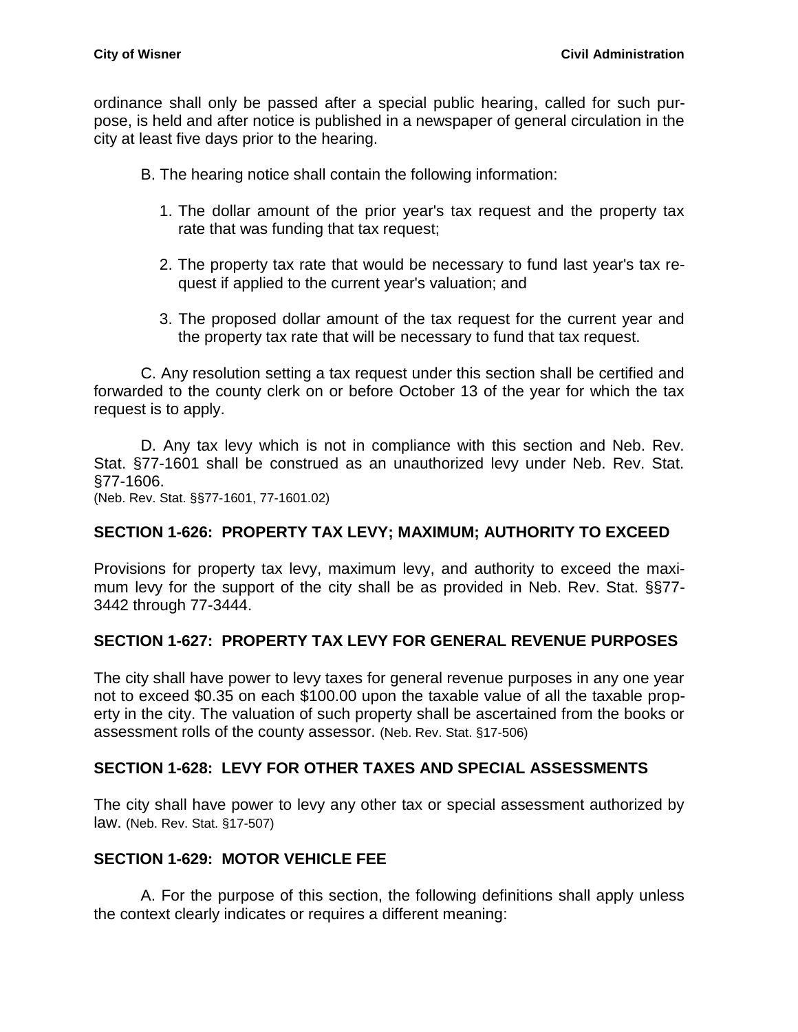ordinance shall only be passed after a special public hearing, called for such purpose, is held and after notice is published in a newspaper of general circulation in the city at least five days prior to the hearing.

- B. The hearing notice shall contain the following information:
	- 1. The dollar amount of the prior year's tax request and the property tax rate that was funding that tax request;
	- 2. The property tax rate that would be necessary to fund last year's tax request if applied to the current year's valuation; and
	- 3. The proposed dollar amount of the tax request for the current year and the property tax rate that will be necessary to fund that tax request.

C. Any resolution setting a tax request under this section shall be certified and forwarded to the county clerk on or before October 13 of the year for which the tax request is to apply.

D. Any tax levy which is not in compliance with this section and Neb. Rev. Stat. §77-1601 shall be construed as an unauthorized levy under Neb. Rev. Stat. §77-1606.

(Neb. Rev. Stat. §§77-1601, 77-1601.02)

#### <span id="page-53-0"></span>**SECTION 1-626: PROPERTY TAX LEVY; MAXIMUM; AUTHORITY TO EXCEED**

Provisions for property tax levy, maximum levy, and authority to exceed the maximum levy for the support of the city shall be as provided in Neb. Rev. Stat. §§77- 3442 through 77-3444.

#### <span id="page-53-1"></span>**SECTION 1-627: PROPERTY TAX LEVY FOR GENERAL REVENUE PURPOSES**

The city shall have power to levy taxes for general revenue purposes in any one year not to exceed \$0.35 on each \$100.00 upon the taxable value of all the taxable property in the city. The valuation of such property shall be ascertained from the books or assessment rolls of the county assessor. (Neb. Rev. Stat. §17-506)

#### <span id="page-53-2"></span>**SECTION 1-628: LEVY FOR OTHER TAXES AND SPECIAL ASSESSMENTS**

The city shall have power to levy any other tax or special assessment authorized by law. (Neb. Rev. Stat. §17-507)

#### <span id="page-53-3"></span>**SECTION 1-629: MOTOR VEHICLE FEE**

A. For the purpose of this section, the following definitions shall apply unless the context clearly indicates or requires a different meaning: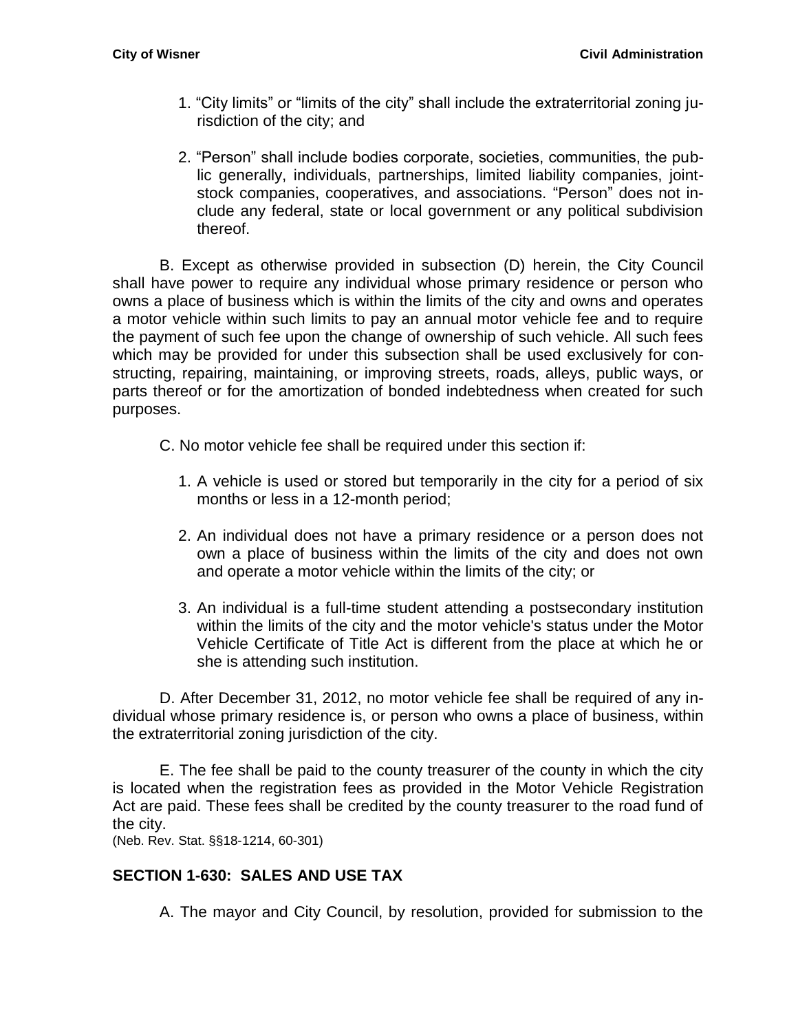- 1. "City limits" or "limits of the city" shall include the extraterritorial zoning jurisdiction of the city; and
- 2. "Person" shall include bodies corporate, societies, communities, the public generally, individuals, partnerships, limited liability companies, jointstock companies, cooperatives, and associations. "Person" does not include any federal, state or local government or any political subdivision thereof.

B. Except as otherwise provided in subsection (D) herein, the City Council shall have power to require any individual whose primary residence or person who owns a place of business which is within the limits of the city and owns and operates a motor vehicle within such limits to pay an annual motor vehicle fee and to require the payment of such fee upon the change of ownership of such vehicle. All such fees which may be provided for under this subsection shall be used exclusively for constructing, repairing, maintaining, or improving streets, roads, alleys, public ways, or parts thereof or for the amortization of bonded indebtedness when created for such purposes.

- C. No motor vehicle fee shall be required under this section if:
	- 1. A vehicle is used or stored but temporarily in the city for a period of six months or less in a 12-month period;
	- 2. An individual does not have a primary residence or a person does not own a place of business within the limits of the city and does not own and operate a motor vehicle within the limits of the city; or
	- 3. An individual is a full-time student attending a postsecondary institution within the limits of the city and the motor vehicle's status under the Motor Vehicle Certificate of Title Act is different from the place at which he or she is attending such institution.

D. After December 31, 2012, no motor vehicle fee shall be required of any individual whose primary residence is, or person who owns a place of business, within the extraterritorial zoning jurisdiction of the city.

E. The fee shall be paid to the county treasurer of the county in which the city is located when the registration fees as provided in the Motor Vehicle Registration Act are paid. These fees shall be credited by the county treasurer to the road fund of the city.

(Neb. Rev. Stat. §§18-1214, 60-301)

# <span id="page-54-0"></span>**SECTION 1-630: SALES AND USE TAX**

A. The mayor and City Council, by resolution, provided for submission to the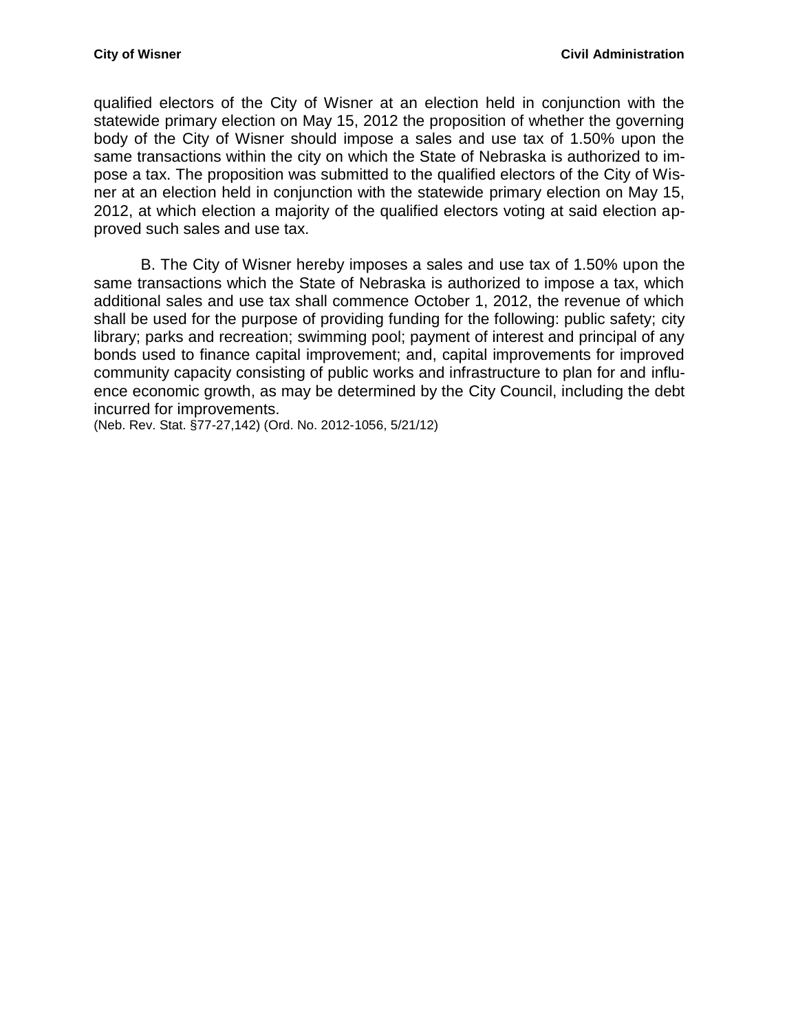qualified electors of the City of Wisner at an election held in conjunction with the statewide primary election on May 15, 2012 the proposition of whether the governing body of the City of Wisner should impose a sales and use tax of 1.50% upon the same transactions within the city on which the State of Nebraska is authorized to impose a tax. The proposition was submitted to the qualified electors of the City of Wisner at an election held in conjunction with the statewide primary election on May 15, 2012, at which election a majority of the qualified electors voting at said election approved such sales and use tax.

B. The City of Wisner hereby imposes a sales and use tax of 1.50% upon the same transactions which the State of Nebraska is authorized to impose a tax, which additional sales and use tax shall commence October 1, 2012, the revenue of which shall be used for the purpose of providing funding for the following: public safety; city library; parks and recreation; swimming pool; payment of interest and principal of any bonds used to finance capital improvement; and, capital improvements for improved community capacity consisting of public works and infrastructure to plan for and influence economic growth, as may be determined by the City Council, including the debt incurred for improvements.

(Neb. Rev. Stat. §77-27,142) (Ord. No. 2012-1056, 5/21/12)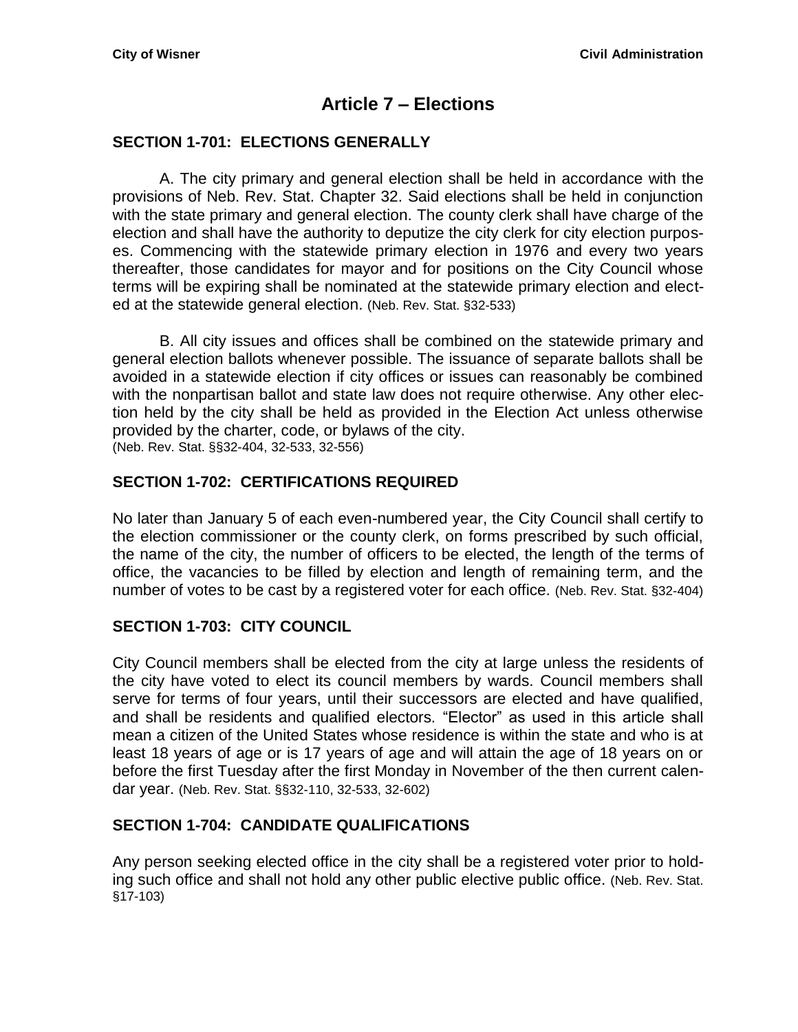# **Article 7 – Elections**

### <span id="page-56-1"></span><span id="page-56-0"></span>**SECTION 1-701: ELECTIONS GENERALLY**

A. The city primary and general election shall be held in accordance with the provisions of Neb. Rev. Stat. Chapter 32. Said elections shall be held in conjunction with the state primary and general election. The county clerk shall have charge of the election and shall have the authority to deputize the city clerk for city election purposes. Commencing with the statewide primary election in 1976 and every two years thereafter, those candidates for mayor and for positions on the City Council whose terms will be expiring shall be nominated at the statewide primary election and elected at the statewide general election. (Neb. Rev. Stat. §32-533)

B. All city issues and offices shall be combined on the statewide primary and general election ballots whenever possible. The issuance of separate ballots shall be avoided in a statewide election if city offices or issues can reasonably be combined with the nonpartisan ballot and state law does not require otherwise. Any other election held by the city shall be held as provided in the Election Act unless otherwise provided by the charter, code, or bylaws of the city. (Neb. Rev. Stat. §§32-404, 32-533, 32-556)

# <span id="page-56-2"></span>**SECTION 1-702: CERTIFICATIONS REQUIRED**

No later than January 5 of each even-numbered year, the City Council shall certify to the election commissioner or the county clerk, on forms prescribed by such official, the name of the city, the number of officers to be elected, the length of the terms of office, the vacancies to be filled by election and length of remaining term, and the number of votes to be cast by a registered voter for each office. (Neb. Rev. Stat. §32-404)

#### <span id="page-56-3"></span>**SECTION 1-703: CITY COUNCIL**

City Council members shall be elected from the city at large unless the residents of the city have voted to elect its council members by wards. Council members shall serve for terms of four years, until their successors are elected and have qualified, and shall be residents and qualified electors. "Elector" as used in this article shall mean a citizen of the United States whose residence is within the state and who is at least 18 years of age or is 17 years of age and will attain the age of 18 years on or before the first Tuesday after the first Monday in November of the then current calendar year. (Neb. Rev. Stat. §§32-110, 32-533, 32-602)

### <span id="page-56-4"></span>**SECTION 1-704: CANDIDATE QUALIFICATIONS**

Any person seeking elected office in the city shall be a registered voter prior to holding such office and shall not hold any other public elective public office. (Neb. Rev. Stat. §17-103)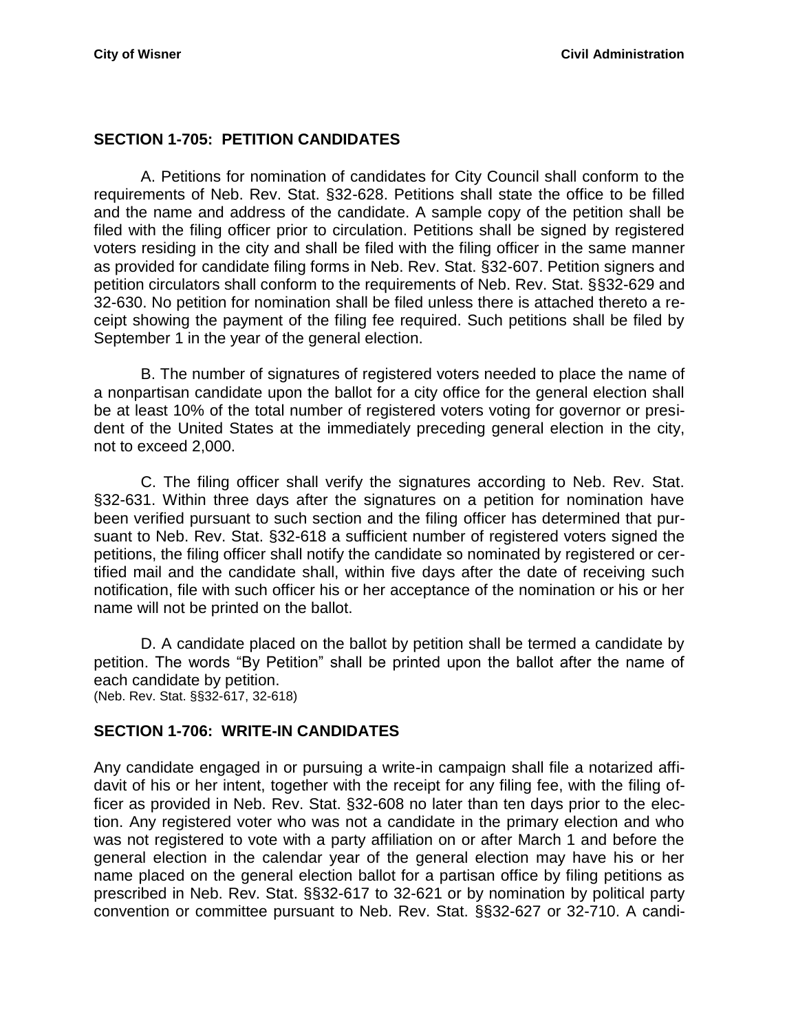### <span id="page-57-0"></span>**SECTION 1-705: PETITION CANDIDATES**

A. Petitions for nomination of candidates for City Council shall conform to the requirements of Neb. Rev. Stat. §32-628. Petitions shall state the office to be filled and the name and address of the candidate. A sample copy of the petition shall be filed with the filing officer prior to circulation. Petitions shall be signed by registered voters residing in the city and shall be filed with the filing officer in the same manner as provided for candidate filing forms in Neb. Rev. Stat. §32-607. Petition signers and petition circulators shall conform to the requirements of Neb. Rev. Stat. §§32-629 and 32-630. No petition for nomination shall be filed unless there is attached thereto a receipt showing the payment of the filing fee required. Such petitions shall be filed by September 1 in the year of the general election.

B. The number of signatures of registered voters needed to place the name of a nonpartisan candidate upon the ballot for a city office for the general election shall be at least 10% of the total number of registered voters voting for governor or president of the United States at the immediately preceding general election in the city, not to exceed 2,000.

C. The filing officer shall verify the signatures according to Neb. Rev. Stat. §32-631. Within three days after the signatures on a petition for nomination have been verified pursuant to such section and the filing officer has determined that pursuant to Neb. Rev. Stat. §32-618 a sufficient number of registered voters signed the petitions, the filing officer shall notify the candidate so nominated by registered or certified mail and the candidate shall, within five days after the date of receiving such notification, file with such officer his or her acceptance of the nomination or his or her name will not be printed on the ballot.

D. A candidate placed on the ballot by petition shall be termed a candidate by petition. The words "By Petition" shall be printed upon the ballot after the name of each candidate by petition. (Neb. Rev. Stat. §§32-617, 32-618)

#### <span id="page-57-1"></span>**SECTION 1-706: WRITE-IN CANDIDATES**

Any candidate engaged in or pursuing a write-in campaign shall file a notarized affidavit of his or her intent, together with the receipt for any filing fee, with the filing officer as provided in Neb. Rev. Stat. §32-608 no later than ten days prior to the election. Any registered voter who was not a candidate in the primary election and who was not registered to vote with a party affiliation on or after March 1 and before the general election in the calendar year of the general election may have his or her name placed on the general election ballot for a partisan office by filing petitions as prescribed in Neb. Rev. Stat. §§32-617 to 32-621 or by nomination by political party convention or committee pursuant to Neb. Rev. Stat. §§32-627 or 32-710. A candi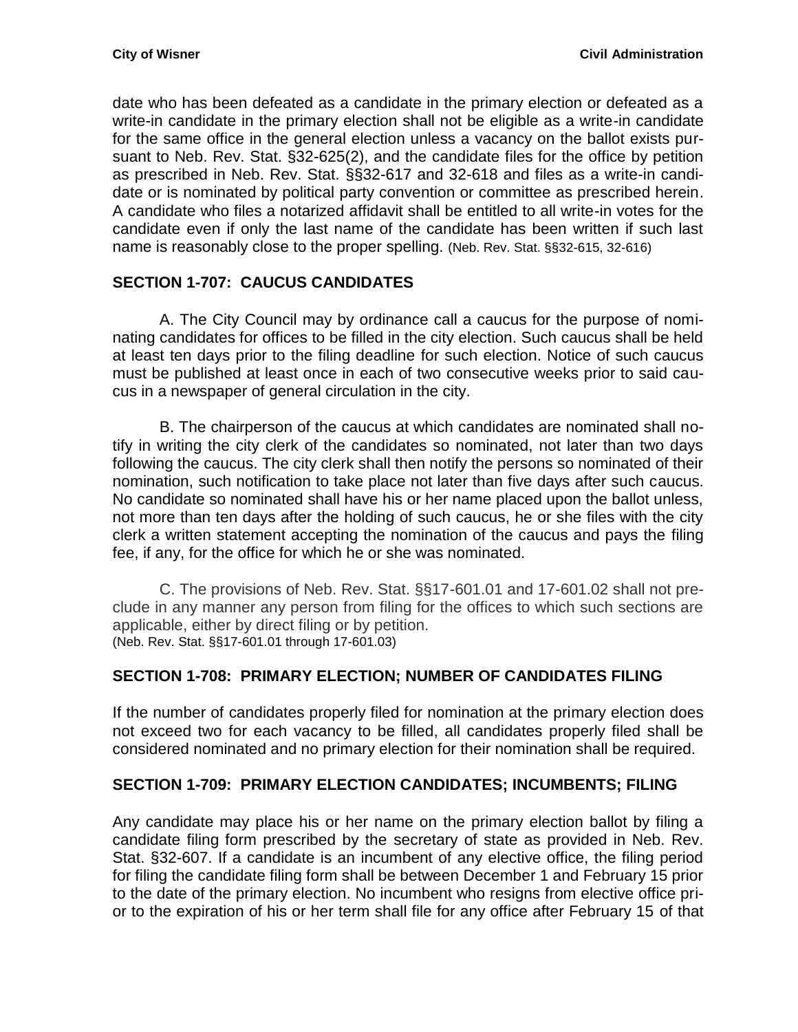date who has been defeated as a candidate in the primary election or defeated as a write-in candidate in the primary election shall not be eligible as a write-in candidate for the same office in the general election unless a vacancy on the ballot exists pursuant to Neb. Rev. Stat. §32-625(2), and the candidate files for the office by petition as prescribed in Neb. Rev. Stat. §§32-617 and 32-618 and files as a write-in candidate or is nominated by political party convention or committee as prescribed herein. A candidate who files a notarized affidavit shall be entitled to all write-in votes for the candidate even if only the last name of the candidate has been written if such last name is reasonably close to the proper spelling. (Neb. Rev. Stat. §§32-615, 32-616)

# <span id="page-58-0"></span>**SECTION 1-707: CAUCUS CANDIDATES**

A. The City Council may by ordinance call a caucus for the purpose of nominating candidates for offices to be filled in the city election. Such caucus shall be held at least ten days prior to the filing deadline for such election. Notice of such caucus must be published at least once in each of two consecutive weeks prior to said caucus in a newspaper of general circulation in the city.

B. The chairperson of the caucus at which candidates are nominated shall notify in writing the city clerk of the candidates so nominated, not later than two days following the caucus. The city clerk shall then notify the persons so nominated of their nomination, such notification to take place not later than five days after such caucus. No candidate so nominated shall have his or her name placed upon the ballot unless, not more than ten days after the holding of such caucus, he or she files with the city clerk a written statement accepting the nomination of the caucus and pays the filing fee, if any, for the office for which he or she was nominated.

C. The provisions of Neb. Rev. Stat. §§17-601.01 and 17-601.02 shall not preclude in any manner any person from filing for the offices to which such sections are applicable, either by direct filing or by petition. (Neb. Rev. Stat. §§17-601.01 through 17-601.03)

# <span id="page-58-1"></span>**SECTION 1-708: PRIMARY ELECTION; NUMBER OF CANDIDATES FILING**

If the number of candidates properly filed for nomination at the primary election does not exceed two for each vacancy to be filled, all candidates properly filed shall be considered nominated and no primary election for their nomination shall be required.

# <span id="page-58-2"></span>**SECTION 1-709: PRIMARY ELECTION CANDIDATES; INCUMBENTS; FILING**

Any candidate may place his or her name on the primary election ballot by filing a candidate filing form prescribed by the secretary of state as provided in Neb. Rev. Stat. §32-607. If a candidate is an incumbent of any elective office, the filing period for filing the candidate filing form shall be between December 1 and February 15 prior to the date of the primary election. No incumbent who resigns from elective office prior to the expiration of his or her term shall file for any office after February 15 of that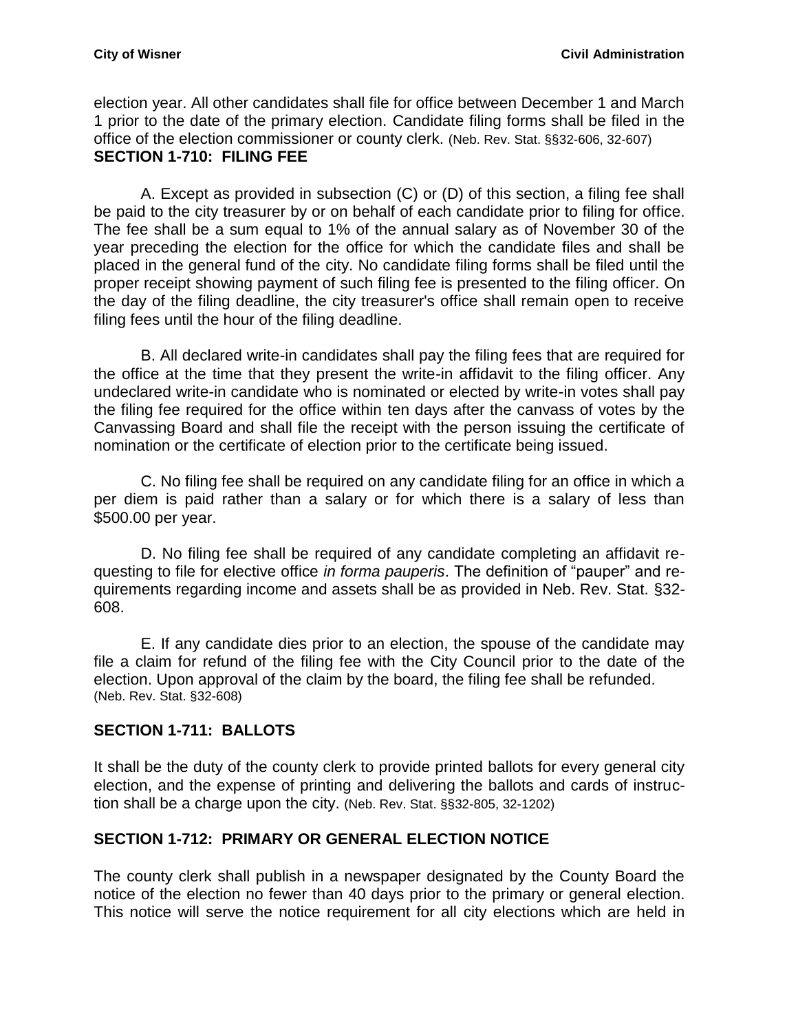election year. All other candidates shall file for office between December 1 and March 1 prior to the date of the primary election. Candidate filing forms shall be filed in the office of the election commissioner or county clerk. (Neb. Rev. Stat. §§32-606, 32-607) **SECTION 1-710: FILING FEE** 

<span id="page-59-0"></span>A. Except as provided in subsection (C) or (D) of this section, a filing fee shall be paid to the city treasurer by or on behalf of each candidate prior to filing for office. The fee shall be a sum equal to 1% of the annual salary as of November 30 of the year preceding the election for the office for which the candidate files and shall be placed in the general fund of the city. No candidate filing forms shall be filed until the proper receipt showing payment of such filing fee is presented to the filing officer. On the day of the filing deadline, the city treasurer's office shall remain open to receive filing fees until the hour of the filing deadline.

B. All declared write-in candidates shall pay the filing fees that are required for the office at the time that they present the write-in affidavit to the filing officer. Any undeclared write-in candidate who is nominated or elected by write-in votes shall pay the filing fee required for the office within ten days after the canvass of votes by the Canvassing Board and shall file the receipt with the person issuing the certificate of nomination or the certificate of election prior to the certificate being issued.

C. No filing fee shall be required on any candidate filing for an office in which a per diem is paid rather than a salary or for which there is a salary of less than \$500.00 per year.

D. No filing fee shall be required of any candidate completing an affidavit requesting to file for elective office *in forma pauperis*. The definition of "pauper" and requirements regarding income and assets shall be as provided in Neb. Rev. Stat. §32- 608.

E. If any candidate dies prior to an election, the spouse of the candidate may file a claim for refund of the filing fee with the City Council prior to the date of the election. Upon approval of the claim by the board, the filing fee shall be refunded. (Neb. Rev. Stat. §32-608)

#### <span id="page-59-1"></span>**SECTION 1-711: BALLOTS**

It shall be the duty of the county clerk to provide printed ballots for every general city election, and the expense of printing and delivering the ballots and cards of instruction shall be a charge upon the city. (Neb. Rev. Stat. §§32-805, 32-1202)

# <span id="page-59-2"></span>**SECTION 1-712: PRIMARY OR GENERAL ELECTION NOTICE**

The county clerk shall publish in a newspaper designated by the County Board the notice of the election no fewer than 40 days prior to the primary or general election. This notice will serve the notice requirement for all city elections which are held in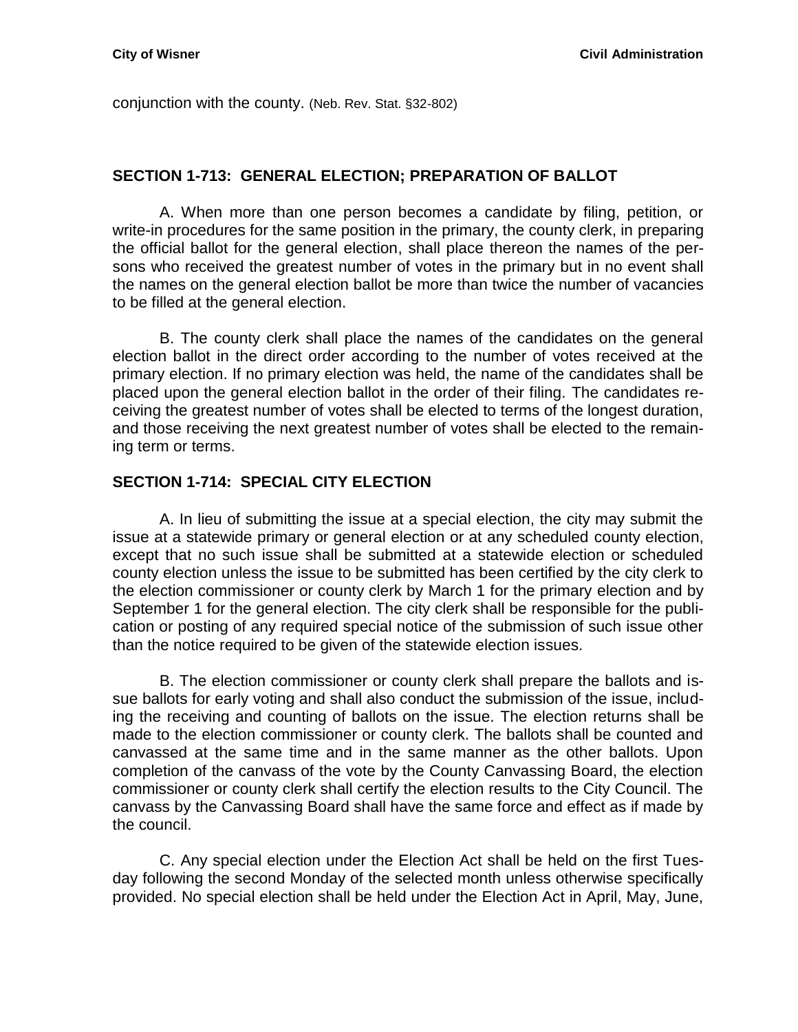<span id="page-60-0"></span>conjunction with the county. (Neb. Rev. Stat. §32-802)

#### **SECTION 1-713: GENERAL ELECTION; PREPARATION OF BALLOT**

A. When more than one person becomes a candidate by filing, petition, or write-in procedures for the same position in the primary, the county clerk, in preparing the official ballot for the general election, shall place thereon the names of the persons who received the greatest number of votes in the primary but in no event shall the names on the general election ballot be more than twice the number of vacancies to be filled at the general election.

B. The county clerk shall place the names of the candidates on the general election ballot in the direct order according to the number of votes received at the primary election. If no primary election was held, the name of the candidates shall be placed upon the general election ballot in the order of their filing. The candidates receiving the greatest number of votes shall be elected to terms of the longest duration, and those receiving the next greatest number of votes shall be elected to the remaining term or terms.

#### <span id="page-60-1"></span>**SECTION 1-714: SPECIAL CITY ELECTION**

A. In lieu of submitting the issue at a special election, the city may submit the issue at a statewide primary or general election or at any scheduled county election, except that no such issue shall be submitted at a statewide election or scheduled county election unless the issue to be submitted has been certified by the city clerk to the election commissioner or county clerk by March 1 for the primary election and by September 1 for the general election. The city clerk shall be responsible for the publication or posting of any required special notice of the submission of such issue other than the notice required to be given of the statewide election issues.

B. The election commissioner or county clerk shall prepare the ballots and issue ballots for early voting and shall also conduct the submission of the issue, including the receiving and counting of ballots on the issue. The election returns shall be made to the election commissioner or county clerk. The ballots shall be counted and canvassed at the same time and in the same manner as the other ballots. Upon completion of the canvass of the vote by the County Canvassing Board, the election commissioner or county clerk shall certify the election results to the City Council. The canvass by the Canvassing Board shall have the same force and effect as if made by the council.

C. Any special election under the Election Act shall be held on the first Tuesday following the second Monday of the selected month unless otherwise specifically provided. No special election shall be held under the Election Act in April, May, June,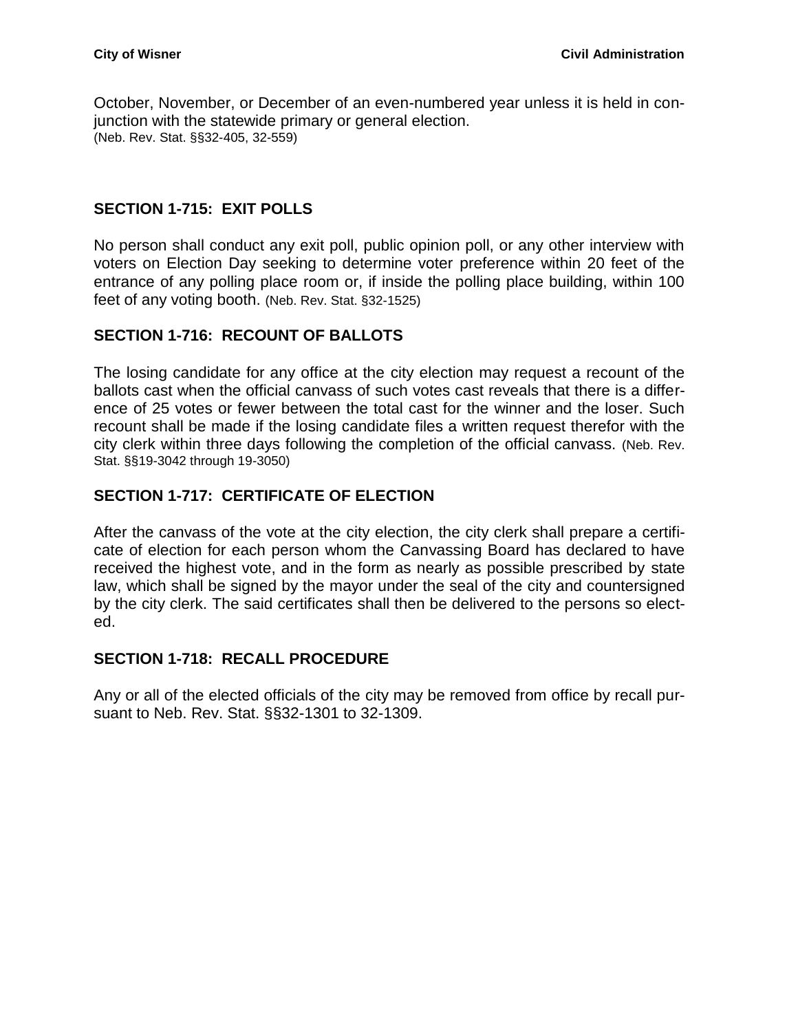October, November, or December of an even-numbered year unless it is held in conjunction with the statewide primary or general election. (Neb. Rev. Stat. §§32-405, 32-559)

### <span id="page-61-0"></span>**SECTION 1-715: EXIT POLLS**

No person shall conduct any exit poll, public opinion poll, or any other interview with voters on Election Day seeking to determine voter preference within 20 feet of the entrance of any polling place room or, if inside the polling place building, within 100 feet of any voting booth. (Neb. Rev. Stat. §32-1525)

### <span id="page-61-1"></span>**SECTION 1-716: RECOUNT OF BALLOTS**

The losing candidate for any office at the city election may request a recount of the ballots cast when the official canvass of such votes cast reveals that there is a difference of 25 votes or fewer between the total cast for the winner and the loser. Such recount shall be made if the losing candidate files a written request therefor with the city clerk within three days following the completion of the official canvass. (Neb. Rev. Stat. §§19-3042 through 19-3050)

#### <span id="page-61-2"></span>**SECTION 1-717: CERTIFICATE OF ELECTION**

After the canvass of the vote at the city election, the city clerk shall prepare a certificate of election for each person whom the Canvassing Board has declared to have received the highest vote, and in the form as nearly as possible prescribed by state law, which shall be signed by the mayor under the seal of the city and countersigned by the city clerk. The said certificates shall then be delivered to the persons so elected.

#### <span id="page-61-3"></span>**SECTION 1-718: RECALL PROCEDURE**

Any or all of the elected officials of the city may be removed from office by recall pursuant to Neb. Rev. Stat. §§32-1301 to 32-1309.